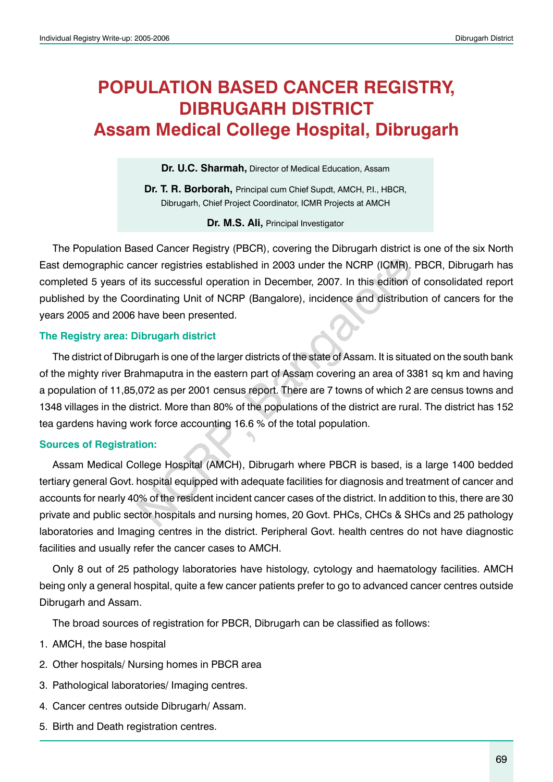# **POPULATION BASED CANCER REGISTRY, DIBRUGARH District Assam Medical College Hospital, Dibrugarh**

**Dr. U.C. Sharmah,** Director of Medical Education, Assam

**Dr. T. R. Borborah, Principal cum Chief Supdt, AMCH, P.I., HBCR,** Dibrugarh, Chief Project Coordinator, ICMR Projects at AMCH

**Dr. M.S. Ali,** Principal Investigator

The Population Based Cancer Registry (PBCR), covering the Dibrugarh district is one of the six North East demographic cancer registries established in 2003 under the NCRP (ICMR). PBCR, Dibrugarh has completed 5 years of its successful operation in December, 2007. In this edition of consolidated report published by the Coordinating Unit of NCRP (Bangalore), incidence and distribution of cancers for the years 2005 and 2006 have been presented.

#### **The Registry area: Dibrugarh district**

The district of Dibrugarh is one of the larger districts of the state of Assam. It is situated on the south bank of the mighty river Brahmaputra in the eastern part of Assam covering an area of 3381 sq km and having a population of 11,85,072 as per 2001 census report. There are 7 towns of which 2 are census towns and 1348 villages in the district. More than 80% of the populations of the district are rural. The district has 152 tea gardens having work force accounting 16.6 % of the total population. nncer registries established in 2003 under the NCRP (ICMR).<br>
It is successful operation in December, 2007. In this edition of<br>
ordinating Unit of NCRP (Bangalore), incidence and distribut<br>
have been presented.<br>
Nibrugarh d

#### **Sources of Registration:**

Assam Medical College Hospital (AMCH), Dibrugarh where PBCR is based, is a large 1400 bedded tertiary general Govt. hospital equipped with adequate facilities for diagnosis and treatment of cancer and accounts for nearly 40% of the resident incident cancer cases of the district. In addition to this, there are 30 private and public sector hospitals and nursing homes, 20 Govt. PHCs, CHCs & SHCs and 25 pathology laboratories and Imaging centres in the district. Peripheral Govt. health centres do not have diagnostic facilities and usually refer the cancer cases to AMCH.

Only 8 out of 25 pathology laboratories have histology, cytology and haematology facilities. AMCH being only a general hospital, quite a few cancer patients prefer to go to advanced cancer centres outside Dibrugarh and Assam.

The broad sources of registration for PBCR, Dibrugarh can be classified as follows:

- 1. AMCH, the base hospital
- 2. Other hospitals/ Nursing homes in PBCR area
- 3. Pathological laboratories/ Imaging centres.
- 4. Cancer centres outside Dibrugarh/ Assam.
- 5. Birth and Death registration centres.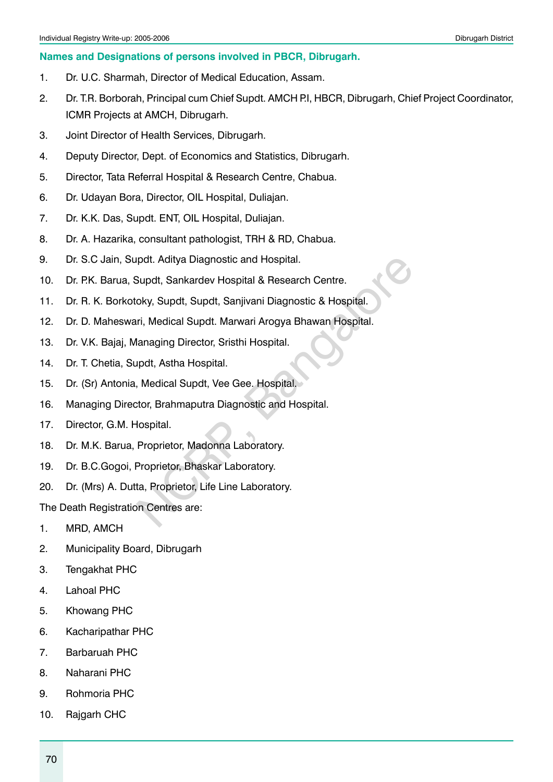#### **Names and Designations of persons involved in PBCR, Dibrugarh.**

- 1. Dr. U.C. Sharmah, Director of Medical Education, Assam.
- 2. Dr. T.R. Borborah, Principal cum Chief Supdt. AMCH P.I, HBCR, Dibrugarh, Chief Project Coordinator, ICMR Projects at AMCH, Dibrugarh.
- 3. Joint Director of Health Services, Dibrugarh.
- 4. Deputy Director, Dept. of Economics and Statistics, Dibrugarh.
- 5. Director, Tata Referral Hospital & Research Centre, Chabua.
- 6. Dr. Udayan Bora, Director, OIL Hospital, Duliajan.
- 7. Dr. K.K. Das, Supdt. ENT, OIL Hospital, Duliajan.
- 8. Dr. A. Hazarika, consultant pathologist, TRH & RD, Chabua.
- 9. Dr. S.C Jain, Supdt. Aditya Diagnostic and Hospital.
- 10. Dr. P.K. Barua, Supdt, Sankardev Hospital & Research Centre.
- 11. Dr. R. K. Borkotoky, Supdt, Supdt, Sanjivani Diagnostic & Hospital.
- 12. Dr. D. Maheswari, Medical Supdt. Marwari Arogya Bhawan Hospital. pdt. Aditya Diagnostic and Hospital.<br>
Supdt, Sankardev Hospital & Research Centre.<br>
oky, Supdt, Supdt, Sanjivani Diagnostic & Hospital.<br>
Iri, Medical Supdt. Marwari Arogya Bhawan Hospital.<br>
Ianaging Director, Sristhi Hospi
- 13. Dr. V.K. Bajaj, Managing Director, Sristhi Hospital.
- 14. Dr. T. Chetia, Supdt, Astha Hospital.
- 15. Dr. (Sr) Antonia, Medical Supdt, Vee Gee. Hospital.
- 16. Managing Director, Brahmaputra Diagnostic and Hospital.
- 17. Director, G.M. Hospital.
- 18. Dr. M.K. Barua, Proprietor, Madonna Laboratory.
- 19. Dr. B.C.Gogoi, Proprietor, Bhaskar Laboratory.
- 20. Dr. (Mrs) A. Dutta, Proprietor, Life Line Laboratory.

The Death Registration Centres are:

- 1. MRD, AMCH
- 2. Municipality Board, Dibrugarh
- 3. Tengakhat PHC
- 4. Lahoal PHC
- 5. Khowang PHC
- 6. Kacharipathar PHC
- 7. Barbaruah PHC
- 8. Naharani PHC
- 9. Rohmoria PHC
- 10. Rajgarh CHC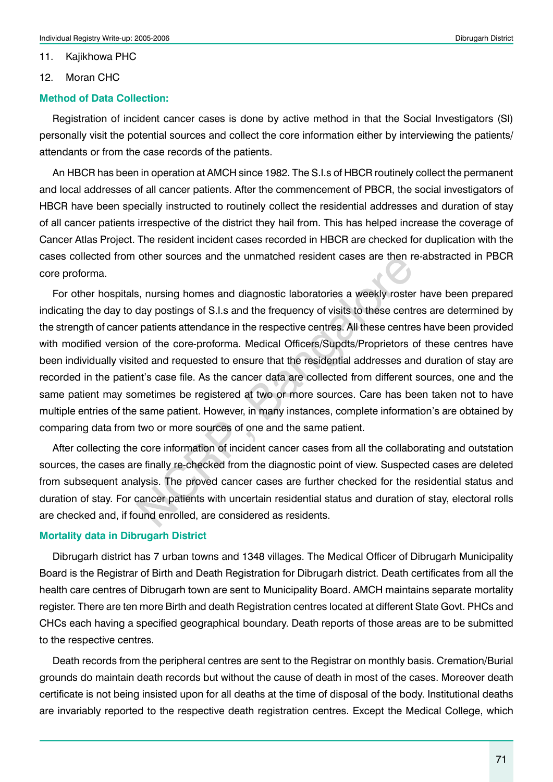11. Kajikhowa PHC

12. Moran CHC

#### **Method of Data Collection:**

Registration of incident cancer cases is done by active method in that the Social Investigators (SI) personally visit the potential sources and collect the core information either by interviewing the patients/ attendants or from the case records of the patients.

An HBCR has been in operation at AMCH since 1982. The S.I.s of HBCR routinely collect the permanent and local addresses of all cancer patients. After the commencement of PBCR, the social investigators of HBCR have been specially instructed to routinely collect the residential addresses and duration of stay of all cancer patients irrespective of the district they hail from. This has helped increase the coverage of Cancer Atlas Project. The resident incident cases recorded in HBCR are checked for duplication with the cases collected from other sources and the unmatched resident cases are then re-abstracted in PBCR core proforma.

For other hospitals, nursing homes and diagnostic laboratories a weekly roster have been prepared indicating the day to day postings of S.I.s and the frequency of visits to these centres are determined by the strength of cancer patients attendance in the respective centres. All these centres have been provided with modified version of the core-proforma. Medical Officers/Supdts/Proprietors of these centres have been individually visited and requested to ensure that the residential addresses and duration of stay are recorded in the patient's case file. As the cancer data are collected from different sources, one and the same patient may sometimes be registered at two or more sources. Care has been taken not to have multiple entries of the same patient. However, in many instances, complete information's are obtained by comparing data from two or more sources of one and the same patient. other sources and the unmatched resident cases are then not ally postings of S.I.s and the frequency of visits to these centre patients attendance in the respective centres. All these center of the core-proforma. Medical O

After collecting the core information of incident cancer cases from all the collaborating and outstation sources, the cases are finally re-checked from the diagnostic point of view. Suspected cases are deleted from subsequent analysis. The proved cancer cases are further checked for the residential status and duration of stay. For cancer patients with uncertain residential status and duration of stay, electoral rolls are checked and, if found enrolled, are considered as residents.

#### **Mortality data in Dibrugarh District**

Dibrugarh district has 7 urban towns and 1348 villages. The Medical Officer of Dibrugarh Municipality Board is the Registrar of Birth and Death Registration for Dibrugarh district. Death certificates from all the health care centres of Dibrugarh town are sent to Municipality Board. AMCH maintains separate mortality register. There are ten more Birth and death Registration centres located at different State Govt. PHCs and CHCs each having a specified geographical boundary. Death reports of those areas are to be submitted to the respective centres.

Death records from the peripheral centres are sent to the Registrar on monthly basis. Cremation/Burial grounds do maintain death records but without the cause of death in most of the cases. Moreover death certificate is not being insisted upon for all deaths at the time of disposal of the body. Institutional deaths are invariably reported to the respective death registration centres. Except the Medical College, which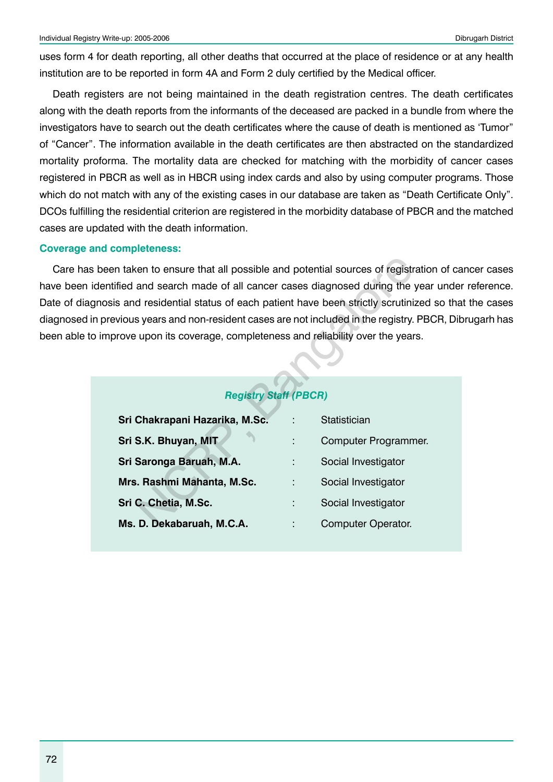uses form 4 for death reporting, all other deaths that occurred at the place of residence or at any health institution are to be reported in form 4A and Form 2 duly certified by the Medical officer.

Death registers are not being maintained in the death registration centres. The death certificates along with the death reports from the informants of the deceased are packed in a bundle from where the investigators have to search out the death certificates where the cause of death is mentioned as 'Tumor" of "Cancer". The information available in the death certificates are then abstracted on the standardized mortality proforma. The mortality data are checked for matching with the morbidity of cancer cases registered in PBCR as well as in HBCR using index cards and also by using computer programs. Those which do not match with any of the existing cases in our database are taken as "Death Certificate Only". DCOs fulfilling the residential criterion are registered in the morbidity database of PBCR and the matched cases are updated with the death information.

#### **Coverage and completeness:**

Care has been taken to ensure that all possible and potential sources of registration of cancer cases have been identified and search made of all cancer cases diagnosed during the year under reference. Date of diagnosis and residential status of each patient have been strictly scrutinized so that the cases diagnosed in previous years and non-resident cases are not included in the registry. PBCR, Dibrugarh has been able to improve upon its coverage, completeness and reliability over the years.

### *Registry Staff (PBCR)*

|                              | en taken to ensure that all possible and potential sources of registration o<br>ntified and search made of all cancer cases diagnosed during the year u<br>sis and residential status of each patient have been strictly scrutinized so<br>revious years and non-resident cases are not included in the registry. PBCF<br>prove upon its coverage, completeness and reliability over the years. |
|------------------------------|-------------------------------------------------------------------------------------------------------------------------------------------------------------------------------------------------------------------------------------------------------------------------------------------------------------------------------------------------------------------------------------------------|
| <b>Registry Staff (PBCR)</b> |                                                                                                                                                                                                                                                                                                                                                                                                 |
|                              | <b>Statistician</b>                                                                                                                                                                                                                                                                                                                                                                             |
|                              | Computer Programmer.                                                                                                                                                                                                                                                                                                                                                                            |
| ÷                            | Social Investigator                                                                                                                                                                                                                                                                                                                                                                             |
| t                            | Social Investigator                                                                                                                                                                                                                                                                                                                                                                             |
|                              | Social Investigator                                                                                                                                                                                                                                                                                                                                                                             |
|                              | <b>Computer Operator.</b>                                                                                                                                                                                                                                                                                                                                                                       |
|                              |                                                                                                                                                                                                                                                                                                                                                                                                 |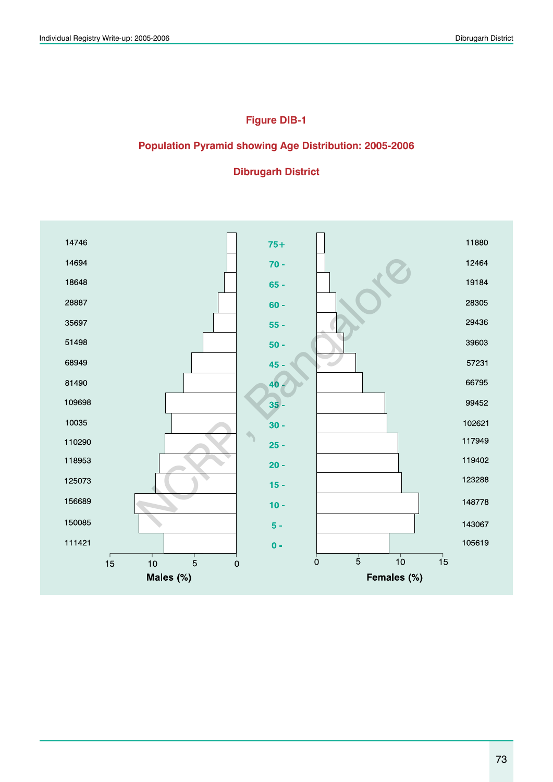### **Figure DIB-1**

### **Population Pyramid showing Age Distribution: 2005-2006**

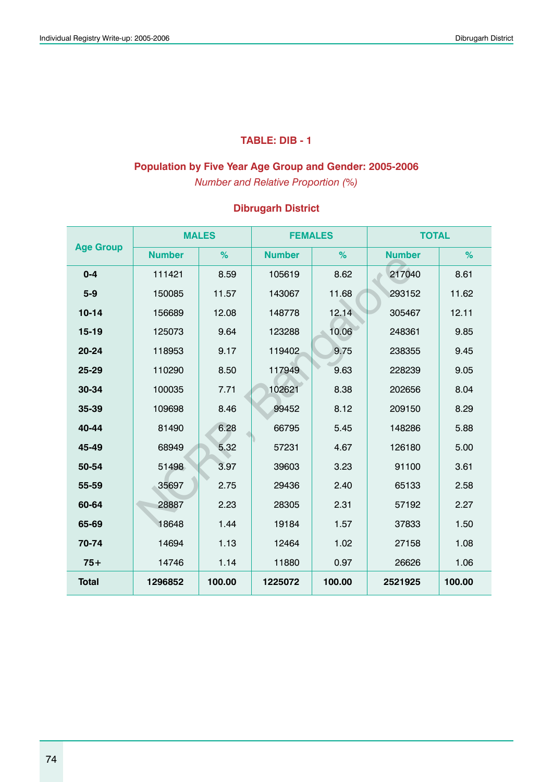### **TABLE: DIB - 1**

### **Population by Five Year Age Group and Gender: 2005-2006**

*Number and Relative Proportion (%)*

|                  |               | <b>MALES</b> | <b>FEMALES</b> |        | <b>TOTAL</b>  |        |
|------------------|---------------|--------------|----------------|--------|---------------|--------|
| <b>Age Group</b> | <b>Number</b> | %            | <b>Number</b>  | %      | <b>Number</b> | %      |
| $0 - 4$          | 111421        | 8.59         | 105619         | 8.62   | 217040        | 8.61   |
| $5-9$            | 150085        | 11.57        | 143067         | 11.68  | 293152        | 11.62  |
| $10 - 14$        | 156689        | 12.08        | 148778         | 12.14  | 305467        | 12.11  |
| $15 - 19$        | 125073        | 9.64         | 123288         | 10.06  | 248361        | 9.85   |
| 20-24            | 118953        | 9.17         | 119402         | 9.75   | 238355        | 9.45   |
| $25 - 29$        | 110290        | 8.50         | 117949         | 9.63   | 228239        | 9.05   |
| 30-34            | 100035        | 7.71         | 102621         | 8.38   | 202656        | 8.04   |
| 35-39            | 109698        | 8.46         | 99452          | 8.12   | 209150        | 8.29   |
| 40-44            | 81490         | 6.28         | 66795          | 5.45   | 148286        | 5.88   |
| 45-49            | 68949         | 5.32         | 57231          | 4.67   | 126180        | 5.00   |
| 50-54            | 51498         | 3.97         | 39603          | 3.23   | 91100         | 3.61   |
| 55-59            | 35697         | 2.75         | 29436          | 2.40   | 65133         | 2.58   |
| 60-64            | 28887         | 2.23         | 28305          | 2.31   | 57192         | 2.27   |
| 65-69            | 18648         | 1.44         | 19184          | 1.57   | 37833         | 1.50   |
| 70-74            | 14694         | 1.13         | 12464          | 1.02   | 27158         | 1.08   |
| $75+$            | 14746         | 1.14         | 11880          | 0.97   | 26626         | 1.06   |
| <b>Total</b>     | 1296852       | 100.00       | 1225072        | 100.00 | 2521925       | 100.00 |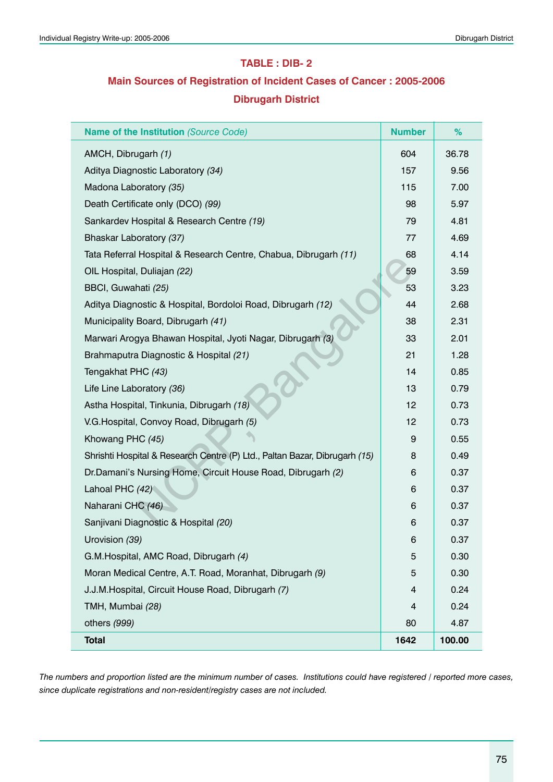#### **TABLE : DIB- 2**

## **Main Sources of Registration of Incident Cases of Cancer : 2005-2006 Dibrugarh District**

| Name of the Institution (Source Code)                                      | <b>Number</b>    | %      |
|----------------------------------------------------------------------------|------------------|--------|
| AMCH, Dibrugarh (1)                                                        | 604              | 36.78  |
| Aditya Diagnostic Laboratory (34)                                          | 157              | 9.56   |
| Madona Laboratory (35)                                                     | 115              | 7.00   |
| Death Certificate only (DCO) (99)                                          | 98               | 5.97   |
| Sankardev Hospital & Research Centre (19)                                  | 79               | 4.81   |
| Bhaskar Laboratory (37)                                                    | 77               | 4.69   |
| Tata Referral Hospital & Research Centre, Chabua, Dibrugarh (11)           | 68               | 4.14   |
| OIL Hospital, Duliajan (22)                                                | 59               | 3.59   |
| BBCI, Guwahati (25)                                                        | 53               | 3.23   |
| Aditya Diagnostic & Hospital, Bordoloi Road, Dibrugarh (12)                | 44               | 2.68   |
| Municipality Board, Dibrugarh (41)                                         | 38               | 2.31   |
| Marwari Arogya Bhawan Hospital, Jyoti Nagar, Dibrugarh (3)                 | 33               | 2.01   |
| Brahmaputra Diagnostic & Hospital (21)                                     | 21               | 1.28   |
| Tengakhat PHC (43)                                                         | 14               | 0.85   |
| Life Line Laboratory (36)                                                  | 13               | 0.79   |
| Astha Hospital, Tinkunia, Dibrugarh (18)                                   | 12               | 0.73   |
| V.G. Hospital, Convoy Road, Dibrugarh (5)                                  | 12               | 0.73   |
| Khowang PHC (45)                                                           | $\boldsymbol{9}$ | 0.55   |
| Shrishti Hospital & Research Centre (P) Ltd., Paltan Bazar, Dibrugarh (15) | 8                | 0.49   |
| Dr.Damani's Nursing Home, Circuit House Road, Dibrugarh (2)                | 6                | 0.37   |
| Lahoal PHC (42)                                                            | 6                | 0.37   |
| Naharani CHC (46)                                                          | 6                | 0.37   |
| Sanjivani Diagnostic & Hospital (20)                                       | 6                | 0.37   |
| Urovision (39)                                                             | 6                | 0.37   |
| G.M.Hospital, AMC Road, Dibrugarh (4)                                      | 5                | 0.30   |
| Moran Medical Centre, A.T. Road, Moranhat, Dibrugarh (9)                   | 5                | 0.30   |
| J.J.M. Hospital, Circuit House Road, Dibrugarh (7)                         | 4                | 0.24   |
| TMH, Mumbai (28)                                                           | 4                | 0.24   |
| others (999)                                                               | 80               | 4.87   |
| <b>Total</b>                                                               | 1642             | 100.00 |

*The numbers and proportion listed are the minimum number of cases. Institutions could have registered / reported more cases, since duplicate registrations and non-resident/registry cases are not included.*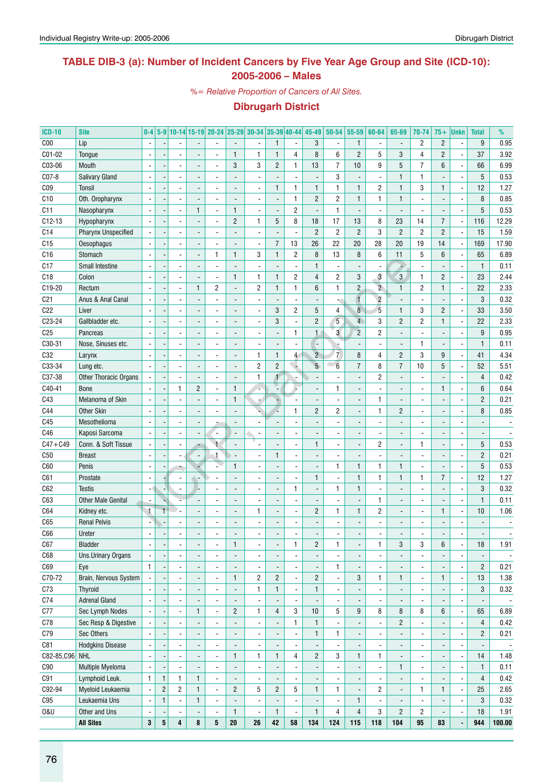### **TABLE DIB-3 (a): Number of Incident Cancers by Five Year Age Group and Site (ICD-10): 2005-2006 – Males**

*%= Relative Proportion of Cancers of All Sites.*

| <b>ICD-10</b>   | <b>Site</b>                | $0-4$                    |                         |                          |                | 5-9 10-14 15-19 20-24 25-29 30-34 35-39 40-44 |                          |                          |                              |                          | 45-49          | 50-54                   | 55-59                    | 60-64          | 65-69                    | 70-74                    | $75+$          | <b>Unkn</b>              | <b>Total</b>             | %                        |
|-----------------|----------------------------|--------------------------|-------------------------|--------------------------|----------------|-----------------------------------------------|--------------------------|--------------------------|------------------------------|--------------------------|----------------|-------------------------|--------------------------|----------------|--------------------------|--------------------------|----------------|--------------------------|--------------------------|--------------------------|
| C <sub>00</sub> | Lip                        | $\overline{\phantom{a}}$ |                         |                          |                |                                               |                          | $\overline{\phantom{a}}$ | $\mathbf{1}$                 | $\overline{\phantom{a}}$ | 3              | $\blacksquare$          | $\mathbf{1}$             |                | $\overline{a}$           | $\overline{c}$           | $\mathbf{2}$   | ٠                        | 9                        | 0.95                     |
| C01-02          | Tongue                     |                          |                         |                          |                |                                               | $\mathbf{1}$             | $\mathbf{1}$             | $\mathbf{1}$                 | 4                        | 8              | 6                       | $\overline{2}$           | 5              | 3                        | $\overline{4}$           | $\overline{c}$ |                          | 37                       | 3.92                     |
| C03-06          | Mouth                      | $\blacksquare$           |                         | $\overline{\phantom{a}}$ |                | $\blacksquare$                                | 3                        | 3                        | $\overline{c}$               | $\mathbf{1}$             | 13             | $\overline{7}$          | 10                       | 9              | 5                        | $\overline{7}$           | 6              |                          | 66                       | 6.99                     |
| C07-8           | <b>Salivary Gland</b>      | $\overline{\phantom{a}}$ |                         |                          |                |                                               |                          | $\blacksquare$           |                              | $\blacksquare$           |                | 3                       | $\overline{\phantom{a}}$ |                | $\mathbf{1}$             | 1                        |                |                          | 5                        | 0.53                     |
| C <sub>09</sub> | Tonsil                     | $\blacksquare$           |                         |                          |                |                                               |                          | $\overline{a}$           | $\mathbf{1}$                 | $\mathbf{1}$             | $\mathbf{1}$   | $\mathbf{1}$            | $\mathbf{1}$             | $\overline{c}$ | $\mathbf{1}$             | 3                        | $\mathbf{1}$   | ÷,                       | 12                       | 1.27                     |
| C10             | Oth. Oropharynx            | $\blacksquare$           |                         |                          |                |                                               |                          | $\blacksquare$           |                              | $\mathbf{1}$             | $\overline{c}$ | $\overline{c}$          | $\mathbf{1}$             | 1              | $\mathbf{1}$             | $\overline{a}$           |                |                          | 8                        | 0.85                     |
| C11             | Nasopharynx                | $\overline{\phantom{a}}$ |                         | $\overline{a}$           | 1              | ÷,                                            | $\overline{1}$           | $\overline{a}$           |                              | $\overline{c}$           |                | $\mathbf{1}$            | $\overline{a}$           |                |                          | $\overline{\phantom{a}}$ |                |                          | 5                        | 0.53                     |
| $C12-13$        | Hypopharynx                | $\blacksquare$           |                         |                          |                | ÷,                                            | $\overline{2}$           | $\mathbf{1}$             | 5                            | 8                        | 18             | 17                      | 13                       | 8              | 23                       | 14                       | $\overline{7}$ | $\overline{a}$           | 116                      | 12.29                    |
| C <sub>14</sub> | <b>Pharynx Unspecified</b> |                          |                         |                          |                |                                               |                          | $\overline{a}$           |                              | ä,                       | $\overline{c}$ | $\overline{c}$          | $\overline{c}$           | 3              | $\overline{2}$           | $\sqrt{2}$               | $\overline{c}$ | $\overline{a}$           | 15                       | 1.59                     |
| C15             | Oesophagus                 |                          |                         |                          |                |                                               |                          | ä,                       | $\overline{7}$               | 13                       | 26             | 22                      | 20                       | 28             | 20                       | 19                       | 14             | Ĭ.                       | 169                      | 17.90                    |
| C16             | Stomach                    | $\blacksquare$           |                         |                          |                | 1                                             | $\mathbf{1}$             | 3                        | $\mathbf{1}$                 | $\overline{2}$           | 8              | 13                      | 8                        | 6              | 11                       | 5                        | $6\phantom{1}$ |                          | 65                       | 6.89                     |
| C17             | Small Intestine            |                          |                         |                          |                |                                               |                          | $\overline{\phantom{a}}$ |                              | ä,                       | $\mathbf{1}$   |                         | $\overline{a}$           |                | ×.                       | $\overline{a}$           |                |                          | $\mathbf{1}$             | 0.11                     |
| C18             | Colon                      | $\blacksquare$           |                         |                          |                |                                               | $\mathbf{1}$             | $\mathbf{1}$             | $\mathbf{1}$                 | $\overline{c}$           | $\overline{4}$ | $\overline{c}$          | $\mathbf{3}$             | 3              | $\overline{3}$           | $\mathbf{1}$             | $\overline{c}$ |                          | 23                       | 2.44                     |
| C19-20          | Rectum                     | $\blacksquare$           |                         | $\overline{\phantom{a}}$ | 1              | $\overline{c}$                                |                          | $\overline{c}$           | $\mathbf{1}$                 | $\mathbf{1}$             | 6              | $\mathbf{1}$            | $\mathbf{2}$             | $\overline{2}$ | $\mathbf{1}$             | $\overline{c}$           | $\mathbf{1}$   | ÷,                       | 22                       | 2.33                     |
| C <sub>21</sub> | Anus & Anal Canal          | $\blacksquare$           |                         |                          |                |                                               |                          | $\blacksquare$           |                              | $\blacksquare$           |                |                         | $\mathbf{I}$             | $\overline{c}$ |                          | $\overline{a}$           |                |                          | 3                        | 0.32                     |
| C22             | Liver                      |                          |                         |                          |                |                                               |                          | $\overline{a}$           | 3                            | $\overline{c}$           | 5              | 4                       | $\overline{8}$           | $\overline{5}$ | $\mathbf{1}$             | 3                        | $\overline{c}$ |                          | 33                       | 3.50                     |
| C23-24          | Gallbladder etc.           | $\blacksquare$           |                         |                          |                |                                               |                          | $\overline{a}$           | 3                            | $\overline{\phantom{a}}$ | $\overline{2}$ | $5\phantom{.0}$         | $\overline{4}$           | 3              | $\overline{2}$           | $\overline{2}$           | $\mathbf{1}$   | ÷,                       | 22                       | 2.33                     |
| C <sub>25</sub> | Pancreas                   | $\blacksquare$           |                         |                          |                |                                               |                          | $\blacksquare$           |                              | $\mathbf{1}$             | $\mathbf{1}$   | $\overline{\mathbf{3}}$ | $\overline{2}$           | $\overline{c}$ |                          | $\overline{a}$           |                |                          | 9                        | 0.95                     |
| C30-31          | Nose, Sinuses etc.         | $\blacksquare$           |                         |                          |                |                                               |                          | $\blacksquare$           |                              | ÷,                       |                |                         | $\overline{a}$           |                |                          | $\mathbf{1}$             |                |                          | $\mathbf{1}$             | 0.11                     |
| C32             |                            | $\blacksquare$           |                         |                          |                |                                               |                          | $\mathbf{1}$             | $\mathbf{1}$                 | $\overline{4}$           | $\overline{2}$ | $\overline{7}$          | 8                        | 4              | $\overline{c}$           | 3                        | 9              |                          | 41                       | 4.34                     |
| C33-34          | Larynx                     | $\overline{\phantom{a}}$ |                         |                          |                |                                               |                          | $\overline{c}$           | $\overline{c}$               | ۰.                       | 5 <sup>5</sup> | $6\phantom{1}$          | $\overline{7}$           | 8              | $\overline{7}$           | 10                       | 5              |                          | 52                       | 5.51                     |
| C37-38          | Lung etc.                  | $\blacksquare$           |                         |                          |                | ÷,                                            |                          | $\mathbf{1}$             | 1                            | ä,                       |                |                         | $\blacksquare$           | $\overline{c}$ |                          | $\overline{a}$           |                |                          | $\overline{4}$           | 0.42                     |
|                 | Other Thoracic Organs      |                          |                         |                          |                |                                               | $\overline{1}$           | ı.                       |                              |                          |                |                         |                          |                |                          |                          |                |                          | $6\phantom{1}$           |                          |
| C40-41          | <b>Bone</b>                |                          |                         | $\mathbf{1}$             | $\overline{c}$ | ÷,                                            |                          |                          |                              |                          |                | 1                       | $\blacksquare$           |                |                          | $\overline{a}$           | $\mathbf{1}$   |                          |                          | 0.64                     |
| C43             | Melanoma of Skin           | $\overline{\phantom{a}}$ |                         |                          |                |                                               | $\mathbf{1}$             | $\pm$                    |                              | ä,                       |                |                         | $\blacksquare$           | $\mathbf{1}$   |                          | $\overline{a}$           |                | Ĭ.                       | $\overline{2}$           | 0.21                     |
| C44             | Other Skin                 |                          |                         |                          |                |                                               |                          |                          |                              | $\mathbf{1}$             | $\overline{2}$ | $\overline{c}$          | $\blacksquare$           | $\mathbf{1}$   | $\overline{2}$           | $\overline{a}$           |                |                          | 8                        | 0.85                     |
| C45             | Mesothelioma               |                          |                         |                          |                |                                               |                          |                          |                              | $\overline{a}$           |                |                         | $\overline{a}$           |                |                          | $\blacksquare$           |                |                          |                          |                          |
| C46             | Kaposi Sarcoma             | $\overline{\phantom{a}}$ |                         | $\overline{\phantom{a}}$ |                | $\overline{\phantom{a}}$                      |                          | $\overline{\phantom{a}}$ |                              | $\blacksquare$           |                |                         | $\overline{a}$           |                |                          | ÷,                       |                |                          |                          |                          |
| $C47 + C49$     | Conn. & Soft Tissue        |                          |                         | $\overline{\phantom{a}}$ |                | $\blacktriangleleft$                          |                          |                          |                              | ÷,                       | $\mathbf{1}$   |                         | $\blacksquare$           | $\overline{c}$ |                          | 1                        |                | ÷,                       | 5                        | 0.53                     |
| C50             | <b>Breast</b>              |                          |                         |                          |                | $\mathbf{1}$                                  |                          | $\overline{a}$           | $\mathbf{1}$                 | ÷,                       |                |                         | $\overline{a}$           |                |                          | $\overline{a}$           |                | ÷,                       | $\overline{2}$           | 0.21                     |
| C60             | Penis                      | $\overline{\phantom{a}}$ |                         |                          |                |                                               | $\mathbf{1}$             | $\blacksquare$           |                              | $\overline{\phantom{a}}$ |                | $\mathbf{1}$            | $\mathbf{1}$             | 1              | $\mathbf{1}$             | $\overline{a}$           |                | ÷,                       | 5                        | 0.53                     |
| C61             | Prostate                   | $\overline{\phantom{a}}$ |                         |                          |                |                                               |                          | $\blacksquare$           |                              | $\overline{\phantom{a}}$ | $\mathbf{1}$   |                         | $\mathbf{1}$             | 1              | $\mathbf{1}$             | 1                        | $\overline{7}$ | ÷,                       | 12                       | 1.27                     |
| C62             | <b>Testis</b>              | $\mathbf{u}^{\prime}$    |                         |                          |                |                                               |                          | $\blacksquare$           |                              | $\mathbf{1}$             |                | $\mathbf{1}$            | $\mathbf{1}$             |                |                          | $\overline{a}$           |                |                          | 3                        | 0.32                     |
| C63             | <b>Other Male Genital</b>  | $\overline{\phantom{a}}$ |                         |                          |                |                                               |                          | $\blacksquare$           |                              | $\overline{\phantom{a}}$ |                |                         | $\blacksquare$           | 1              |                          | $\overline{a}$           |                | ÷,                       | $\mathbf{1}$             | 0.11                     |
| C64             | Kidney etc.                | $\overline{1}$           | $\overline{1}$          |                          |                | ÷.                                            |                          | 1                        |                              | $\overline{\phantom{a}}$ | $\overline{c}$ | 1                       | $\mathbf{1}$             | $\overline{c}$ |                          | $\overline{a}$           | $\mathbf{1}$   | $\overline{a}$           | 10                       | 1.06                     |
| C65             | <b>Renal Pelvis</b>        |                          |                         |                          |                |                                               |                          | $\blacksquare$           |                              | ÷,                       |                |                         | $\overline{a}$           |                |                          | $\blacksquare$           |                |                          |                          |                          |
| C66             | Ureter                     |                          |                         |                          |                |                                               |                          |                          |                              |                          |                |                         |                          |                |                          |                          |                |                          |                          |                          |
| C67             | Bladder                    | $\overline{\phantom{a}}$ | $\overline{a}$          | $\overline{\phantom{a}}$ |                | $\overline{\phantom{m}}$                      | 1                        |                          | $\qquad \qquad \blacksquare$ | 1                        | 2              | 1                       | ٠                        | 1              | 3                        | 3                        | 6              |                          | 18                       | 1.91                     |
| C68             | Uns.Urinary Organs         |                          |                         | $\blacksquare$           |                | ÷,                                            |                          |                          |                              | $\overline{\phantom{a}}$ |                |                         | $\blacksquare$           |                | $\overline{a}$           | $\blacksquare$           |                | $\overline{a}$           |                          |                          |
| C69             | Eye                        | $\mathbf{1}$             |                         | $\overline{\phantom{a}}$ |                | $\overline{a}$                                |                          |                          |                              | $\blacksquare$           |                | 1                       |                          |                |                          | $\blacksquare$           |                | ÷,                       | $\overline{2}$           | 0.21                     |
| C70-72          | Brain, Nervous System      |                          |                         |                          |                | $\overline{a}$                                | $\mathbf{1}$             | $\overline{c}$           | $\overline{c}$               | $\overline{\phantom{a}}$ | $\overline{2}$ | $\overline{a}$          | $\mathbf{3}$             | 1              | $\mathbf{1}$             | $\blacksquare$           | $\mathbf{1}$   | $\overline{a}$           | 13                       | 1.38                     |
| C73             | <b>Thyroid</b>             |                          |                         | $\overline{\phantom{a}}$ |                | $\overline{a}$                                |                          | $\mathbf{1}$             | $\mathbf{1}$                 | $\blacksquare$           | $\mathbf{1}$   | $\overline{a}$          | ÷,                       |                | $\overline{a}$           | $\blacksquare$           |                | $\overline{a}$           | 3                        | 0.32                     |
| C74             | <b>Adrenal Gland</b>       | $\overline{\phantom{a}}$ |                         |                          |                | $\overline{\phantom{a}}$                      |                          |                          |                              | $\overline{\phantom{a}}$ |                |                         | $\overline{a}$           |                |                          | $\blacksquare$           |                | ÷,                       | $\overline{\phantom{a}}$ | $\overline{\phantom{a}}$ |
| C77             | Sec Lymph Nodes            | $\blacksquare$           |                         | $\blacksquare$           | 1              | $\blacksquare$                                | $\overline{c}$           | $\mathbf{1}$             | $\overline{4}$               | 3                        | 10             | 5                       | 9                        | 8              | 8                        | 8                        | 6              | ÷,                       | 65                       | 6.89                     |
| C78             | Sec Resp & Digestive       |                          |                         | $\overline{\phantom{a}}$ |                | $\overline{\phantom{a}}$                      |                          | $\blacksquare$           |                              | $\mathbf{1}$             | $\mathbf{1}$   | $\overline{a}$          | $\blacksquare$           |                | $\mathbf{2}$             | ÷,                       |                | Ĭ.                       | $\overline{4}$           | 0.42                     |
| C79             | Sec Others                 | $\blacksquare$           |                         | $\overline{\phantom{a}}$ |                | $\overline{a}$                                |                          | $\overline{\phantom{a}}$ |                              | $\overline{\phantom{a}}$ | $\mathbf{1}$   | 1                       | $\overline{\phantom{a}}$ |                | $\overline{\phantom{0}}$ | $\blacksquare$           |                | Ĭ.                       | $\overline{c}$           | 0.21                     |
| C81             | <b>Hodgkins Disease</b>    | $\overline{\phantom{a}}$ |                         | $\overline{\phantom{a}}$ |                | $\overline{\phantom{a}}$                      |                          |                          |                              | $\blacksquare$           |                |                         | $\blacksquare$           |                | $\overline{a}$           | $\blacksquare$           |                | $\overline{a}$           | $\overline{\phantom{a}}$ | $\overline{\phantom{a}}$ |
| C82-85, C96 NHL |                            | $\blacksquare$           |                         | $\overline{\phantom{a}}$ |                | $\overline{\phantom{a}}$                      | $\mathbf{1}$             | $\mathbf{1}$             | 1                            | $\overline{4}$           | $\overline{2}$ | 3                       | $\mathbf{1}$             | 1              | $\overline{a}$           | $\blacksquare$           |                | $\overline{a}$           | 14                       | 1.48                     |
| C90             | Multiple Myeloma           | $\overline{\phantom{a}}$ |                         |                          |                | $\blacksquare$                                | $\overline{\phantom{a}}$ | $\overline{a}$           |                              | $\overline{\phantom{a}}$ |                |                         | $\Box$                   |                | $\mathbf{1}$             | $\blacksquare$           |                | $\overline{a}$           | $\mathbf{1}$             | 0.11                     |
| C91             | Lymphoid Leuk.             | $\mathbf{1}$             | $\mathbf{1}$            | 1                        | 1              | $\overline{\phantom{a}}$                      |                          | $\overline{\phantom{a}}$ |                              | $\blacksquare$           |                |                         | $\blacksquare$           |                | $\overline{\phantom{a}}$ | $\blacksquare$           |                | $\overline{a}$           | $\overline{4}$           | 0.42                     |
| C92-94          | Myeloid Leukaemia          | $\blacksquare$           | $\overline{\mathbf{c}}$ | $\overline{2}$           | $\mathbf{1}$   | $\blacksquare$                                | $\overline{c}$           | 5                        | $\overline{c}$               | 5                        | $\mathbf{1}$   | 1                       | $\blacksquare$           | $\overline{c}$ | $\overline{\phantom{a}}$ | 1                        | $\mathbf{1}$   | $\overline{\phantom{a}}$ | 25                       | 2.65                     |
| C95             | Leukaemia Uns              | $\blacksquare$           | $\mathbf{1}$            | $\blacksquare$           | 1              | $\blacksquare$                                |                          |                          |                              | $\blacksquare$           |                |                         | $\mathbf{1}$             |                | $\overline{a}$           | $\blacksquare$           |                | $\overline{a}$           | 3                        | 0.32                     |
| <b>0&amp;U</b>  | Other and Uns              | $\blacksquare$           |                         | $\overline{\phantom{a}}$ |                | $\overline{a}$                                | $\mathbf{1}$             | $\overline{\phantom{a}}$ | $\mathbf{1}$                 | $\blacksquare$           | $\mathbf{1}$   | 4                       | $\overline{4}$           | 3              | $\overline{c}$           | $\overline{c}$           |                | $\overline{a}$           | 18                       | 1.91                     |
|                 | <b>All Sites</b>           | $\bf 3$                  | ${\bf 5}$               | 4                        | 8              | 5                                             | 20                       | 26                       | 42                           | 58                       | 134            | 124                     | 115                      | 118            | 104                      | 95                       | 83             |                          | 944                      | 100.00                   |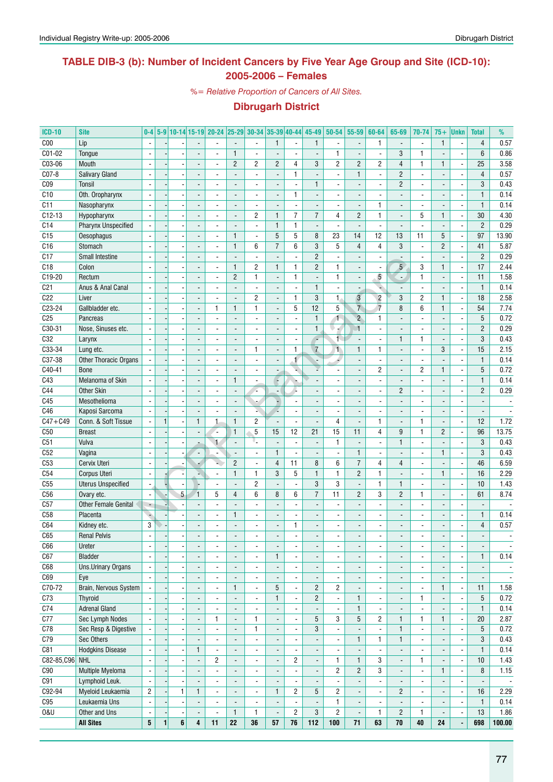### **TABLE DIB-3 (b): Number of Incident Cancers by Five Year Age Group and Site (ICD-10): 2005-2006 – Females**

*%= Relative Proportion of Cancers of All Sites.*

| <b>ICD-10</b>   | <b>Site</b>                  | $0-4$                    |              |                |                          | 5-9 10-14 15-19 20-24 25-29 30-34 35-39 40-44 |                              |                          |                          |                          | $45 - 49$                | 50-54                    | 55-59                        | 60-64                    | 65-69                    | 70-74                    | $75+$                    | Unkn                     | <b>Total</b>             | %                        |
|-----------------|------------------------------|--------------------------|--------------|----------------|--------------------------|-----------------------------------------------|------------------------------|--------------------------|--------------------------|--------------------------|--------------------------|--------------------------|------------------------------|--------------------------|--------------------------|--------------------------|--------------------------|--------------------------|--------------------------|--------------------------|
| C <sub>00</sub> | Lip                          | $\overline{\phantom{a}}$ |              |                |                          |                                               |                              | $\blacksquare$           | $\mathbf{1}$             | $\blacksquare$           | $\mathbf{1}$             | $\blacksquare$           | $\blacksquare$               | 1                        | $\blacksquare$           | $\blacksquare$           | $\mathbf{1}$             | $\overline{a}$           | $\overline{4}$           | 0.57                     |
| C01-02          | Tongue                       |                          |              |                |                          | $\overline{a}$                                | $\mathbf{1}$                 | ä,                       |                          |                          |                          | $\mathbf{1}$             | Ĭ.                           | ÷,                       | 3                        | $\mathbf{1}$             |                          | $\overline{a}$           | 6                        | 0.86                     |
| C03-06          | Mouth                        | $\overline{\phantom{a}}$ |              |                |                          | $\overline{a}$                                | $\overline{c}$               | 2                        | $\overline{2}$           | 4                        | 3                        | $\overline{c}$           | $\overline{2}$               | 2                        | $\overline{4}$           | $\mathbf{1}$             | $\mathbf{1}$             | l,                       | 25                       | 3.58                     |
| C07-8           | Salivary Gland               | $\mathbf{r}$             |              |                | $\overline{a}$           | $\blacksquare$                                | $\overline{a}$               | $\blacksquare$           | $\overline{a}$           | $\mathbf{1}$             |                          | $\overline{\phantom{a}}$ | $\mathbf{1}$                 | ÷,                       | $\overline{2}$           | ä,                       | $\overline{a}$           | $\overline{a}$           | 4                        | 0.57                     |
| C <sub>09</sub> | Tonsil                       | $\blacksquare$           |              |                |                          |                                               |                              | $\blacksquare$           |                          | $\blacksquare$           | $\mathbf{1}$             |                          | $\blacksquare$               | ä,                       | $\overline{2}$           | $\blacksquare$           |                          | ÷,                       | 3                        | 0.43                     |
| C10             | Oth. Oropharynx              |                          |              |                |                          |                                               |                              | ä,                       |                          | 1                        |                          |                          | $\qquad \qquad \blacksquare$ |                          |                          |                          |                          | $\overline{a}$           | $\mathbf{1}$             | 0.14                     |
| C11             | Nasopharynx                  | $\overline{\phantom{a}}$ |              |                |                          | $\overline{a}$                                |                              | $\overline{\phantom{a}}$ |                          | $\overline{\phantom{a}}$ |                          | $\overline{\phantom{a}}$ | $\overline{\phantom{a}}$     | $\mathbf{1}$             | $\overline{a}$           | $\overline{\phantom{a}}$ |                          | $\overline{a}$           | $\mathbf{1}$             | 0.14                     |
| $C12-13$        | Hypopharynx                  | ÷,                       |              |                |                          |                                               | $\overline{a}$               | 2                        | $\mathbf{1}$             | $\overline{7}$           | $\overline{7}$           | 4                        | $\overline{2}$               | $\mathbf{1}$             |                          | 5                        | $\mathbf{1}$             | ÷,                       | 30                       | 4.30                     |
| C14             | Pharynx Unspecified          |                          |              |                |                          | $\blacksquare$                                | $\overline{a}$               | $\overline{\phantom{a}}$ | $\mathbf{1}$             | $\mathbf{1}$             |                          |                          | $\overline{a}$               |                          |                          |                          |                          | $\overline{\phantom{a}}$ | $\overline{2}$           | 0.29                     |
| C15             | Oesophagus                   | $\blacksquare$           |              |                |                          | $\blacksquare$                                | $\mathbf{1}$                 | $\blacksquare$           | 5                        | 5                        | 8                        | 23                       | 14                           | 12                       | 13                       | 11                       | 5                        | ÷,                       | 97                       | 13.90                    |
| C16             | Stomach                      | $\blacksquare$           |              |                | $\overline{a}$           | $\overline{a}$                                | $\mathbf{1}$                 | 6                        | $\overline{7}$           | 6                        | 3                        | 5                        | $\overline{4}$               | 4                        | 3                        | ä,                       | $\overline{2}$           | $\blacksquare$           | 41                       | 5.87                     |
| C17             | Small Intestine              |                          |              |                |                          | $\blacksquare$                                |                              | $\overline{\phantom{a}}$ |                          | $\frac{1}{2}$            | $\overline{2}$           | $\overline{\phantom{a}}$ | $\overline{\phantom{a}}$     | $\overline{\phantom{a}}$ |                          | $\blacksquare$           |                          | $\overline{\phantom{a}}$ | $\overline{c}$           | 0.29                     |
| C18             | Colon                        |                          |              |                |                          |                                               | $\mathbf{1}$                 | 2                        | $\mathbf{1}$             | $\mathbf{1}$             | $\overline{2}$           | 1                        | ÷,                           |                          | $5\overline{)}$          | 3                        | $\mathbf{1}$             | ÷,                       | 17                       | 2.44                     |
| C19-20          | Rectum                       | ÷,                       |              |                | ٠                        | $\blacksquare$                                | $\overline{2}$               | $\mathbf{1}$             | $\overline{a}$           | $\mathbf{1}$             | $\blacksquare$           | $\mathbf{1}$             | $\overline{\phantom{a}}$     | 5                        | ÷.                       | $\mathbf{1}$             | $\blacksquare$           | $\overline{a}$           | 11                       | 1.58                     |
| C <sub>21</sub> | Anus & Anal Canal            |                          |              |                |                          |                                               |                              | ä,                       |                          | ÷,                       | $\mathbf{1}$             |                          | $\overline{a}$               | ٠                        |                          | $\overline{\phantom{a}}$ |                          | $\overline{a}$           | $\mathbf{1}$             | 0.14                     |
| C22             | Liver                        |                          |              |                |                          |                                               |                              | $\overline{2}$           | $\overline{a}$           | $\mathbf{1}$             | 3                        | $\mathbf{1}$             | $\overline{3}$               | $\overline{2}$           | 3                        | $\overline{2}$           | $\mathbf{1}$             | $\overline{\phantom{a}}$ | 18                       | 2.58                     |
| C23-24          | Gallbladder etc.             | $\mathbf{r}$             |              |                | $\overline{a}$           | $\mathbf{1}$                                  | $\mathbf{1}$                 | 1                        | $\overline{a}$           | 5                        | 12                       | 5                        | $\overline{7}$               | $\overline{7}$           | 8                        | $6\phantom{1}$           | $\mathbf{1}$             | $\overline{a}$           | 54                       | 7.74                     |
| C <sub>25</sub> | Pancreas                     | $\overline{\phantom{a}}$ |              |                | $\overline{a}$           | $\overline{a}$                                | $\overline{a}$               | ä,                       | $\overline{a}$           | $\overline{\phantom{a}}$ | $\mathbf{1}$             | $\mathbf{1}$             | $\overline{c}$               | 1                        |                          | $\overline{a}$           | $\blacksquare$           | $\blacksquare$           | 5                        | 0.72                     |
| $C30-31$        | Nose, Sinuses etc.           |                          |              |                |                          |                                               |                              | $\overline{\phantom{a}}$ |                          | $\overline{\phantom{a}}$ | $\mathbf{1}$             | $\pm$                    | 1                            | $\overline{\phantom{a}}$ |                          | $\overline{\phantom{a}}$ |                          | $\overline{\phantom{a}}$ | $\overline{c}$           | 0.29                     |
| C32             | Larynx                       | $\blacksquare$           |              |                |                          | $\overline{a}$                                |                              | $\overline{\phantom{a}}$ |                          | $\overline{\phantom{a}}$ | ç                        | 1.                       | $\overline{\phantom{a}}$     | $\blacksquare$           | $\mathbf{1}$             | $\mathbf{1}$             |                          | $\overline{a}$           | 3                        | 0.43                     |
| C33-34          | Lung etc.                    |                          |              |                | $\overline{a}$           | $\overline{a}$                                | $\overline{a}$               | $\mathbf{1}$             | $\overline{a}$           | $\mathbf{1}$             | $\overline{7}$           | $\uparrow$               | $\mathbf{1}$                 | 1                        | $\blacksquare$           | $\blacksquare$           | 3                        | ÷,                       | 15                       | 2.15                     |
| C37-38          | <b>Other Thoracic Organs</b> |                          |              |                |                          |                                               |                              | ä,                       |                          | 1                        |                          |                          | $\overline{a}$               |                          |                          | $\overline{\phantom{a}}$ |                          | $\overline{a}$           | $\mathbf{1}$             | 0.14                     |
| C40-41          | <b>Bone</b>                  |                          |              |                |                          |                                               |                              | ÷,                       |                          | ч                        |                          |                          | $\overline{a}$               | $\overline{c}$           |                          | $\overline{2}$           | $\mathbf{1}$             | l,                       | 5                        | 0.72                     |
| C43             | Melanoma of Skin             | $\overline{\phantom{a}}$ |              |                | $\overline{\phantom{a}}$ | $\blacksquare$                                | $\mathbf{1}$                 | $\overline{\phantom{a}}$ | ¥                        | r,                       |                          |                          | $\overline{\phantom{a}}$     | $\overline{a}$           | $\overline{\phantom{a}}$ | $\overline{\phantom{a}}$ | $\overline{\phantom{a}}$ | $\overline{a}$           | $\mathbf{1}$             | 0.14                     |
| C44             | Other Skin                   | $\overline{\phantom{a}}$ |              |                |                          | $\overline{a}$                                |                              | ÷.                       | $\blacksquare$           | 4                        |                          |                          | $\overline{a}$               | $\blacksquare$           | $\overline{c}$           | $\overline{a}$           |                          | $\overline{a}$           | $\overline{2}$           | 0.29                     |
| C45             | Mesothelioma                 |                          |              |                |                          |                                               |                              | ٠                        |                          | $\overline{\phantom{m}}$ |                          |                          | $\qquad \qquad \blacksquare$ | ٠                        |                          | $\overline{\phantom{a}}$ |                          | $\overline{a}$           | $\overline{\phantom{a}}$ |                          |
| C46             | Kaposi Sarcoma               | $\blacksquare$           |              |                |                          | $\blacksquare$                                |                              | L.                       |                          | $\overline{\phantom{a}}$ |                          | $\overline{\phantom{a}}$ | $\overline{a}$               | $\overline{a}$           |                          | $\overline{\phantom{a}}$ |                          | $\overline{a}$           | $\overline{\phantom{a}}$ | $\blacksquare$           |
| $C47 + C49$     | Conn. & Soft Tissue          | ÷,                       |              |                | $\mathbf{1}$             | $\mathbf{1}$                                  | $\mathbf{1}$                 | 2                        | ÷,                       | $\overline{\phantom{a}}$ | $\overline{a}$           | 4                        | $\overline{a}$               | 1                        |                          | $\mathbf{1}$             | $\overline{\phantom{a}}$ | ÷,                       | 12                       | 1.72                     |
| C50             | <b>Breast</b>                |                          |              |                |                          |                                               | $\mathbf{1}$                 | 5                        | 15                       | 12                       | 21                       | 15                       | 11                           | $\overline{4}$           | 9                        | $\mathbf{1}$             | $\overline{2}$           | ÷,                       | 96                       | 13.75                    |
| C51             | Vulva                        | $\mathbf{r}$             |              |                |                          | $\mathbf{1}$                                  |                              | Ю,                       |                          | $\overline{\phantom{a}}$ |                          | $\mathbf{1}$             | $\blacksquare$               | $\overline{a}$           | $\mathbf{1}$             | $\blacksquare$           |                          | ÷,                       | 3                        | 0.43                     |
| C52             | Vagina                       | $\blacksquare$           |              |                | $\blacksquare$           | $\blacksquare$                                | $\overline{\phantom{a}}$     | $\overline{\phantom{a}}$ | $\mathbf{1}$             | $\blacksquare$           |                          | $\blacksquare$           | $\mathbf{1}$                 | $\overline{\phantom{a}}$ | $\overline{a}$           | $\overline{\phantom{a}}$ | $\mathbf{1}$             | $\overline{a}$           | 3                        | 0.43                     |
| C <sub>53</sub> | Cervix Uteri                 | $\blacksquare$           |              |                |                          | ×.                                            | $\overline{2}$               | $\blacksquare$           | $\overline{4}$           | 11                       | 8                        | 6                        | $\overline{7}$               | 4                        | 4                        | ä,                       |                          | ÷,                       | 46                       | 6.59                     |
| C54             | Corpus Uteri                 |                          |              |                |                          |                                               | $\mathbf{1}$                 | 1                        | 3                        | 5                        | $\mathbf{1}$             | $\mathbf{1}$             | $\overline{2}$               | 1                        |                          | $\overline{\phantom{a}}$ | $\mathbf{1}$             | $\overline{\phantom{a}}$ | 16                       | 2.29                     |
| C55             | <b>Uterus Unspecified</b>    | $\blacksquare$           |              |                |                          | $\overline{a}$                                |                              | 2                        |                          | $\frac{1}{2}$            | 3                        | 3                        | $\blacksquare$               | $\mathbf{1}$             | $\mathbf{1}$             | $\overline{\phantom{a}}$ | $\blacksquare$           | $\overline{a}$           | 10                       | 1.43                     |
| C <sub>56</sub> | Ovary etc.                   | $\blacksquare$           |              | $\overline{5}$ | $\overline{1}$           | 5                                             | $\overline{4}$               | 6                        | 8                        | 6                        | $\overline{7}$           | 11                       | $\overline{c}$               | 3                        | $\overline{2}$           | $\mathbf{1}$             | $\overline{\phantom{a}}$ | ÷,                       | 61                       | 8.74                     |
| C57             | <b>Other Female Genital</b>  | $\overline{\phantom{a}}$ |              |                |                          |                                               |                              | ä,                       |                          | ä,                       |                          |                          | $\overline{a}$               |                          |                          | $\overline{\phantom{a}}$ | $\overline{\phantom{a}}$ | $\overline{\phantom{a}}$ |                          |                          |
| C <sub>58</sub> | Placenta                     | ٠                        |              |                |                          | ÷,                                            | $\mathbf{1}$                 | $\blacksquare$           |                          | $\overline{a}$           |                          |                          | Ĭ.                           | ٠                        |                          | $\overline{\phantom{a}}$ | $\overline{\phantom{a}}$ | $\overline{\phantom{a}}$ | $\mathbf{1}$             | 0.14                     |
| C64             | Kidney etc.                  | 3                        |              |                |                          | $\blacksquare$                                |                              | $\overline{\phantom{a}}$ |                          | $\mathbf{1}$             |                          |                          | L,                           |                          |                          | ä,                       |                          | $\overline{a}$           | $\overline{4}$           | 0.57                     |
| C65             | <b>Renal Pelvis</b>          | ÷,                       |              |                |                          |                                               |                              | L.                       |                          | $\overline{a}$           |                          |                          | ÷,                           | $\overline{\phantom{a}}$ |                          | ÷,                       | $\blacksquare$           | $\overline{a}$           | $\overline{a}$           | $\blacksquare$           |
| C66             | Ureter                       | $\overline{\phantom{a}}$ |              | $\overline{a}$ |                          | $\overline{\phantom{a}}$                      |                              | ۰                        | $\overline{\phantom{a}}$ | $\overline{\phantom{a}}$ | ۰                        | $\overline{\phantom{a}}$ | ٠                            |                          |                          | $\overline{\phantom{a}}$ | $\overline{\phantom{a}}$ | $\overline{\phantom{a}}$ | ۰                        | $\overline{\phantom{a}}$ |
| C67             | Bladder                      | $\overline{\phantom{a}}$ |              |                |                          | $\blacksquare$                                | $\overline{a}$               | $\blacksquare$           | $\mathbf{1}$             | $\overline{\phantom{a}}$ | $\overline{a}$           | $\overline{\phantom{a}}$ | $\overline{a}$               | $\blacksquare$           |                          | $\overline{a}$           | $\blacksquare$           | $\overline{a}$           | $\mathbf{1}$             | 0.14                     |
| C68             | Uns.Urinary Organs           | $\blacksquare$           |              |                | $\overline{\phantom{a}}$ | $\blacksquare$                                | $\overline{\phantom{a}}$     | $\overline{\phantom{a}}$ | $\overline{\phantom{a}}$ | $\overline{\phantom{a}}$ | $\blacksquare$           | $\blacksquare$           | $\overline{\phantom{a}}$     | $\overline{\phantom{a}}$ | $\overline{\phantom{a}}$ | $\blacksquare$           | $\blacksquare$           | $\overline{\phantom{a}}$ | $\overline{\phantom{a}}$ | $\overline{\phantom{a}}$ |
| C69             | Eye                          |                          |              |                |                          | $\overline{a}$                                |                              | $\overline{\phantom{a}}$ |                          | $\overline{\phantom{a}}$ |                          |                          | $\overline{a}$               | $\blacksquare$           | $\overline{\phantom{a}}$ | $\overline{a}$           |                          | $\overline{a}$           |                          | $\overline{\phantom{a}}$ |
| C70-72          | Brain, Nervous System        | $\overline{\phantom{a}}$ |              |                | $\overline{\phantom{a}}$ | $\overline{\phantom{a}}$                      | $\mathbf{1}$                 | $\overline{\phantom{a}}$ | 5                        | $\overline{\phantom{a}}$ | $\overline{2}$           | $\overline{c}$           | $\overline{\phantom{a}}$     |                          | $\overline{\phantom{a}}$ |                          | $\mathbf{1}$             | -                        | 11                       | 1.58                     |
| C73             | Thyroid                      | $\blacksquare$           |              |                | $\overline{\phantom{a}}$ | $\blacksquare$                                | ÷,                           | $\overline{\phantom{a}}$ | $\mathbf{1}$             | $\blacksquare$           | $\overline{2}$           | $\overline{\phantom{a}}$ | $\mathbf{1}$                 | $\overline{\phantom{a}}$ | $\overline{\phantom{a}}$ | $\mathbf{1}$             |                          | $\overline{a}$           | 5                        | 0.72                     |
| C <sub>74</sub> | <b>Adrenal Gland</b>         | $\blacksquare$           |              | ٠              | $\overline{\phantom{a}}$ | $\blacksquare$                                | $\overline{\phantom{a}}$     | ÷,                       | $\overline{\phantom{a}}$ | $\overline{\phantom{a}}$ |                          | $\overline{\phantom{a}}$ | $\mathbf{1}$                 | $\overline{\phantom{a}}$ | $\overline{\phantom{a}}$ | $\blacksquare$           | $\blacksquare$           | $\overline{\phantom{a}}$ | $\mathbf{1}$             | 0.14                     |
| C77             | Sec Lymph Nodes              | $\overline{\phantom{a}}$ |              |                | $\overline{\phantom{a}}$ | 1                                             | $\overline{\phantom{a}}$     | 1                        | $\overline{\phantom{a}}$ | $\overline{\phantom{a}}$ | 5                        | 3                        | 5                            | $\overline{c}$           | $\mathbf{1}$             | $\mathbf{1}$             | $\mathbf{1}$             | $\overline{\phantom{a}}$ | 20                       | 2.87                     |
| C78             | Sec Resp & Digestive         |                          |              |                | $\overline{\phantom{a}}$ | $\blacksquare$                                | $\qquad \qquad \blacksquare$ | 1                        | $\overline{\phantom{a}}$ | $\overline{\phantom{a}}$ | 3                        | $\blacksquare$           | $\overline{\phantom{a}}$     | $\overline{\phantom{a}}$ | $\mathbf{1}$             | $\overline{\phantom{a}}$ | $\overline{\phantom{a}}$ | $\overline{a}$           | 5                        | 0.72                     |
| C79             | Sec Others                   | $\overline{\phantom{a}}$ |              |                | $\overline{\phantom{a}}$ | $\blacksquare$                                | $\overline{\phantom{a}}$     | $\overline{\phantom{a}}$ | $\overline{\phantom{a}}$ | $\blacksquare$           | $\blacksquare$           | $\overline{\phantom{a}}$ | $\mathbf{1}$                 | 1                        | $\mathbf{1}$             | $\overline{\phantom{a}}$ | $\overline{\phantom{a}}$ | ÷,                       | $\mathbf{3}$             | 0.43                     |
| C81             | <b>Hodgkins Disease</b>      | $\blacksquare$           |              |                | $\mathbf{1}$             | $\overline{a}$                                | $\blacksquare$               | $\blacksquare$           | $\overline{\phantom{a}}$ | $\blacksquare$           | $\overline{\phantom{a}}$ | $\overline{\phantom{a}}$ | $\blacksquare$               | $\overline{\phantom{a}}$ | $\blacksquare$           | ä,                       | $\blacksquare$           | $\blacksquare$           | $\mathbf{1}$             | 0.14                     |
| C82-85, C96 NHL |                              |                          |              |                | $\overline{\phantom{a}}$ | $\overline{c}$                                | $\overline{\phantom{a}}$     | $\overline{\phantom{a}}$ |                          | $\overline{\mathbf{c}}$  | $\overline{\phantom{a}}$ | $\mathbf{1}$             | $\mathbf{1}$                 | 3                        | $\overline{\phantom{0}}$ | $\mathbf{1}$             |                          | $\overline{\phantom{a}}$ | 10                       | 1.43                     |
| C90             | Multiple Myeloma             | $\blacksquare$           |              |                | $\overline{a}$           | $\overline{a}$                                | $\overline{\phantom{a}}$     | $\blacksquare$           | $\blacksquare$           | $\blacksquare$           |                          | $\overline{2}$           | $\overline{2}$               | 3                        | $\blacksquare$           | $\overline{\phantom{a}}$ | $\mathbf{1}$             | Ĭ.                       | 8                        | 1.15                     |
| C91             | Lymphoid Leuk.               | $\blacksquare$           |              |                | $\overline{\phantom{a}}$ | $\overline{\phantom{a}}$                      | $\blacksquare$               | $\overline{\phantom{a}}$ | $\overline{\phantom{a}}$ | $\overline{\phantom{a}}$ | $\overline{\phantom{a}}$ | $\overline{\phantom{a}}$ | $\overline{\phantom{a}}$     | $\overline{\phantom{a}}$ | $\overline{\phantom{a}}$ | $\overline{\phantom{a}}$ | $\blacksquare$           | $\blacksquare$           | $\overline{\phantom{a}}$ | $\overline{\phantom{a}}$ |
| C92-94          | Myeloid Leukaemia            | $\overline{2}$           |              | $\mathbf{1}$   | $\mathbf{1}$             | $\blacksquare$                                | $\overline{\phantom{a}}$     | $\blacksquare$           | $\mathbf{1}$             | $\overline{2}$           | $5\overline{)}$          | $\overline{c}$           | $\overline{\phantom{a}}$     | $\overline{\phantom{a}}$ | $\overline{c}$           | $\overline{\phantom{a}}$ | $\overline{\phantom{a}}$ | $\overline{\phantom{a}}$ | 16                       | 2.29                     |
| C95             | Leukaemia Uns                | $\overline{\phantom{a}}$ |              |                | $\overline{\phantom{a}}$ | $\overline{\phantom{a}}$                      | $\overline{\phantom{a}}$     | ۰                        | $\overline{\phantom{a}}$ |                          |                          | $\mathbf{1}$             | ۰                            |                          | $\overline{\phantom{a}}$ | $\overline{\phantom{a}}$ | $\overline{\phantom{a}}$ |                          | $\mathbf{1}$             | 0.14                     |
| <b>0&amp;U</b>  | Other and Uns                | $\overline{\phantom{a}}$ |              |                | $\overline{\phantom{a}}$ | $\overline{\phantom{a}}$                      | $\mathbf{1}$                 | 1                        |                          | $\overline{2}$           | 3                        | $\overline{2}$           | $\blacksquare$               | $\mathbf{1}$             | $\overline{2}$           | $\mathbf{1}$             | $\overline{\phantom{a}}$ | $\overline{\phantom{a}}$ | 13                       | 1.86                     |
|                 | <b>All Sites</b>             | $5\phantom{.0}$          | $\mathbf{1}$ | 6              | 4                        | 11                                            | 22                           | 36                       | 57                       | 76                       | 112                      | 100                      | 71                           | 63                       | $70\,$                   | 40                       | 24                       |                          | 698                      | 100.00                   |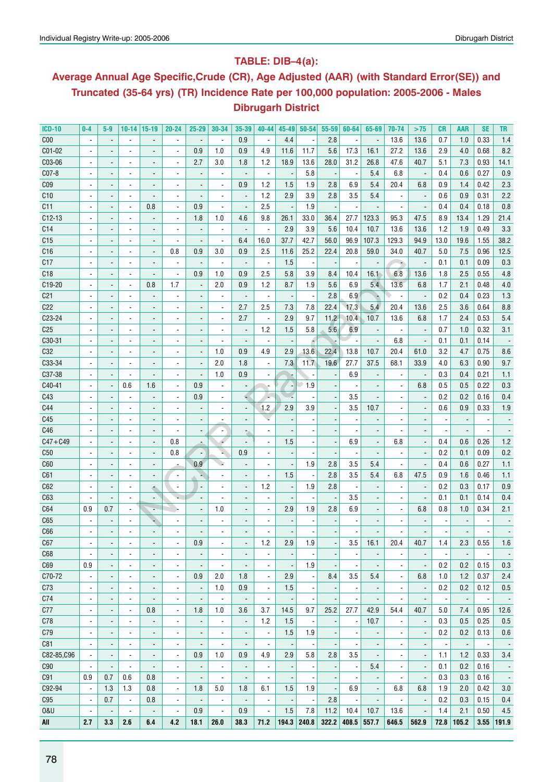## **Table: DIB–4(a):**

## **Average Annual Age Specific,Crude (CR), Age Adjusted (AAR) (with Standard Error(SE)) and Truncated (35-64 yrs) (TR) Incidence Rate per 100,000 population: 2005-2006 - Males Dibrugarh District**

| <b>ICD-10</b>       | $0-4$                    | 5-9                      | 10-14                    | $ 15-19$                     | 20-24                    | $25 - 29$                | 30-34                    | 35-39                        | $40 - 44$                | 45-49                    | $50 - 54$                | 55-59                    | 60-64                    | 65-69                    | 70-74                    | >75                      | CR                       | AAR                      | <b>SE</b> | TR                       |
|---------------------|--------------------------|--------------------------|--------------------------|------------------------------|--------------------------|--------------------------|--------------------------|------------------------------|--------------------------|--------------------------|--------------------------|--------------------------|--------------------------|--------------------------|--------------------------|--------------------------|--------------------------|--------------------------|-----------|--------------------------|
| C <sub>00</sub>     | $\blacksquare$           | $\overline{\phantom{a}}$ | $\overline{\phantom{a}}$ |                              | $\overline{\phantom{a}}$ | $\overline{a}$           | $\overline{\phantom{a}}$ | 0.9                          | $\blacksquare$           | 4.4                      |                          | 2.8                      | $\overline{\phantom{a}}$ | $\overline{\phantom{a}}$ | 13.6                     | 13.6                     | 0.7                      | 1.0                      | 0.33      | $1.4$                    |
| C01-02              | $\overline{\phantom{0}}$ |                          | $\overline{\phantom{a}}$ | $\overline{a}$               | $\blacksquare$           | 0.9                      | 1.0                      | 0.9                          | 4.9                      | 11.6                     | 11.7                     | 5.6                      | 17.3                     | 16.1                     | 27.2                     | 13.6                     | 2.9                      | 4.0                      | 0.68      | 8.2                      |
| C03-06              | $\overline{\phantom{0}}$ |                          | $\overline{\phantom{a}}$ | $\overline{\phantom{0}}$     | $\blacksquare$           | 2.7                      | 3.0                      | 1.8                          | 1.2                      | 18.9                     | 13.6                     | 28.0                     | 31.2                     | 26.8                     | 47.6                     | 40.7                     | 5.1                      | 7.3                      | 0.93      | 14.1                     |
| $CO7-8$             | $\overline{\phantom{0}}$ |                          | ٠                        | $\overline{\phantom{0}}$     | $\blacksquare$           | $\overline{a}$           | $\blacksquare$           | $\blacksquare$               | $\blacksquare$           |                          | 5.8                      | $\overline{\phantom{a}}$ | $\overline{\phantom{a}}$ | 5.4                      | 6.8                      | $\overline{\phantom{a}}$ | 0.4                      | 0.6                      | 0.27      | 0.9                      |
| C <sub>09</sub>     | $\overline{\phantom{0}}$ |                          | $\overline{\phantom{a}}$ | $\overline{\phantom{a}}$     | $\blacksquare$           | ÷,                       | $\blacksquare$           | 0.9                          | 1.2                      | 1.5                      | 1.9                      | 2.8                      | 6.9                      | 5.4                      | 20.4                     | 6.8                      | 0.9                      | 1.4                      | 0.42      | 2.3                      |
| C10                 | $\overline{\phantom{0}}$ |                          | $\overline{\phantom{a}}$ | ÷,                           | $\blacksquare$           |                          | $\blacksquare$           | $\centerdot$                 | 1.2                      | 2.9                      | 3.9                      | 2.8                      | 3.5                      | 5.4                      | ä,                       | $\overline{\phantom{a}}$ | 0.6                      | 0.9                      | 0.31      | 2.2                      |
| C <sub>11</sub>     | $\overline{\phantom{a}}$ |                          | $\blacksquare$           | 0.8                          | ä,                       | 0.9                      | $\blacksquare$           | $\centerdot$                 | 2.5                      |                          | 1.9                      |                          |                          | $\overline{\phantom{a}}$ | $\overline{\phantom{a}}$ | $\overline{a}$           | 0.4                      | 0.4                      | 0.18      | 0.8                      |
| $C12-13$            |                          |                          | $\overline{\phantom{a}}$ | ÷,                           | $\blacksquare$           | 1.8                      | 1.0                      | 4.6                          | 9.8                      | 26.1                     | 33.0                     | 36.4                     | 27.7                     | 123.3                    | 95.3                     | 47.5                     | 8.9                      | 13.4                     | 1.29      | 21.4                     |
| C <sub>14</sub>     | $\overline{\phantom{0}}$ |                          | $\overline{\phantom{a}}$ | $\overline{\phantom{0}}$     | $\blacksquare$           | $\overline{\phantom{a}}$ | $\blacksquare$           | $\overline{a}$               | $\blacksquare$           | 2.9                      | 3.9                      | 5.6                      | 10.4                     | 10.7                     | 13.6                     | 13.6                     | 1.2                      | 1.9                      | 0.49      | 3.3                      |
| C15                 | $\overline{\phantom{0}}$ |                          | $\overline{\phantom{a}}$ | $\overline{\phantom{0}}$     | ÷,                       | ÷,                       | $\blacksquare$           | 6.4                          | 16.0                     | 37.7                     | 42.7                     | 56.0                     | 96.9                     | 107.3                    | 129.3                    | 94.9                     | 13.0                     | 19.6                     | 1.55      | 38.2                     |
| C16                 | $\overline{\phantom{0}}$ |                          | $\overline{\phantom{a}}$ | $\overline{\phantom{0}}$     | 0.8                      | 0.9                      | 3.0                      | 0.9                          | 2.5                      | 11.6                     | 25.2                     | 22.4                     | 20.8                     | 59.0                     | 34.0                     | 40.7                     | 5.0                      | 7.5                      | 0.96      | 12.5                     |
| C17                 | $\overline{\phantom{0}}$ |                          | ٠                        | $\overline{\phantom{0}}$     | $\overline{\phantom{a}}$ | $\overline{\phantom{a}}$ | $\overline{\phantom{a}}$ | $\centerdot$                 | $\blacksquare$           | 1.5                      | $\overline{a}$           | $\overline{\phantom{a}}$ |                          | $\overline{\phantom{a}}$ | ÷                        | $\overline{\phantom{a}}$ | 0.1                      | 0.1                      | 0.09      | 0.3                      |
| C18                 | $\overline{\phantom{a}}$ |                          | $\overline{\phantom{a}}$ | $\overline{a}$               | $\overline{\phantom{a}}$ | 0.9                      | 1.0                      | 0.9                          | 2.5                      | 5.8                      | 3.9                      | 8.4                      | 10.4                     | 16.1                     | 6.8                      | 13.6                     | 1.8                      | 2.5                      | 0.55      | 4.8                      |
| C <sub>19</sub> -20 | $\overline{\phantom{0}}$ |                          | $\blacksquare$           | 0.8                          | 1.7                      | $\overline{\phantom{a}}$ | 2.0                      | 0.9                          | 1.2                      | 8.7                      | 1.9                      | 5.6                      | 6.9                      | 5.4                      | 13.6                     | 6.8                      | 1.7                      | 2.1                      | 0.48      | 4.0                      |
| C <sub>21</sub>     | $\overline{\phantom{0}}$ |                          | $\overline{\phantom{a}}$ |                              | $\blacksquare$           | $\overline{\phantom{a}}$ | $\blacksquare$           | $\blacksquare$               | $\overline{\phantom{a}}$ |                          | $\overline{a}$           | 2.8                      | 6.9                      | N.                       |                          | $\overline{\phantom{a}}$ | 0.2                      | 0.4                      | 0.23      | 1.3                      |
| C <sub>22</sub>     | $\overline{\phantom{0}}$ |                          | $\overline{\phantom{a}}$ | $\overline{\phantom{0}}$     | $\blacksquare$           |                          | $\blacksquare$           | 2.7                          | 2.5                      | 7.3                      | 7.8                      | 22.4                     | 17.3                     | 5.4                      | 20.4                     | 13.6                     | 2.5                      | 3.6                      | 0.64      | 8.8                      |
| C23-24              | $\overline{\phantom{0}}$ |                          | $\overline{\phantom{a}}$ | $\overline{\phantom{0}}$     | $\blacksquare$           |                          | $\blacksquare$           | 2.7                          | $\overline{\phantom{a}}$ | 2.9                      | 9.7                      | 11.2                     | 10.4                     | 10.7                     | 13.6                     | 6.8                      | 1.7                      | 2.4                      | 0.53      | 5.4                      |
| C <sub>25</sub>     | $\overline{\phantom{a}}$ |                          | $\overline{\phantom{a}}$ | $\overline{\phantom{0}}$     | $\blacksquare$           | ÷,                       | $\overline{\phantom{0}}$ | $\centerdot$                 | 1.2                      | 1.5                      | 5.8                      | 5.6                      | 6.9                      | $\blacksquare$           | ä,                       | $\overline{\phantom{a}}$ | 0.7                      | 1.0                      | 0.32      | 3.1                      |
| C30-31              | $\overline{\phantom{0}}$ |                          |                          | $\overline{\phantom{0}}$     | $\blacksquare$           | $\overline{a}$           | $\blacksquare$           | $\blacksquare$               | $\blacksquare$           |                          |                          |                          |                          | $\overline{\phantom{a}}$ | 6.8                      | $\overline{\phantom{a}}$ | 0.1                      | 0.1                      | 0.14      |                          |
| C32                 |                          |                          | ٠                        |                              |                          |                          |                          |                              |                          |                          |                          |                          |                          |                          |                          |                          |                          |                          |           |                          |
| C33-34              | $\overline{\phantom{0}}$ |                          | ä,                       | $\overline{\phantom{0}}$     | $\blacksquare$           | $\overline{a}$           | 1.0                      | 0.9                          | 4.9                      | 2.9                      | 13.6                     | 22.4                     | 13.8                     | 10.7                     | 20.4                     | 61.0                     | 3.2                      | 4.7                      | 0.75      | 8.6<br>9.7               |
|                     | $\overline{\phantom{a}}$ |                          | $\blacksquare$           | $\overline{a}$               | $\blacksquare$           | $\overline{a}$           | 2.0                      | 1.8                          | ä,                       | 7.3                      | 11.7                     | 19.6                     | 27.7                     | 37.5                     | 68.1                     | 33.9                     | 4.0                      | 6.3                      | 0.90      |                          |
| C37-38              |                          |                          | $\blacksquare$           |                              |                          |                          | 1.0                      | 0.9                          |                          |                          |                          |                          | 6.9                      |                          |                          |                          | 0.3                      | 0.4                      | 0.21      | 1.1                      |
| C40-41              |                          |                          | 0.6                      | 1.6                          |                          | 0.9                      | $\blacksquare$           | $\overline{\phantom{m}}$     |                          | $\overline{\phantom{a}}$ | 1.9                      |                          |                          |                          |                          | 6.8                      | 0.5                      | 0.5                      | 0.22      | 0.3                      |
| C43                 |                          |                          | ä,                       |                              |                          | 0.9                      |                          | €                            |                          |                          |                          |                          | 3.5                      |                          |                          |                          | 0.2                      | 0.2                      | 0.16      | 0.4                      |
| C44                 |                          |                          | $\blacksquare$           |                              |                          |                          |                          | $\overline{\phantom{a}}$     | 1.2                      | 2.9                      | 3.9                      |                          | 3.5                      | 10.7                     |                          |                          | 0.6                      | 0.9                      | 0.33      | 1.9                      |
| C45                 |                          |                          | $\blacksquare$           |                              |                          |                          |                          | $\overline{a}$               |                          |                          |                          |                          |                          |                          |                          |                          |                          |                          |           |                          |
| C46                 |                          |                          | ٠                        |                              |                          |                          | $\blacksquare$           | $\overline{\phantom{a}}$     |                          |                          |                          |                          |                          |                          |                          |                          |                          |                          |           |                          |
| $C47 + C49$         |                          |                          | $\overline{\phantom{a}}$ | $\overline{a}$               | 0.8                      |                          |                          | $\overline{a}$               | $\blacksquare$           | 1.5                      |                          | $\overline{\phantom{a}}$ | 6.9                      |                          | 6.8                      | $\overline{a}$           | 0.4                      | 0.6                      | 0.26      | 1.2                      |
| C50                 |                          |                          | ÷,                       | $\overline{a}$               | 0.8                      |                          |                          | 0.9                          | ä,                       |                          |                          |                          |                          |                          |                          | $\overline{a}$           | 0.2                      | 0.1                      | 0.09      | 0.2                      |
| C60                 |                          |                          | $\overline{\phantom{0}}$ | $\qquad \qquad \blacksquare$ |                          | 0.9                      |                          | $\qquad \qquad \blacksquare$ | ä,                       |                          | 1.9                      | 2.8                      | 3.5                      | 5.4                      |                          | ٠                        | 0.4                      | 0.6                      | 0.27      | 1.1                      |
| C61                 |                          |                          | $\overline{\phantom{0}}$ | $\qquad \qquad \blacksquare$ | ÷,                       |                          |                          | $\qquad \qquad \blacksquare$ | ÷,                       | 1.5                      |                          | 2.8                      | 3.5                      | 5.4                      | 6.8                      | 47.5                     | 0.9                      | 1.6                      | 0.46      | 1.1                      |
| C62                 |                          |                          | $\overline{\phantom{a}}$ | ٠                            |                          | $\overline{a}$           | ٠                        | $\overline{\phantom{a}}$     | 1.2                      |                          | 1.9                      | 2.8                      |                          | $\overline{\phantom{a}}$ |                          |                          | 0.2                      | 0.3                      | 0.17      | 0.9                      |
| C63                 |                          |                          | $\overline{\phantom{a}}$ | $\overline{\phantom{a}}$     |                          |                          | ٠                        | $\overline{\phantom{a}}$     | ۰                        |                          |                          | $\overline{\phantom{a}}$ | 3.5                      |                          |                          |                          | 0.1                      | 0.1                      | 0.14      | 0.4                      |
| C64                 | 0.9                      | 0.7                      | $\overline{\phantom{a}}$ | Ξ                            |                          |                          | 1.0                      | $\overline{\phantom{a}}$     | $\overline{\phantom{a}}$ | 2.9                      | 1.9                      | 2.8                      | 6.9                      |                          |                          | 6.8                      | 0.8                      | 1.0                      | 0.34      | 2.1                      |
| C65                 |                          |                          | $\overline{\phantom{a}}$ | ۰                            |                          |                          |                          | $\qquad \qquad \blacksquare$ |                          |                          |                          |                          |                          |                          |                          |                          |                          |                          |           |                          |
| C66                 |                          |                          |                          |                              |                          |                          |                          |                              |                          |                          |                          |                          |                          |                          |                          |                          |                          |                          |           |                          |
| C67                 |                          |                          |                          |                              |                          | 0.9                      |                          |                              | 1.2                      | 2.9                      | 1.9                      |                          | 3.5                      | 16.1                     | 20.4                     | 40.7                     | 1.4                      | 2.3                      | $0.55\,$  | $1.6$                    |
| C68                 | $\blacksquare$           | $\overline{\phantom{a}}$ | $\overline{\phantom{a}}$ | $\qquad \qquad \blacksquare$ | $\overline{\phantom{a}}$ | $\overline{a}$           | $\overline{\phantom{a}}$ | $\overline{\phantom{a}}$     | $\overline{\phantom{a}}$ |                          |                          |                          |                          | $\overline{\phantom{a}}$ | $\overline{\phantom{a}}$ | $\overline{\phantom{a}}$ |                          |                          |           |                          |
| C69                 | 0.9                      | $\overline{\phantom{a}}$ | $\overline{\phantom{a}}$ | $\overline{\phantom{0}}$     | $\overline{\phantom{a}}$ | $\overline{\phantom{a}}$ | $\overline{\phantom{a}}$ | $\overline{\phantom{a}}$     | $\overline{\phantom{a}}$ |                          | 1.9                      |                          |                          | $\overline{\phantom{a}}$ | $\blacksquare$           | $\overline{\phantom{a}}$ | 0.2                      | 0.2                      | 0.15      | 0.3                      |
| C70-72              | $\blacksquare$           | $\overline{\phantom{a}}$ | $\overline{\phantom{a}}$ | $\overline{\phantom{0}}$     | $\blacksquare$           | 0.9                      | 2.0                      | 1.8                          | $\overline{\phantom{a}}$ | 2.9                      |                          | 8.4                      | 3.5                      | 5.4                      | $\blacksquare$           | 6.8                      | 1.0                      | 1.2                      | 0.37      | 2.4                      |
| C73                 | $\blacksquare$           | $\overline{\phantom{a}}$ | $\overline{\phantom{a}}$ | $\overline{\phantom{a}}$     | $\overline{\phantom{a}}$ | $\overline{\phantom{a}}$ | 1.0                      | 0.9                          | $\overline{\phantom{a}}$ | 1.5                      |                          |                          |                          | $\overline{\phantom{a}}$ | $\overline{\phantom{a}}$ | $\overline{\phantom{a}}$ | 0.2                      | 0.2                      | 0.12      | 0.5                      |
| C74                 | $\overline{\phantom{a}}$ | $\overline{\phantom{a}}$ | $\blacksquare$           | $\overline{\phantom{a}}$     | $\overline{\phantom{a}}$ | $\overline{\phantom{a}}$ | $\overline{\phantom{a}}$ | $\overline{\phantom{a}}$     | $\overline{\phantom{a}}$ |                          |                          |                          |                          | $\overline{\phantom{a}}$ | $\overline{\phantom{a}}$ | $\overline{\phantom{a}}$ | $\overline{\phantom{a}}$ | $\overline{\phantom{a}}$ |           | $\overline{\phantom{a}}$ |
| C77                 | $\overline{\phantom{a}}$ | $\overline{\phantom{a}}$ | $\blacksquare$           | 0.8                          | $\overline{\phantom{a}}$ | 1.8                      | 1.0                      | 3.6                          | 3.7                      | 14.5                     | 9.7                      | 25.2                     | 27.7                     | 42.9                     | 54.4                     | 40.7                     | 5.0                      | 7.4                      | 0.95      | 12.6                     |
| C78                 | $\blacksquare$           | $\overline{\phantom{a}}$ | $\blacksquare$           | $\overline{a}$               | $\blacksquare$           | $\overline{a}$           | $\overline{\phantom{a}}$ | $\overline{\phantom{a}}$     | 1.2                      | 1.5                      |                          | $\overline{\phantom{a}}$ | ٠                        | 10.7                     | $\overline{\phantom{a}}$ | $\overline{\phantom{a}}$ | 0.3                      | 0.5                      | 0.25      | 0.5                      |
| C79                 | $\blacksquare$           | $\overline{\phantom{a}}$ | $\blacksquare$           | $\overline{a}$               | $\blacksquare$           | $\overline{a}$           | $\overline{\phantom{a}}$ | $\overline{\phantom{a}}$     | $\overline{\phantom{a}}$ | 1.5                      | 1.9                      | $\overline{\phantom{a}}$ |                          | $\overline{\phantom{a}}$ | $\blacksquare$           | $\overline{\phantom{a}}$ | 0.2                      | 0.2                      | 0.13      | 0.6                      |
| C81                 | $\blacksquare$           | $\overline{\phantom{a}}$ | $\blacksquare$           | $\overline{\phantom{a}}$     | $\blacksquare$           | $\overline{\phantom{a}}$ | $\blacksquare$           | $\overline{\phantom{a}}$     | $\overline{\phantom{a}}$ |                          |                          |                          |                          | $\overline{\phantom{a}}$ | $\overline{\phantom{0}}$ | $\overline{\phantom{a}}$ |                          | $\overline{\phantom{a}}$ |           | $\sim$                   |
| C82-85, C96         | $\overline{a}$           | $\blacksquare$           | $\blacksquare$           | $\overline{a}$               | $\overline{\phantom{a}}$ | 0.9                      | 1.0                      | 0.9                          | 4.9                      | 2.9                      | 5.8                      | 2.8                      | 3.5                      | $\overline{\phantom{a}}$ | $\overline{\phantom{a}}$ | $\overline{\phantom{a}}$ | 1.1                      | 1.2                      | 0.33      | 3.4                      |
| C90                 | $\overline{\phantom{a}}$ | $\overline{\phantom{a}}$ | $\overline{a}$           | $\overline{a}$               | $\overline{\phantom{a}}$ | $\overline{\phantom{a}}$ | $\blacksquare$           | $\overline{\phantom{a}}$     | $\blacksquare$           |                          | $\overline{\phantom{a}}$ |                          |                          | 5.4                      | $\overline{\phantom{a}}$ | $\overline{a}$           | 0.1                      | 0.2                      | 0.16      | $\overline{\phantom{a}}$ |
| C91                 | 0.9                      | 0.7                      | 0.6                      | 0.8                          | $\overline{\phantom{a}}$ | $\overline{\phantom{a}}$ | $\sim$                   | $\overline{a}$               | $\blacksquare$           |                          |                          |                          |                          | $\overline{\phantom{a}}$ | $\overline{a}$           |                          | 0.3                      | 0.3                      | 0.16      | $\overline{\phantom{a}}$ |
| C92-94              | $\overline{\phantom{a}}$ | 1.3                      | 1.3                      | 0.8                          | $\overline{\phantom{a}}$ | 1.8                      | 5.0                      | 1.8                          | 6.1                      | 1.5                      | 1.9                      | $\overline{a}$           | 6.9                      | $\overline{\phantom{a}}$ | 6.8                      | 6.8                      | 1.9                      | 2.0                      | 0.42      | 3.0                      |
| C95                 | $\overline{\phantom{a}}$ | 0.7                      | $\blacksquare$           | 0.8                          | $\overline{\phantom{a}}$ | $\overline{\phantom{a}}$ | $\blacksquare$           | $\overline{\phantom{a}}$     | $\blacksquare$           |                          |                          | 2.8                      |                          | $\overline{\phantom{a}}$ |                          | $\overline{\phantom{a}}$ | 0.2                      | 0.3                      | 0.15      | 0.4                      |
| <b>0&amp;U</b>      | $\overline{a}$           | $\overline{\phantom{a}}$ | $\blacksquare$           | $\overline{\phantom{a}}$     | $\overline{a}$           | 0.9                      | $\blacksquare$           | 0.9                          | $\blacksquare$           | 1.5                      | 7.8                      | 11.2                     | 10.4                     | 10.7                     | 13.6                     |                          | 1.4                      | 2.1                      | 0.50      | 4.5                      |
| All                 | 2.7                      | 3.3                      | 2.6                      | 6.4                          | 4.2                      | 18.1                     | 26.0                     | 38.3                         | 71.2                     | $194.3$ 240.8            |                          | 322.2                    |                          | 408.5 557.7              | 646.5                    | 562.9                    | 72.8                     | 105.2                    |           | 3.55 191.9               |
|                     |                          |                          |                          |                              |                          |                          |                          |                              |                          |                          |                          |                          |                          |                          |                          |                          |                          |                          |           |                          |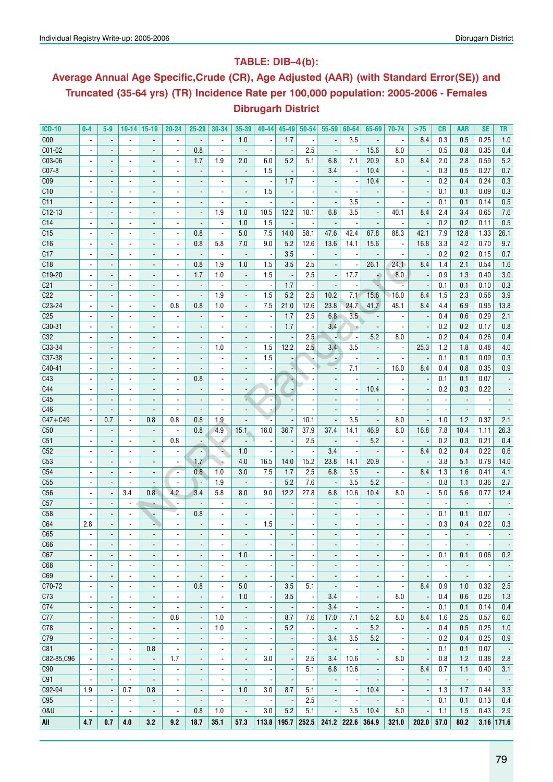## **Table: DIB–4(b):**

## **Average Annual Age Specific,Crude (CR), Age Adjusted (AAR) (with Standard Error(SE)) and Truncated (35-64 yrs) (TR) Incidence Rate per 100,000 population: 2005-2006 - Females Dibrugarh District**

| <b>ICD-10</b>   | $0-4$                    | $5-9$                    | 10-14                    | 15-19                        | 20-24                    | 25-29                    | 30-34                    | 35-39                        | $40 - 44$                | 45-49                    | $50 - 54$                | $55 - 59$                | 60-64                    | 65-69                    | 70-74                    | >75                      | <b>CR</b>                | AAR                      | <b>SE</b>                | TR                       |
|-----------------|--------------------------|--------------------------|--------------------------|------------------------------|--------------------------|--------------------------|--------------------------|------------------------------|--------------------------|--------------------------|--------------------------|--------------------------|--------------------------|--------------------------|--------------------------|--------------------------|--------------------------|--------------------------|--------------------------|--------------------------|
| C <sub>00</sub> |                          | $\blacksquare$           | ä,                       | $\overline{a}$               | $\overline{\phantom{a}}$ | $\overline{\phantom{a}}$ | $\overline{a}$           | 1.0                          | $\overline{\phantom{a}}$ | 1.7                      |                          |                          | 3.5                      | $\blacksquare$           | $\blacksquare$           | 8.4                      | 0.3                      | 0.5                      | 0.25                     | 1.0                      |
| C01-02          |                          |                          | $\overline{\phantom{a}}$ | $\overline{a}$               |                          | 0.8                      |                          | $\qquad \qquad \blacksquare$ | $\overline{\phantom{a}}$ |                          | 2.5                      |                          |                          | 15.6                     | 8.0                      |                          | 0.5                      | 0.8                      | 0.35                     | 0.4                      |
| C03-06          | $\blacksquare$           | $\blacksquare$           | $\overline{\phantom{a}}$ | $\overline{\phantom{a}}$     | $\overline{\phantom{a}}$ | 1.7                      | 1.9                      | 2.0                          | 6.0                      | 5.2                      | 5.1                      | 6.8                      | 7.1                      | 20.9                     | 8.0                      | 8.4                      | 2.0                      | 2.8                      | 0.59                     | 5.2                      |
| C07-8           |                          | $\overline{\phantom{a}}$ | $\overline{\phantom{a}}$ | $\qquad \qquad \blacksquare$ | $\overline{\phantom{a}}$ | $\overline{\phantom{a}}$ | $\blacksquare$           | $\overline{\phantom{a}}$     | 1.5                      |                          |                          | 3.4                      |                          | 10.4                     |                          | $\overline{\phantom{a}}$ | 0.3                      | 0.5                      | 0.27                     | $0.7\,$                  |
| C <sub>09</sub> |                          |                          | $\overline{a}$           | $\overline{a}$               |                          |                          |                          | $\overline{a}$               |                          | 1.7                      |                          |                          |                          | 10.4                     |                          |                          | 0.2                      | 0.4                      | 0.24                     | 0.3                      |
| C10             |                          | $\overline{\phantom{a}}$ | $\blacksquare$           | $\overline{a}$               | $\blacksquare$           | $\overline{\phantom{a}}$ | $\blacksquare$           | $\overline{\phantom{a}}$     | 1.5                      |                          |                          |                          |                          | $\blacksquare$           |                          |                          | 0.1                      | 0.1                      | 0.09                     | 0.3                      |
| C11             |                          | $\overline{a}$           | $\blacksquare$           | $\qquad \qquad \blacksquare$ | $\blacksquare$           | $\overline{a}$           |                          | $\overline{a}$               |                          |                          |                          | $\overline{\phantom{a}}$ | 3.5                      | $\overline{\phantom{a}}$ |                          |                          | 0.1                      | 0.1                      | 0.14                     | 0.5                      |
| $C12-13$        |                          |                          |                          |                              |                          |                          | 1.9                      |                              | 10.5                     | 12.2                     |                          | 6.8                      | 3.5                      |                          |                          | 8.4                      |                          |                          |                          | 7.6                      |
|                 |                          |                          | $\overline{\phantom{a}}$ | $\qquad \qquad \blacksquare$ |                          | $\overline{\phantom{a}}$ |                          | 1.0                          |                          |                          | 10.1                     |                          |                          | $\overline{\phantom{a}}$ | 40.1                     |                          | 2.4                      | 3.4                      | 0.65                     |                          |
| C14             |                          |                          | $\overline{\phantom{a}}$ | $\overline{\phantom{a}}$     |                          | $\overline{a}$           | $\overline{a}$           | 1.0                          | 1.5                      |                          |                          |                          |                          | $\overline{a}$           | $\overline{a}$           |                          | 0.2                      | 0.2                      | 0.11                     | 0.5                      |
| C <sub>15</sub> | $\blacksquare$           | $\overline{\phantom{a}}$ | $\blacksquare$           | $\overline{\phantom{a}}$     | $\blacksquare$           | 0.8                      | $\blacksquare$           | 5.0                          | 7.5                      | 14.0                     | 58.1                     | 47.6                     | 42.4                     | 67.8                     | 88.3                     | 42.1                     | 7.9                      | 12.8                     | 1.33                     | 26.1                     |
| C <sub>16</sub> |                          | $\overline{\phantom{a}}$ | $\blacksquare$           | $\qquad \qquad \blacksquare$ | $\overline{\phantom{a}}$ | 0.8                      | 5.8                      | 7.0                          | 9.0                      | 5.2                      | 12.6                     | 13.6                     | 14.1                     | 15.6                     | $\overline{\phantom{a}}$ | 16.8                     | 3.3                      | 4.2                      | 0.70                     | 9.7                      |
| C17             |                          |                          | $\overline{\phantom{a}}$ | $\qquad \qquad \blacksquare$ | $\overline{a}$           | $\overline{\phantom{a}}$ | $\overline{\phantom{a}}$ |                              |                          | 3.5                      |                          |                          |                          |                          | $\overline{\phantom{a}}$ |                          | 0.2                      | 0.2                      | 0.15                     | 0.7                      |
| C18             |                          |                          | $\blacksquare$           | $\overline{a}$               | $\overline{a}$           | 0.8                      | 1.9                      | 1.0                          | 1.5                      | 3.5                      | 2.5                      |                          |                          | 26.1                     | 24.1                     | 8.4                      | 1.4                      | 2.1                      | 0.54                     | 1.6                      |
| C19-20          |                          | $\overline{\phantom{a}}$ | $\blacksquare$           | $\blacksquare$               | $\blacksquare$           | 1.7                      | 1.0                      | $\overline{\phantom{a}}$     | 1.5                      |                          | 2.5                      | $\overline{\phantom{a}}$ | 17.7                     | ÷                        | 8.0                      |                          | 0.9                      | 1.3                      | 0.40                     | 3.0                      |
| C <sub>21</sub> |                          |                          | $\blacksquare$           | $\qquad \qquad \blacksquare$ |                          |                          |                          | $\overline{\phantom{a}}$     |                          | 1.7                      |                          |                          |                          | $\overline{\phantom{a}}$ |                          |                          | 0.1                      | 0.1                      | 0.10                     | 0.3                      |
| C22             | $\overline{a}$           |                          | $\blacksquare$           | $\overline{a}$               | $\overline{a}$           | $\overline{a}$           | 1.9                      | $\blacksquare$               | 1.5                      | 5.2                      | 2.5                      | 10.2                     | 7.1                      | 15.6                     | 16.0                     | 8.4                      | 1.5                      | 2.3                      | 0.56                     | 3.9                      |
| C23-24          | $\overline{\phantom{a}}$ | $\overline{\phantom{a}}$ | $\overline{\phantom{a}}$ | $\overline{\phantom{a}}$     | 0.8                      | 0.8                      | 1.0                      | $\blacksquare$               | 7.5                      | 21.0                     | 12.6                     | 23.8                     | 24.7                     | 41.7                     | 48.1                     | 8.4                      | 4.4                      | 6.9                      | 0.95                     | 13.8                     |
| C <sub>25</sub> | $\overline{\phantom{a}}$ | $\blacksquare$           | $\overline{\phantom{a}}$ | $\overline{\phantom{a}}$     | ä,                       | $\overline{a}$           | $\blacksquare$           | $\overline{\phantom{a}}$     | $\overline{\phantom{a}}$ | 1.7                      | 2.5                      | 6.8                      | 3.5                      | $\overline{\phantom{a}}$ | $\overline{a}$           | $\overline{\phantom{a}}$ | 0.4                      | 0.6                      | 0.29                     | 2.1                      |
| C30-31          |                          |                          | $\overline{\phantom{a}}$ | $\qquad \qquad \blacksquare$ | $\overline{\phantom{a}}$ |                          | $\overline{\phantom{a}}$ |                              | $\overline{\phantom{a}}$ | 1.7                      |                          | 3.4                      |                          | $\overline{\phantom{a}}$ | $\blacksquare$           | $\overline{\phantom{a}}$ | 0.2                      | 0.2                      | 0.17                     | 0.8                      |
| C32             |                          |                          | $\blacksquare$           |                              |                          |                          |                          |                              |                          |                          | 2.5                      |                          |                          | 5.2                      | 8.0                      |                          | 0.2                      | 0.4                      | 0.26                     | 0.4                      |
| C33-34          |                          | $\overline{\phantom{a}}$ | $\blacksquare$           | $\overline{\phantom{0}}$     | $\blacksquare$           | $\overline{\phantom{a}}$ | 1.0                      | $\overline{\phantom{a}}$     | 1.5                      | 12.2                     | 2.5                      | 3.4                      | 3.5                      | $\blacksquare$           | $\blacksquare$           | 25.3                     | 1.2                      | 1.8                      | 0.48                     | 4.0                      |
| C37-38          |                          |                          | $\overline{\phantom{a}}$ | $\qquad \qquad \blacksquare$ | $\overline{\phantom{a}}$ |                          |                          |                              | 1.5                      |                          |                          |                          |                          | $\overline{\phantom{a}}$ |                          |                          | 0.1                      | 0.1                      | 0.09                     | 0.3                      |
| C40-41          |                          | $\blacksquare$           | $\overline{\phantom{a}}$ | $\overline{\phantom{a}}$     | $\overline{\phantom{a}}$ |                          | $\overline{\phantom{a}}$ |                              |                          |                          |                          | $\overline{a}$           | 7.1                      | $\blacksquare$           | 16.0                     | 8.4                      | 0.4                      | 0.8                      | 0.35                     | 0.9                      |
| C43             |                          |                          | $\blacksquare$           | $\overline{a}$               | $\overline{\phantom{a}}$ | 0.8                      |                          |                              |                          |                          |                          |                          |                          |                          |                          |                          | 0.1                      | 0.1                      | 0.07                     |                          |
| C44             |                          | $\overline{\phantom{a}}$ | $\blacksquare$           |                              | $\blacksquare$           | $\overline{\phantom{a}}$ |                          |                              | $\blacksquare$           |                          |                          |                          | $\blacksquare$           | 10.4                     | $\overline{\phantom{a}}$ | $\overline{\phantom{a}}$ | 0.2                      | 0.3                      | 0.22                     |                          |
| C45             |                          |                          |                          | $\overline{\phantom{a}}$     |                          |                          | $\overline{\phantom{a}}$ | $\overline{\phantom{a}}$     |                          |                          |                          |                          |                          |                          |                          |                          |                          |                          |                          |                          |
|                 |                          | $\overline{\phantom{a}}$ | $\overline{\phantom{a}}$ | $\qquad \qquad \blacksquare$ | $\overline{\phantom{a}}$ | $\overline{a}$           |                          | Σ.                           | $\overline{\phantom{a}}$ |                          |                          |                          |                          |                          |                          |                          |                          |                          |                          |                          |
| C46             |                          |                          | $\overline{a}$           | ÷,                           | ÷,                       | $\overline{a}$           |                          | $\overline{a}$               |                          |                          |                          |                          |                          |                          |                          |                          |                          |                          |                          |                          |
| $C47 + C49$     | $\blacksquare$           | 0.7                      | $\blacksquare$           | 0.8                          | 0.8                      | 0.8                      | 1.9                      | $\overline{\phantom{a}}$     |                          |                          | 10.1                     | $\overline{\phantom{a}}$ | 3.5                      | $\overline{\phantom{a}}$ | 8.0                      |                          | 1.0                      | 1.2                      | 0.37                     | 2.1                      |
| C50             |                          | $\overline{\phantom{a}}$ | $\overline{a}$           | $\overline{\phantom{a}}$     | $\overline{\phantom{a}}$ | 0.8                      | 4.9                      | 15.1                         | 18.0                     | 36.7                     | 37.9                     | 37.4                     | 14.1                     | 46.9                     | 8.0                      | 16.8                     | 7.8                      | 10.4                     | 1.11                     | 26.3                     |
| C51             |                          |                          | $\overline{\phantom{a}}$ |                              | 0.8                      |                          | 4                        |                              |                          |                          | 2.5                      |                          |                          | 5.2                      |                          |                          | 0.2                      | 0.3                      | 0.21                     | 0.4                      |
| C52             | $\blacksquare$           |                          | $\overline{\phantom{a}}$ | $\overline{a}$               |                          | $\overline{\phantom{a}}$ | ÷                        | 1.0                          | ÷,                       |                          |                          | 3.4                      |                          |                          |                          | 8.4                      | 0.2                      | 0.4                      | 0.22                     | 0.6                      |
| C53             | $\blacksquare$           | $\overline{\phantom{a}}$ | $\blacksquare$           | $\overline{\phantom{a}}$     | $\blacksquare$           | 1.7                      | ۰,                       | 4.0                          | 16.5                     | 14.0                     | 15.2                     | 23.8                     | 14.1                     | 20.9                     | $\blacksquare$           | $\overline{\phantom{a}}$ | 3.8                      | 5.1                      | 0.78                     | 14.0                     |
| C54             |                          | $\overline{\phantom{a}}$ | $\overline{\phantom{a}}$ | $\overline{a}$               | $\overline{\phantom{a}}$ | 0.8                      | 1.0                      | 3.0                          | 7.5                      | 1.7                      | 2.5                      | 6.8                      | 3.5                      | $\overline{\phantom{a}}$ | $\blacksquare$           | 8.4                      | 1.3                      | 1.6                      | 0.41                     | 4.1                      |
| C <sub>55</sub> |                          |                          | $\blacksquare$           |                              | $\overline{\phantom{a}}$ | $\overline{a}$           | 1.9                      | $\qquad \qquad \blacksquare$ | $\overline{\phantom{a}}$ | 5.2                      | 7.6                      |                          | 3.5                      | 5.2                      |                          |                          | 0.8                      | 1.1                      | 0.36                     | 2.7                      |
| C56             |                          | $\overline{a}$           | 3.4                      | 0.8                          | 4.2                      | 3.4                      | 5.8                      | 8.0                          | 9.0                      | 12.2                     | 27.8                     | 6.8                      | 10.6                     | 10.4                     | 8.0                      |                          | 5.0                      | 5.6                      | 0.77                     | 12.4                     |
| C57             | $\blacksquare$           | $\overline{\phantom{a}}$ | $\overline{\phantom{a}}$ |                              | $\overline{\phantom{a}}$ | $\overline{\phantom{a}}$ | $\blacksquare$           | $\overline{\phantom{a}}$     | $\blacksquare$           |                          |                          |                          |                          | $\blacksquare$           | $\blacksquare$           |                          |                          | $\overline{\phantom{a}}$ |                          |                          |
| C <sub>58</sub> |                          |                          | $\blacksquare$           |                              |                          | 0.8                      |                          |                              |                          |                          |                          |                          |                          |                          |                          |                          | 0.1                      | 0.1                      | 0.07                     |                          |
| C64             | 2.8                      |                          | ä,                       |                              |                          |                          |                          | $\overline{a}$               | 1.5                      |                          |                          |                          |                          |                          |                          |                          | 0.3                      | 0.4                      | 0.22                     | 0.3                      |
| C65             |                          |                          |                          |                              |                          |                          |                          |                              |                          |                          |                          |                          |                          |                          |                          |                          |                          | ÷,                       |                          |                          |
| C66             | $\overline{\phantom{a}}$ | $\overline{\phantom{a}}$ | $\overline{\phantom{a}}$ | ٠                            | $\overline{\phantom{a}}$ |                          | $\overline{\phantom{a}}$ |                              | $\overline{\phantom{a}}$ | $\overline{\phantom{a}}$ | $\overline{\phantom{a}}$ | $\overline{\phantom{a}}$ | ٠                        | $\overline{\phantom{a}}$ | $\overline{\phantom{a}}$ | $\overline{\phantom{a}}$ | $\overline{\phantom{a}}$ | ٠                        | $\overline{\phantom{a}}$ | $\overline{\phantom{a}}$ |
| C67             | $\overline{\phantom{a}}$ |                          | $\overline{\phantom{a}}$ | $\overline{\phantom{a}}$     | $\overline{\phantom{a}}$ |                          | $\overline{\phantom{a}}$ | 1.0                          | $\overline{\phantom{a}}$ |                          |                          | $\overline{\phantom{a}}$ | $\overline{\phantom{m}}$ | $\overline{\phantom{a}}$ | $\overline{\phantom{a}}$ | $\overline{\phantom{a}}$ | 0.1                      | 0.1                      | 0.06                     | 0.2                      |
| C68             | $\blacksquare$           |                          | $\overline{\phantom{a}}$ | $\overline{a}$               | $\overline{\phantom{a}}$ | $\overline{\phantom{a}}$ | $\overline{\phantom{a}}$ | $\overline{a}$               | $\overline{\phantom{a}}$ |                          |                          |                          |                          | $\overline{\phantom{a}}$ | $\overline{a}$           | $\overline{\phantom{a}}$ | $\overline{\phantom{a}}$ | $\overline{\phantom{a}}$ | $\overline{\phantom{a}}$ | $\overline{\phantom{a}}$ |
| C69             | $\overline{\phantom{a}}$ | $\overline{\phantom{a}}$ | $\blacksquare$           | $\overline{\phantom{a}}$     | $\overline{\phantom{a}}$ | $\overline{\phantom{a}}$ | $\overline{\phantom{a}}$ |                              | $\blacksquare$           |                          |                          |                          |                          | $\overline{\phantom{a}}$ | $\blacksquare$           | $\overline{\phantom{a}}$ |                          | $\blacksquare$           |                          | $\overline{\phantom{a}}$ |
| C70-72          | $\overline{\phantom{a}}$ | $\overline{\phantom{a}}$ | $\overline{\phantom{a}}$ | $\overline{\phantom{a}}$     | $\overline{\phantom{a}}$ | 0.8                      | $\overline{\phantom{a}}$ | 5.0                          | $\overline{\phantom{a}}$ | 3.5                      | 5.1                      |                          |                          | $\overline{\phantom{a}}$ | $\overline{\phantom{a}}$ | 8.4                      | 0.9                      | 1.0                      | 0.32                     | 2.5                      |
| C73             |                          |                          |                          |                              |                          |                          |                          | 1.0                          |                          | 3.5                      |                          | 3.4                      |                          |                          | 8.0                      |                          | 0.4                      | 0.6                      | 0.26                     | 1.3                      |
|                 | ۰                        | $\overline{\phantom{a}}$ | $\overline{\phantom{a}}$ | $\overline{\phantom{a}}$     | $\overline{\phantom{a}}$ | $\overline{\phantom{a}}$ | $\overline{\phantom{a}}$ |                              | $\overline{\phantom{a}}$ |                          |                          |                          | -                        | $\blacksquare$           |                          |                          |                          |                          |                          |                          |
| C74             | $\blacksquare$           | $\blacksquare$           | $\blacksquare$           | $\overline{\phantom{a}}$     | $\overline{\phantom{a}}$ | $\overline{\phantom{a}}$ | $\overline{\phantom{a}}$ | $\overline{\phantom{a}}$     | $\overline{\phantom{a}}$ |                          | $\overline{\phantom{a}}$ | 3.4                      | $\overline{\phantom{a}}$ | $\blacksquare$           | $\overline{\phantom{a}}$ | $\blacksquare$           | 0.1                      | 0.1                      | 0.14                     | 0.4                      |
| C77             | $\overline{\phantom{a}}$ | $\overline{\phantom{a}}$ | $\overline{\phantom{a}}$ | $\overline{\phantom{a}}$     | 0.8                      | $\overline{\phantom{a}}$ | 1.0                      | $\overline{\phantom{a}}$     | $\overline{\phantom{a}}$ | 8.7                      | 7.6                      | 17.0                     | 7.1                      | 5.2                      | 8.0                      | 8.4                      | 1.6                      | 2.5                      | 0.57                     | 6.0                      |
| C78             | $\overline{\phantom{a}}$ | $\overline{\phantom{a}}$ | $\overline{\phantom{a}}$ | $\overline{\phantom{a}}$     | $\overline{\phantom{a}}$ | $\overline{\phantom{a}}$ | 1.0                      | $\overline{\phantom{a}}$     | $\overline{\phantom{a}}$ | 5.2                      | $\overline{\phantom{a}}$ |                          | $\overline{\phantom{a}}$ | 5.2                      | $\overline{\phantom{a}}$ | $\overline{\phantom{a}}$ | 0.4                      | 0.5                      | 0.25                     | 1.0                      |
| C79             | $\overline{a}$           | $\overline{\phantom{a}}$ | $\overline{\phantom{a}}$ | $\overline{a}$               | ä,                       | $\overline{\phantom{a}}$ | $\overline{a}$           | $\overline{\phantom{a}}$     | $\blacksquare$           |                          | Ĭ.                       | 3.4                      | 3.5                      | 5.2                      | $\overline{a}$           | $\overline{\phantom{a}}$ | 0.2                      | 0.4                      | 0.25                     | 0.9                      |
| C81             | $\overline{\phantom{a}}$ | $\blacksquare$           | $\overline{\phantom{a}}$ | 0.8                          | $\overline{\phantom{a}}$ | $\overline{\phantom{a}}$ | $\overline{\phantom{a}}$ | $\overline{\phantom{a}}$     | $\overline{\phantom{a}}$ |                          |                          | $\overline{\phantom{a}}$ |                          | $\overline{\phantom{a}}$ | $\blacksquare$           | $\overline{\phantom{a}}$ | 0.1                      | 0.1                      | 0.07                     | $\sim$                   |
| C82-85,C96      | $\overline{\phantom{a}}$ | $\blacksquare$           | $\blacksquare$           | $\overline{\phantom{a}}$     | 1.7                      | $\blacksquare$           | $\blacksquare$           | $\overline{\phantom{a}}$     | 3.0                      | $\overline{\phantom{a}}$ | 2.5                      | 3.4                      | 10.6                     | $\overline{\phantom{a}}$ | 8.0                      | $\overline{\phantom{a}}$ | 0.8                      | 1.2                      | 0.38                     | 2.8                      |
| C90             | $\overline{\phantom{a}}$ | $\overline{\phantom{a}}$ | $\overline{\phantom{a}}$ | $\overline{\phantom{a}}$     | $\overline{\phantom{a}}$ | $\overline{\phantom{a}}$ | $\overline{\phantom{a}}$ | $\overline{\phantom{a}}$     |                          |                          | 5.1                      | 6.8                      | 10.6                     | $\overline{\phantom{a}}$ | $\overline{\phantom{a}}$ | 8.4                      | 0.7                      | 1.1                      | 0.40                     | 3.1                      |
| C91             | $\blacksquare$           | $\overline{\phantom{a}}$ | $\blacksquare$           | $\blacksquare$               | $\overline{\phantom{a}}$ | $\overline{\phantom{a}}$ | $\overline{\phantom{a}}$ | $\overline{a}$               | $\blacksquare$           | $\overline{\phantom{a}}$ |                          | $\overline{\phantom{a}}$ |                          |                          | $\overline{\phantom{a}}$ | $\overline{\phantom{a}}$ | $\overline{\phantom{a}}$ | $\overline{\phantom{a}}$ |                          | $\sim$                   |
| C92-94          | 1.9                      | $\overline{\phantom{a}}$ | 0.7                      | 0.8                          | $\overline{\phantom{a}}$ | $\overline{\phantom{a}}$ | $\overline{\phantom{a}}$ | 1.0                          | 3.0                      | 8.7                      | 5.1                      | $\overline{\phantom{a}}$ | $\overline{\phantom{a}}$ | 10.4                     | $\overline{\phantom{a}}$ | $\overline{\phantom{a}}$ | 1.3                      | 1.7                      | 0.44                     | 3.3                      |
| C <sub>95</sub> | $\overline{\phantom{a}}$ | $\overline{\phantom{a}}$ | $\overline{\phantom{a}}$ | $\overline{\phantom{a}}$     | $\overline{\phantom{a}}$ | $\overline{\phantom{a}}$ | $\overline{\phantom{a}}$ | $\overline{\phantom{a}}$     | $\overline{\phantom{a}}$ | $\overline{\phantom{a}}$ | 2.5                      | $\overline{\phantom{a}}$ | $\overline{\phantom{a}}$ | $\overline{\phantom{a}}$ | $\overline{\phantom{a}}$ | $\overline{\phantom{a}}$ | 0.1                      | 0.1                      | 0.13                     | 0.4                      |
| 0&U             | $\overline{\phantom{a}}$ | $\overline{\phantom{a}}$ | $\blacksquare$           | $\overline{\phantom{a}}$     | $\overline{\phantom{a}}$ | 0.8                      | 1.0                      | $\overline{\phantom{a}}$     | 3.0                      | 5.2                      | 5.1                      | $\overline{\phantom{a}}$ | 3.5                      | 10.4                     | 8.0                      | $\overline{\phantom{a}}$ | 1.1                      | 1.5                      | 0.43                     | 2.9                      |
| AII             | 4.7                      | 0.7                      | 4.0                      | 3.2                          | 9.2                      | 18.7                     | 35.1                     | 57.3                         | 113.8                    | 195.7                    | 252.5                    |                          | $241.2$ 222.6            | 364.9                    | 321.0                    | 202.0                    | 57.0                     | 80.2                     |                          | $3.16$ 171.6             |
|                 |                          |                          |                          |                              |                          |                          |                          |                              |                          |                          |                          |                          |                          |                          |                          |                          |                          |                          |                          |                          |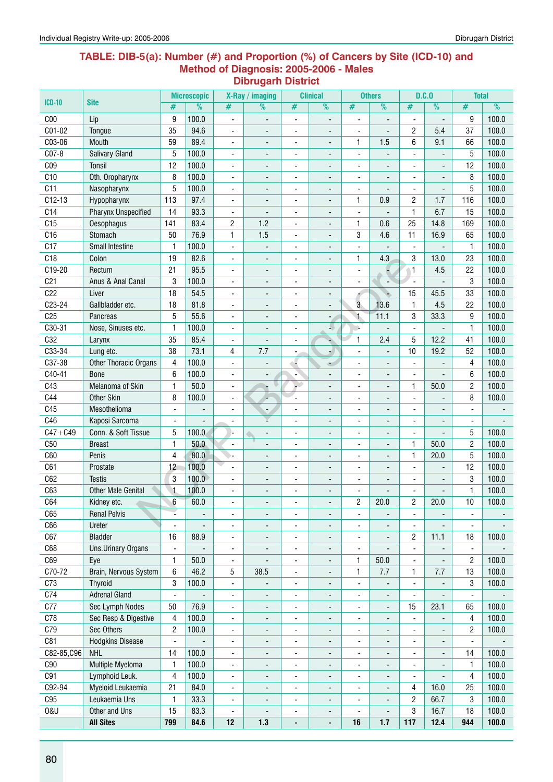#### **Table: DIB-5(a): Number (#) and Proportion (%) of Cancers by Site (ICD-10) and Method of Diagnosis: 2005-2006 - Males Dibrugarh District**

|                 |                            |                          | <b>Microscopic</b>       |                              | X-Ray / imaging          |                              | <b>Clinical</b>              |                              | <b>Others</b>            |                          | D.C.0                    | <b>Total</b>             |               |
|-----------------|----------------------------|--------------------------|--------------------------|------------------------------|--------------------------|------------------------------|------------------------------|------------------------------|--------------------------|--------------------------|--------------------------|--------------------------|---------------|
| <b>ICD-10</b>   | <b>Site</b>                | #                        | $\overline{\frac{9}{0}}$ | #                            | %                        | #                            | $\overline{\frac{9}{0}}$     | $\overline{\#}$              | $\overline{\frac{9}{0}}$ | #                        | $\frac{9}{6}$            | $\overline{\#}$          | $\frac{9}{6}$ |
| C <sub>00</sub> | Lip                        | 9                        | 100.0                    | $\overline{\phantom{a}}$     |                          | $\overline{\phantom{a}}$     |                              | $\qquad \qquad \blacksquare$ | $\overline{a}$           |                          |                          | 9                        | 100.0         |
| C01-02          | Tongue                     | 35                       | 94.6                     | $\blacksquare$               |                          | $\blacksquare$               | $\overline{\phantom{a}}$     | $\blacksquare$               | ÷,                       | $\overline{c}$           | 5.4                      | 37                       | 100.0         |
| C03-06          | Mouth                      | 59                       | 89.4                     | $\blacksquare$               | $\overline{\phantom{a}}$ | ÷,                           | $\overline{\phantom{a}}$     | $\mathbf{1}$                 | 1.5                      | 6                        | 9.1                      | 66                       | 100.0         |
| C07-8           | <b>Salivary Gland</b>      | 5                        | 100.0                    | $\overline{\phantom{a}}$     | $\overline{\phantom{a}}$ | $\blacksquare$               | $\blacksquare$               | $\blacksquare$               | ÷,                       | $\overline{a}$           | $\blacksquare$           | 5                        | 100.0         |
| CO <sub>9</sub> | Tonsil                     | 12                       | 100.0                    | $\blacksquare$               | $\overline{a}$           | ÷,                           | ٠                            | $\blacksquare$               | ä,                       | $\overline{a}$           | $\blacksquare$           | 12                       | 100.0         |
| C10             | Oth. Oropharynx            | 8                        | 100.0                    | ä,                           |                          | ä,                           |                              | ä,                           |                          |                          |                          | 8                        | 100.0         |
| C11             | Nasopharynx                | 5                        | 100.0                    | ÷,                           |                          | $\blacksquare$               |                              | $\blacksquare$               | ÷,                       |                          |                          | 5                        | 100.0         |
| $C12-13$        | Hypopharynx                | 113                      | 97.4                     | $\qquad \qquad \blacksquare$ |                          | $\overline{a}$               |                              | 1                            | 0.9                      | $\overline{c}$           | 1.7                      | 116                      | 100.0         |
| C14             | <b>Pharynx Unspecified</b> | 14                       | 93.3                     | $\overline{\phantom{a}}$     |                          | ÷                            | $\overline{\phantom{a}}$     | $\blacksquare$               |                          | 1                        | 6.7                      | 15                       | 100.0         |
| C15             | Oesophagus                 | 141                      | 83.4                     | 2                            | 1.2                      | $\frac{1}{2}$                | $\blacksquare$               | $\mathbf{1}$                 | 0.6                      | 25                       | 14.8                     | 169                      | 100.0         |
| C16             | Stomach                    | 50                       | 76.9                     | 1                            | 1.5                      | $\blacksquare$               | ٠                            | 3                            | 4.6                      | 11                       | 16.9                     | 65                       | 100.0         |
| C17             | Small Intestine            | $\mathbf{1}$             | 100.0                    | $\blacksquare$               |                          | ٠                            |                              | $\blacksquare$               |                          |                          |                          | $\mathbf{1}$             | 100.0         |
| C18             | Colon                      | 19                       | 82.6                     | $\qquad \qquad \blacksquare$ | ٠                        |                              | $\overline{\phantom{a}}$     | $\mathbf{1}$                 | 4.3                      | 3                        | 13.0                     | 23                       | 100.0         |
| $C19-20$        | Rectum                     | 21                       | 95.5                     | $\overline{\phantom{a}}$     | $\overline{\phantom{0}}$ | $\overline{\phantom{a}}$     | $\overline{\phantom{a}}$     | $\blacksquare$               | Ξ                        | $\mathbf{1}$             | 4.5                      | 22                       | 100.0         |
| C <sub>21</sub> | Anus & Anal Canal          | 3                        | 100.0                    | $\overline{\phantom{a}}$     | $\overline{\phantom{0}}$ | $\blacksquare$               | $\overline{\phantom{a}}$     | ÷,                           | $\overline{\phantom{a}}$ | ÷,                       |                          | 3                        | 100.0         |
| C22             | Liver                      | 18                       | 54.5                     | $\blacksquare$               | $\overline{\phantom{a}}$ | ä,                           | $\blacksquare$               | 4                            |                          | 15                       | 45.5                     | 33                       | 100.0         |
| C23-24          | Gallbladder etc.           | 18                       | 81.8                     | $\blacksquare$               |                          | ÷,                           | $\overline{a}$               | 3                            | 13.6                     | 1                        | 4.5                      | 22                       | 100.0         |
| C <sub>25</sub> | Pancreas                   | 5                        | 55.6                     | ٠                            |                          | ä,                           |                              | $\mathbf{1}$                 | 11.1                     | 3                        | 33.3                     | 9                        | 100.0         |
| C30-31          | Nose, Sinuses etc.         | $\mathbf{1}$             | 100.0                    | $\qquad \qquad \blacksquare$ |                          | -                            | 40                           | ÷,                           |                          |                          |                          | 1                        | 100.0         |
| C32             | Larynx                     | 35                       | 85.4                     | $\qquad \qquad \blacksquare$ |                          | ٠                            | ÷                            | $\mathbf{1}$                 | 2.4                      | 5                        | 12.2                     | 41                       | 100.0         |
| C33-34          | Lung etc.                  | 38                       | 73.1                     | 4                            | 7.7                      | -                            | ۰.                           | $\blacksquare$               |                          | 10                       | 19.2                     | 52                       | 100.0         |
| C37-38          | Other Thoracic Organs      | 4                        | 100.0                    | $\blacksquare$               |                          | ۰.                           | ت                            | $\overline{\phantom{a}}$     | ٠                        | $\blacksquare$           |                          | 4                        | 100.0         |
| C40-41          | <b>Bone</b>                | 6                        | 100.0                    | Ĭ.                           |                          | ٠                            | ä,                           | $\blacksquare$               | ä,                       | $\blacksquare$           | ä,                       | 6                        | 100.0         |
| C43             | Melanoma of Skin           | $\mathbf{1}$             | 50.0                     | ÷,                           |                          |                              |                              | $\overline{\phantom{a}}$     | ÷,                       | 1                        | 50.0                     | $\overline{c}$           | 100.0         |
| C44             | <b>Other Skin</b>          | 8                        | 100.0                    | $\qquad \qquad \blacksquare$ |                          | $\blacksquare$               | $\overline{\phantom{a}}$     | $\overline{\phantom{a}}$     | $\overline{\phantom{a}}$ |                          |                          | 8                        | 100.0         |
| C45             | Mesothelioma               | $\frac{1}{2}$            |                          | $\qquad \qquad \blacksquare$ | $\blacksquare$           | $\overline{\phantom{a}}$     | $\overline{\phantom{a}}$     | $\blacksquare$               |                          |                          |                          | ÷,                       |               |
| C46             | Kaposi Sarcoma             |                          |                          | $\overline{\phantom{a}}$     |                          | ÷,                           | $\overline{\phantom{a}}$     | ä,                           | ä,                       |                          | $\overline{\phantom{a}}$ | $\blacksquare$           |               |
| $C47 + C49$     | Conn. & Soft Tissue        | 5                        | 100.0                    |                              | $\overline{\phantom{0}}$ | ٠                            | $\blacksquare$               | $\blacksquare$               | ٠                        | $\overline{a}$           |                          | 5                        | 100.0         |
| C50             | <b>Breast</b>              | $\mathbf{1}$             | 50.0                     | ÷,                           |                          | Ĭ.                           | ÷,                           | Ĭ.                           | ÷,                       | 1                        | 50.0                     | $\overline{2}$           | 100.0         |
| C60             | Penis                      | $\overline{4}$           | 80.0                     |                              |                          | ٠                            |                              | ۰                            |                          | 1                        | 20.0                     | 5                        | 100.0         |
| C61             | Prostate                   | 12                       | 100.0                    |                              |                          | -                            |                              | $\overline{a}$               |                          |                          |                          | 12                       | 100.0         |
| C62             | <b>Testis</b>              | 3                        | 100.0                    | $\qquad \qquad \blacksquare$ |                          | $\qquad \qquad \blacksquare$ |                              | ٠                            |                          |                          |                          | 3                        | 100.0         |
| C63             | <b>Other Male Genital</b>  | $\mathbf{1}$             | 100.0                    | ٠                            | -                        | -                            | $\overline{\phantom{a}}$     | ۰                            |                          |                          |                          | 1                        | 100.0         |
| C64             | Kidney etc.                | 6                        | 60.0                     |                              |                          |                              |                              | $\overline{c}$               | 20.0                     | $\overline{c}$           | 20.0                     | $10$                     | 100.0         |
| C65             | <b>Renal Pelvis</b>        |                          |                          | ۰                            |                          | ÷,                           | $\overline{\phantom{a}}$     | $\blacksquare$               | ÷,                       | $\blacksquare$           |                          | $\overline{\phantom{a}}$ |               |
| C66             | Ureter                     |                          | $\overline{\phantom{0}}$ | ۰                            |                          | $\frac{1}{2}$                | $\overline{\phantom{a}}$     | $\blacksquare$               |                          |                          |                          | $\blacksquare$           |               |
| C67             | <b>Bladder</b>             | 16                       | 88.9                     | $\qquad \qquad \blacksquare$ | ۰                        | $\overline{\phantom{m}}$     | ۰                            | ٠                            | $\overline{\phantom{a}}$ | 2                        | 11.1                     | 18                       | 100.0         |
| C68             | <b>Uns.Urinary Organs</b>  | $\blacksquare$           |                          | $\overline{\phantom{a}}$     | -                        | $\overline{\phantom{a}}$     | $\overline{\phantom{a}}$     | $\overline{\phantom{a}}$     |                          | $\blacksquare$           |                          | $\blacksquare$           |               |
| C69             | Eye                        | $\mathbf{1}$             | 50.0                     | $\blacksquare$               |                          | $\frac{1}{2}$                | $\overline{\phantom{a}}$     | $\mathbf{1}$                 | 50.0                     |                          |                          | 2                        | 100.0         |
| C70-72          | Brain, Nervous System      | 6                        | 46.2                     | 5                            | 38.5                     | $\frac{1}{2}$                | $\overline{\phantom{a}}$     | 1                            | 7.7                      | 1                        | 7.7                      | 13                       | 100.0         |
| C73             | <b>Thyroid</b>             | 3                        | 100.0                    | $\overline{\phantom{a}}$     |                          | ٠                            | $\overline{\phantom{a}}$     | $\overline{\phantom{a}}$     |                          | $\blacksquare$           |                          | 3                        | 100.0         |
| C74             | <b>Adrenal Gland</b>       | $\overline{a}$           | ÷,                       | $\blacksquare$               |                          | $\frac{1}{2}$                | $\overline{\phantom{a}}$     | $\blacksquare$               | ÷,                       |                          |                          | $\overline{\phantom{a}}$ |               |
| C77             | Sec Lymph Nodes            | 50                       | 76.9                     | -                            | -                        | -                            | $\qquad \qquad \blacksquare$ | ٠                            | $\overline{\phantom{0}}$ | 15                       | 23.1                     | 65                       | 100.0         |
| C78             | Sec Resp & Digestive       | 4                        | 100.0                    | $\overline{\phantom{a}}$     | -                        | $\overline{\phantom{a}}$     | $\qquad \qquad \blacksquare$ | $\overline{\phantom{a}}$     | $\overline{\phantom{0}}$ | $\overline{\phantom{a}}$ |                          | 4                        | 100.0         |
| C79             | Sec Others                 | $\overline{c}$           | 100.0                    | $\overline{\phantom{a}}$     | $\overline{\phantom{0}}$ | $\overline{\phantom{0}}$     | $\overline{\phantom{a}}$     | $\qquad \qquad \blacksquare$ | $\overline{\phantom{a}}$ | ÷,                       | $\overline{\phantom{a}}$ | 2                        | 100.0         |
| C81             | <b>Hodgkins Disease</b>    | $\overline{\phantom{a}}$ |                          | $\qquad \qquad \blacksquare$ | -                        | $\overline{\phantom{m}}$     | $\overline{\phantom{a}}$     | ٠                            | $\overline{\phantom{0}}$ | $\overline{\phantom{a}}$ | $\overline{\phantom{a}}$ | $\overline{\phantom{a}}$ |               |
| C82-85, C96     | <b>NHL</b>                 | 14                       | 100.0                    |                              | $\overline{\phantom{0}}$ | $\overline{\phantom{0}}$     | $\overline{\phantom{a}}$     | $\overline{\phantom{a}}$     | $\overline{\phantom{a}}$ | $\overline{\phantom{a}}$ | $\overline{\phantom{a}}$ | 14                       | 100.0         |
| C90             | Multiple Myeloma           | $\mathbf{1}$             | 100.0                    | $\qquad \qquad \blacksquare$ | $\overline{\phantom{0}}$ | $\overline{\phantom{0}}$     | $\overline{\phantom{a}}$     | $\blacksquare$               | ÷,                       |                          |                          | $\mathbf{1}$             | 100.0         |
| C91             | Lymphoid Leuk.             | $\overline{4}$           | 100.0                    | $\qquad \qquad \blacksquare$ | -                        | $\overline{\phantom{a}}$     | ۰                            | ٠                            | $\overline{\phantom{0}}$ |                          | $\overline{\phantom{a}}$ | 4                        | 100.0         |
| C92-94          | Myeloid Leukaemia          | 21                       | 84.0                     | $\overline{\phantom{a}}$     | -                        | $\overline{\phantom{a}}$     | ۰                            | $\overline{\phantom{a}}$     | ÷,                       | 4                        | 16.0                     | 25                       | 100.0         |
| C95             | Leukaemia Uns              | $\mathbf{1}$             | 33.3                     | $\qquad \qquad \blacksquare$ | $\overline{\phantom{0}}$ | $\overline{\phantom{a}}$     | $\overline{\phantom{a}}$     | $\overline{\phantom{a}}$     | ÷,                       | $\overline{c}$           | 66.7                     | 3                        | 100.0         |
| 0&U             | Other and Uns              | 15                       | 83.3                     | $\qquad \qquad \blacksquare$ |                          | $\overline{\phantom{m}}$     | $\overline{\phantom{a}}$     |                              |                          | 3                        | 16.7                     | 18                       | 100.0         |
|                 | <b>All Sites</b>           | 799                      | 84.6                     | 12                           | 1.3                      |                              |                              | 16                           | $1.7$                    | 117                      | 12.4                     | 944                      | 100.0         |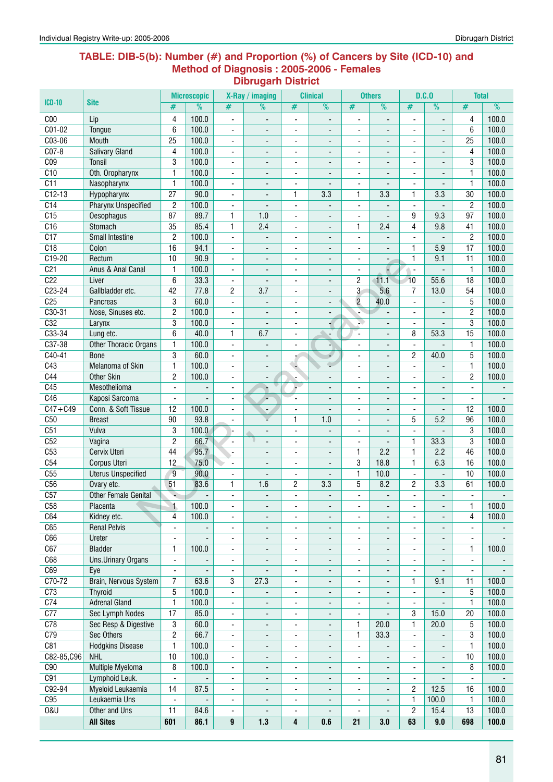#### **Table: DIB-5(b): Number (#) and Proportion (%) of Cancers by Site (ICD-10) and Method of Diagnosis : 2005-2006 - Females Dibrugarh District**

| <b>ICD-10</b>    | <b>Site</b>                  |                          | <b>Microscopic</b>       |                               | X-Ray / imaging                  |                              | <b>Clinical</b>                                      |                                                      | <b>Others</b>                  |                          | D.C.0                    | <b>Total</b>             |       |
|------------------|------------------------------|--------------------------|--------------------------|-------------------------------|----------------------------------|------------------------------|------------------------------------------------------|------------------------------------------------------|--------------------------------|--------------------------|--------------------------|--------------------------|-------|
|                  |                              | #                        | $\overline{\frac{9}{0}}$ | #                             | %                                | #                            | $\overline{\frac{9}{0}}$                             | #                                                    | $\frac{9}{6}$                  | #                        | %                        | $\#$                     | %     |
| C <sub>00</sub>  | Lip                          | 4                        | 100.0                    | $\overline{\phantom{a}}$      | $\overline{\phantom{a}}$         | $\blacksquare$               | $\blacksquare$                                       | Ĭ.                                                   | $\overline{\phantom{a}}$       | $\overline{\phantom{a}}$ | ٠                        | 4                        | 100.0 |
| $C01-02$         | Tongue                       | 6                        | 100.0                    | ÷,                            | $\overline{\phantom{a}}$         | $\blacksquare$               |                                                      | $\blacksquare$                                       |                                |                          |                          | 6                        | 100.0 |
| C03-06           | Mouth                        | 25                       | 100.0                    | $\overline{\phantom{a}}$      | ۰                                | $\qquad \qquad \blacksquare$ | $\overline{\phantom{a}}$                             | ۰                                                    | $\overline{\phantom{a}}$       | $\overline{\phantom{a}}$ | $\overline{\phantom{0}}$ | 25                       | 100.0 |
| $CO7-8$          | <b>Salivary Gland</b>        | 4                        | 100.0                    | ٠                             | $\overline{\phantom{a}}$         | ÷                            |                                                      | ٠                                                    |                                |                          |                          | 4                        | 100.0 |
| C <sub>09</sub>  | Tonsil                       | 3                        | 100.0                    | $\overline{\phantom{a}}$      | $\overline{\phantom{a}}$         | $\blacksquare$               |                                                      | $\blacksquare$                                       | $\overline{a}$                 | $\overline{a}$           |                          | 3                        | 100.0 |
| C10              | Oth. Oropharynx              | $\mathbf{1}$             | 100.0                    | $\overline{\phantom{a}}$      | $\blacksquare$                   | $\overline{\phantom{m}}$     | $\overline{a}$                                       | ٠                                                    | $\blacksquare$                 | $\blacksquare$           | ٠                        | $\mathbf{1}$             | 100.0 |
| $\overline{C11}$ | Nasopharynx                  | $\mathbf{1}$             | 100.0                    | $\blacksquare$                | $\blacksquare$                   | $\overline{\phantom{a}}$     |                                                      | $\overline{\phantom{a}}$                             | $\overline{\phantom{a}}$       | $\overline{a}$           |                          | $\mathbf{1}$             | 100.0 |
| $C12-13$         | Hypopharynx                  | $\overline{27}$          | 90.0                     | ÷,                            | ÷,                               | 1                            | 3.3                                                  | 1                                                    | 3.3                            | 1                        | 3.3                      | 30                       | 100.0 |
| C <sub>14</sub>  | <b>Pharynx Unspecified</b>   | $\overline{2}$           | 100.0                    | ÷,                            |                                  | $\overline{a}$               |                                                      | $\overline{\phantom{a}}$                             |                                |                          |                          | $\overline{2}$           | 100.0 |
| C15              | Oesophagus                   | 87                       | 89.7                     | $\mathbf{1}$                  | 1.0                              | ä,                           | $\blacksquare$                                       | ٠                                                    |                                | 9                        | 9.3                      | 97                       | 100.0 |
| C16              | Stomach                      | 35                       | 85.4                     | $\mathbf{1}$                  | 2.4                              | L,                           | $\blacksquare$                                       | 1                                                    | 2.4                            | 4                        | 9.8                      | 41                       | 100.0 |
| $\overline{C17}$ | Small Intestine              | $\overline{c}$           | 100.0                    | $\overline{a}$                | ÷,                               | $\blacksquare$               | $\blacksquare$                                       | $\overline{\phantom{a}}$                             | $\overline{\phantom{a}}$       | $\mathbf{r}$             |                          | $\overline{2}$           | 100.0 |
| C18              | Colon                        | 16                       | 94.1                     | $\blacksquare$                | $\overline{\phantom{a}}$         | $\overline{\phantom{m}}$     | ٠                                                    | $\overline{\phantom{a}}$                             | $\blacksquare$                 | 1                        | 5.9                      | 17                       | 100.0 |
| $C19-20$         | Rectum                       | 10                       | 90.9                     | $\blacksquare$                | $\overline{\phantom{a}}$         | $\overline{\phantom{m}}$     | $\blacksquare$                                       | $\overline{\phantom{a}}$                             | $\overline{\phantom{a}}$       | 1                        | 9.1                      | 11                       | 100.0 |
| C <sub>21</sub>  | Anus & Anal Canal            | $\mathbf{1}$             | 100.0                    | $\blacksquare$                | $\overline{\phantom{a}}$         | ä,                           | $\overline{\phantom{a}}$                             | $\overline{\phantom{a}}$                             |                                | $\overline{\phantom{a}}$ | $\blacksquare$           | $\mathbf{1}$             | 100.0 |
| C <sub>22</sub>  | Liver                        | 6                        | 33.3                     | ٠                             |                                  | $\overline{\phantom{m}}$     | $\overline{\phantom{a}}$                             | 2                                                    | 11.1                           | $\overline{10}$          | 55.6                     | 18                       | 100.0 |
| $C23-24$         | Gallbladder etc.             | 42                       | 77.8                     | 2                             | 3.7                              | $\overline{\phantom{m}}$     | $\overline{\phantom{a}}$                             | 3                                                    | 5.6                            | 7                        | 13.0                     | 54                       | 100.0 |
| C <sub>25</sub>  | Pancreas                     | 3                        | 60.0                     | Ĭ.                            |                                  | $\blacksquare$               | $\overline{\phantom{a}}$                             | $\overline{2}$                                       | 40.0                           |                          |                          | 5                        | 100.0 |
| $C30-31$         | Nose, Sinuses etc.           | $\overline{c}$           | 100.0                    | ÷,                            |                                  | $\blacksquare$               |                                                      |                                                      |                                |                          |                          | $\overline{2}$           | 100.0 |
| C32              | Larynx                       | 3                        | 100.0                    | $\blacksquare$                | $\blacksquare$                   | $\blacksquare$               | ₽                                                    | N.                                                   | $\overline{\phantom{a}}$       | $\overline{a}$           | $\overline{a}$           | 3                        | 100.0 |
| $C33-34$         | Lung etc.                    | 6                        | 40.0                     | $\mathbf{1}$                  | 6.7                              | $\blacksquare$               | $\overline{\phantom{0}}$                             | $\overline{\phantom{a}}$                             | $\overline{a}$                 | 8                        | 53.3                     | 15                       | 100.0 |
| $C37-38$         | Other Thoracic Organs        | 1                        | 100.0                    | Ĭ.                            | $\overline{\phantom{a}}$         | $\blacksquare$               | ٠                                                    | $\blacksquare$                                       |                                | $\blacksquare$           |                          | $\mathbf{1}$             | 100.0 |
| $C40-41$         | <b>Bone</b>                  | 3                        | 60.0                     | ÷,                            | $\overline{\phantom{a}}$         |                              | 4                                                    | $\overline{\phantom{a}}$                             | $\overline{\phantom{a}}$       | 2                        | 40.0                     | 5                        | 100.0 |
| C43              | Melanoma of Skin             | 1                        | 100.0                    | Ĭ.                            | $\centerdot$                     |                              | ÷                                                    | ÷,                                                   | $\overline{\phantom{a}}$       |                          |                          | $\mathbf{1}$             | 100.0 |
| C44              | <b>Other Skin</b>            | 2                        | 100.0                    | $\blacksquare$                | $\overline{\phantom{a}}$         | $\blacksquare$               |                                                      | $\blacksquare$                                       | $\overline{a}$                 |                          |                          | $\overline{2}$           | 100.0 |
| C45              | Mesothelioma                 | $\blacksquare$           | $\overline{\phantom{a}}$ | ٠                             |                                  | Ļ.                           | $\blacksquare$                                       | $\overline{\phantom{a}}$                             | $\blacksquare$                 | $\blacksquare$           | ٠                        | $\overline{\phantom{a}}$ |       |
| C46              | Kaposi Sarcoma               | $\blacksquare$           | ÷,                       | $\overline{\phantom{a}}$      | ×                                | ÷,                           | $\overline{a}$                                       | $\overline{\phantom{a}}$                             | $\blacksquare$                 | $\mathbf{r}$             | $\overline{a}$           | $\blacksquare$           |       |
| $C47 + C49$      | Conn. & Soft Tissue          | 12                       | 100.0                    | $\blacksquare$                | $\overline{\phantom{a}}$         | $\blacksquare$               | ÷,                                                   | $\blacksquare$                                       | $\overline{\phantom{a}}$       | $\blacksquare$           | $\overline{\phantom{0}}$ | 12                       | 100.0 |
| C50              | <b>Breast</b>                | 90                       | 93.8                     | ٠                             |                                  | 1                            | 1.0                                                  | $\overline{\phantom{a}}$                             |                                | 5                        | 5.2                      | 96                       | 100.0 |
| C51              | Vulva                        | 3                        | 100.0                    |                               | $\qquad \qquad \blacksquare$     | $\qquad \qquad \blacksquare$ |                                                      | ۰                                                    | $\overline{\phantom{a}}$       | $\overline{\phantom{a}}$ |                          | 3                        | 100.0 |
| C52              | Vagina                       | $\overline{c}$           | 66.7                     | $\blacksquare$                |                                  | $\overline{\phantom{m}}$     |                                                      | ÷,                                                   | ÷,                             | 1                        | 33.3                     | 3                        | 100.0 |
| C53              | Cervix Uteri                 | 44                       | 95.7                     | ÷,                            | ÷,                               | $\blacksquare$               |                                                      | 1                                                    | 2.2                            | 1                        | 2.2                      | 46                       | 100.0 |
| C54              | Corpus Uteri                 | 12                       | 75.0                     | $\blacksquare$                |                                  | $\blacksquare$               |                                                      | 3                                                    | 18.8                           | $\mathbf{1}$             | 6.3                      | 16                       | 100.0 |
| C55              | <b>Uterus Unspecified</b>    | $9\,$                    | 90.0                     | $\overline{\phantom{a}}$      | $\overline{\phantom{a}}$         | $\overline{\phantom{a}}$     | $\overline{\phantom{a}}$                             | $\mathbf{1}$                                         | 10.0                           | $\blacksquare$           | $\blacksquare$           | 10                       | 100.0 |
| C56              | Ovary etc.                   | 51                       | 83.6                     | $\mathbf{1}$                  | 1.6                              | 2                            | 3.3                                                  | 5                                                    | 8.2                            | $\overline{c}$           | 3.3                      | 61                       | 100.0 |
| C57              | Other Female Genital         |                          | ÷,                       | ÷,                            |                                  | ÷,                           |                                                      | ÷,                                                   | $\overline{a}$                 | $\blacksquare$           | $\blacksquare$           | $\blacksquare$           |       |
| C58              | Placenta                     | $\mathbf{1}$             | 100.0                    |                               |                                  |                              |                                                      |                                                      |                                |                          |                          | $\mathbf{1}$             | 100.0 |
| C64              | Kidney etc.                  | 4                        | 100.0                    |                               |                                  |                              |                                                      |                                                      |                                |                          |                          | 4                        | 100.0 |
| C65              | <b>Renal Pelvis</b>          | $\overline{\phantom{a}}$ |                          | Ĭ.                            | $\overline{\phantom{a}}$         | L,                           | $\overline{\phantom{a}}$                             | $\blacksquare$                                       | $\blacksquare$                 |                          |                          | $\blacksquare$           |       |
| C66              | Ureter                       | $\overline{\phantom{a}}$ | Ξ                        |                               | $\overline{\phantom{a}}$         | ä,                           | $\overline{\phantom{a}}$                             | $\overline{\phantom{a}}$                             | $\overline{\phantom{0}}$       | ٠                        |                          | $\overline{\phantom{a}}$ |       |
| C67              | <b>Bladder</b>               | 1                        | 100.0                    | ٠                             |                                  | ٠                            | $\overline{\phantom{a}}$                             |                                                      | $\overline{\phantom{a}}$       | $\overline{\phantom{0}}$ | $\overline{\phantom{a}}$ | 1                        | 100.0 |
| C68              | Uns.Urinary Organs           | $\overline{\phantom{a}}$ | $\overline{\phantom{a}}$ | $\overline{\phantom{a}}$      |                                  | $\overline{\phantom{m}}$     |                                                      | $\overline{\phantom{a}}$<br>$\overline{\phantom{a}}$ | $\overline{\phantom{a}}$       | $\overline{\phantom{a}}$ | ٠                        | $\blacksquare$           |       |
| C69              |                              | $\overline{\phantom{a}}$ | $\overline{\phantom{a}}$ |                               | $\overline{\phantom{a}}$         | $\overline{\phantom{a}}$     | $\overline{\phantom{a}}$<br>$\overline{\phantom{a}}$ | $\overline{\phantom{a}}$                             | $\overline{\phantom{a}}$       | $\overline{\phantom{a}}$ |                          | $\blacksquare$           |       |
| C70-72           | Eye<br>Brain, Nervous System | 7                        | 63.6                     | $\overline{\phantom{a}}$<br>3 | $\overline{\phantom{a}}$<br>27.3 |                              |                                                      |                                                      |                                | 1                        | 9.1                      | 11                       | 100.0 |
| C <sub>73</sub>  | <b>Thyroid</b>               | 5                        | 100.0                    |                               |                                  | $\overline{\phantom{a}}$     | $\overline{\phantom{a}}$                             | $\overline{\phantom{a}}$                             |                                |                          |                          | 5                        | 100.0 |
| C <sub>74</sub>  | <b>Adrenal Gland</b>         | $\mathbf{1}$             | 100.0                    | -                             |                                  | $\qquad \qquad \blacksquare$ | ٠                                                    | ۰                                                    | $\overline{\phantom{a}}$       | $\overline{\phantom{a}}$ |                          |                          | 100.0 |
|                  |                              | 17                       | 85.0                     | $\overline{\phantom{a}}$      | $\overline{\phantom{0}}$         | ٠                            | ٠                                                    | $\overline{\phantom{a}}$                             | $\overline{\phantom{a}}$<br>÷, | $\overline{\phantom{a}}$ |                          | $\mathbf{1}$             |       |
| C77              | Sec Lymph Nodes              |                          |                          | $\overline{\phantom{a}}$      | $\overline{\phantom{a}}$         | ä,                           | $\overline{\phantom{a}}$                             | $\overline{\phantom{a}}$                             |                                | 3                        | 15.0                     | 20                       | 100.0 |
| C78              | Sec Resp & Digestive         | 3                        | 60.0                     | ٠                             | $\qquad \qquad \blacksquare$     | ٠                            | $\overline{\phantom{a}}$                             | 1                                                    | 20.0                           | 1                        | 20.0                     | 5                        | 100.0 |
| C79              | Sec Others                   | $\overline{2}$           | 66.7                     | $\overline{\phantom{a}}$      | $\overline{\phantom{a}}$         | $\overline{\phantom{a}}$     | $\overline{\phantom{a}}$                             | 1                                                    | 33.3                           | $\overline{\phantom{a}}$ |                          | 3                        | 100.0 |
| C81              | <b>Hodgkins Disease</b>      | $\mathbf{1}$             | 100.0                    | $\blacksquare$                | $\overline{\phantom{a}}$         | ÷,                           | $\overline{\phantom{a}}$                             | $\blacksquare$                                       | $\blacksquare$                 |                          |                          | $\mathbf{1}$             | 100.0 |
| C82-85, C96      | <b>NHL</b>                   | 10                       | 100.0                    | ÷,                            | $\overline{\phantom{a}}$         | $\blacksquare$               |                                                      | ٠                                                    |                                |                          |                          | 10                       | 100.0 |
| C90              | <b>Multiple Myeloma</b>      | 8                        | 100.0                    | ٠                             | -                                |                              | ۰                                                    | ٠                                                    |                                |                          |                          | 8                        | 100.0 |
| C91              | Lymphoid Leuk.               | $\blacksquare$           |                          | Ĭ.                            | $\overline{\phantom{a}}$         | ä,                           | $\overline{\phantom{a}}$                             | $\overline{\phantom{a}}$                             | $\blacksquare$                 | $\overline{\phantom{a}}$ |                          | $\blacksquare$           |       |
| C92-94           | Myeloid Leukaemia            | 14                       | 87.5                     | ÷,                            | $\overline{\phantom{0}}$         | L,                           | $\overline{\phantom{a}}$                             | $\blacksquare$                                       | $\blacksquare$                 | 2                        | 12.5                     | 16                       | 100.0 |
| C95              | Leukaemia Uns                | $\blacksquare$           | ÷,                       | ÷,                            | $\overline{\phantom{a}}$         | $\overline{\phantom{m}}$     | $\overline{\phantom{a}}$                             | $\overline{\phantom{a}}$                             | $\blacksquare$                 | 1                        | 100.0                    | $\mathbf{1}$             | 100.0 |
| <b>0&amp;U</b>   | Other and Uns                | 11                       | 84.6                     | $\overline{\phantom{a}}$      | $\overline{\phantom{a}}$         | ٠                            | $\overline{\phantom{a}}$                             | $\overline{\phantom{a}}$                             | $\overline{\phantom{a}}$       | $\overline{c}$           | 15.4                     | 13                       | 100.0 |
|                  | <b>All Sites</b>             | 601                      | 86.1                     | 9                             | 1.3                              | 4                            | 0.6                                                  | 21                                                   | 3.0                            | 63                       | 9.0                      | 698                      | 100.0 |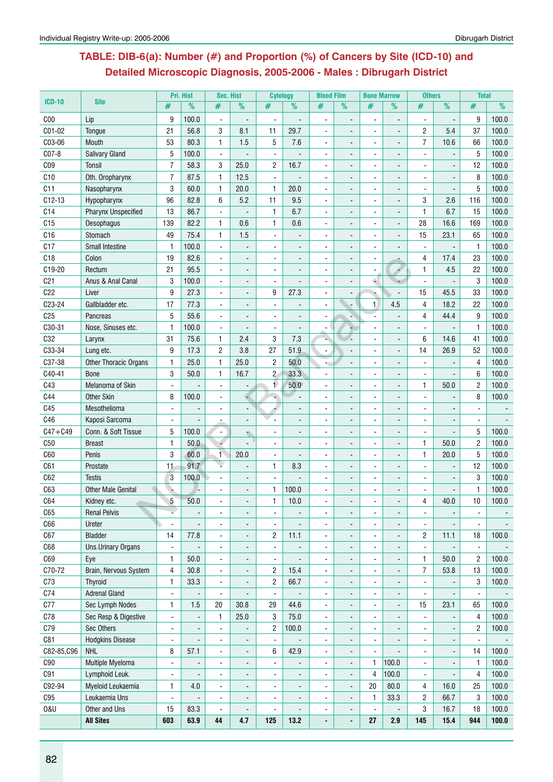## **Table: DIB-6(a): Number (#) and Proportion (%) of Cancers by Site (ICD-10) and Detailed Microscopic Diagnosis, 2005-2006 - Males : Dibrugarh District**

|                 |                                        |                              | Pri. Hist      | Sec. Hist                |                              | <b>Cytology</b>                  |                          | <b>Blood Film</b>            |                                  | <b>Bone Marrow</b>       |                              | <b>Others</b>  |                              | <b>Total</b>   |                |
|-----------------|----------------------------------------|------------------------------|----------------|--------------------------|------------------------------|----------------------------------|--------------------------|------------------------------|----------------------------------|--------------------------|------------------------------|----------------|------------------------------|----------------|----------------|
| $ICD-10$        | <b>Site</b>                            | #                            | $\%$           | #                        | %                            | #                                | %                        | #                            | $\frac{9}{6}$                    | #                        | $\frac{9}{6}$                | #              | $\frac{9}{6}$                | #              | $\frac{9}{6}$  |
| C <sub>00</sub> | Lip                                    | 9                            | 100.0          | $\blacksquare$           | $\overline{\phantom{a}}$     | $\ddot{\phantom{a}}$             |                          | ÷,                           | $\qquad \qquad \blacksquare$     | ä,                       | $\overline{\phantom{a}}$     | L,             | $\overline{\phantom{a}}$     | 9              | 100.0          |
| C01-02          | Tongue                                 | 21                           | 56.8           | 3                        | 8.1                          | 11                               | 29.7                     | $\blacksquare$               | $\blacksquare$                   | ä,                       | $\blacksquare$               | $\overline{c}$ | 5.4                          | 37             | 100.0          |
| C03-06          | Mouth                                  | 53                           | 80.3           | 1                        | 1.5                          | 5                                | 7.6                      | ÷                            | $\blacksquare$                   | $\blacksquare$           | $\blacksquare$               | $\overline{7}$ | 10.6                         | 66             | 100.0          |
| C07-8           | <b>Salivary Gland</b>                  | 5                            | 100.0          | $\overline{\phantom{a}}$ |                              | $\blacksquare$                   |                          | $\blacksquare$               |                                  |                          |                              |                |                              | 5              | 100.0          |
| CO <sub>9</sub> | <b>Tonsil</b>                          | 7                            | 58.3           | 3                        | 25.0                         | $\overline{c}$                   | 16.7                     |                              |                                  |                          |                              |                |                              | 12             | 100.0          |
| C10             | Oth. Oropharynx                        | $\overline{7}$               | 87.5           | $\mathbf{1}$             | 12.5                         | $\blacksquare$                   |                          | $\blacksquare$               | $\blacksquare$                   |                          | $\overline{\phantom{a}}$     |                |                              | 8              | 100.0          |
| C11             | Nasopharynx                            | 3                            | 60.0           | $\mathbf{1}$             | 20.0                         | $\mathbf{1}$                     | 20.0                     | ä,                           | $\blacksquare$                   |                          | $\overline{\phantom{a}}$     |                |                              | 5              | 100.0          |
| $C12-13$        | Hypopharynx                            | 96                           | 82.8           | 6                        | 5.2                          | 11                               | 9.5                      | $\blacksquare$               | $\blacksquare$                   |                          | $\blacksquare$               | 3              | 2.6                          | 116            | 100.0          |
| C <sub>14</sub> | <b>Pharynx Unspecified</b>             | 13                           | 86.7           | $\sim$                   |                              | 1                                | 6.7                      | $\blacksquare$               | $\blacksquare$                   |                          | $\overline{\phantom{a}}$     | $\mathbf{1}$   | 6.7                          | 15             | 100.0          |
| C15             | Oesophagus                             | 139                          | 82.2           | $\mathbf{1}$             | 0.6                          | $\mathbf{1}$                     | 0.6                      | $\blacksquare$               |                                  |                          | L.                           | 28             | 16.6                         | 169            | 100.0          |
| C16             | Stomach                                | 49                           | 75.4           | $\mathbf{1}$             | 1.5                          |                                  |                          |                              |                                  |                          |                              | 15             | 23.1                         | 65             | 100.0          |
| C17             | <b>Small Intestine</b>                 | $\mathbf{1}$                 | 100.0          |                          |                              |                                  |                          |                              |                                  |                          |                              |                |                              | $\mathbf{1}$   | 100.0          |
| C18             | Colon                                  | 19                           | 82.6           | ÷,                       |                              |                                  |                          |                              |                                  |                          |                              | 4              | 17.4                         | 23             | 100.0          |
| C19-20          | Rectum                                 | 21                           | 95.5           |                          | $\overline{\phantom{a}}$     |                                  |                          |                              |                                  |                          | Á,                           | $\mathbf{1}$   | 4.5                          | 22             | 100.0          |
| C <sub>21</sub> | Anus & Anal Canal                      | 3                            | 100.0          | $\sim$                   | $\blacksquare$               | $\blacksquare$                   | ÷,                       | $\blacksquare$               |                                  | é.                       | $\overline{\phantom{a}}$     | $\blacksquare$ | $\blacksquare$               | 3              | 100.0          |
| C22             | Liver                                  | 9                            | 27.3           | $\ddot{\phantom{a}}$     | $\overline{\phantom{a}}$     | 9                                | 27.3                     | ÷                            | $\blacksquare$                   | è                        | Ē,                           | 15             | 45.5                         | 33             | 100.0          |
| C23-24          | Gallbladder etc.                       | 17                           | 77.3           |                          |                              |                                  |                          | $\blacksquare$               |                                  | $\mathbf{1}$             | 4.5                          | $\overline{4}$ | 18.2                         | 22             | 100.0          |
| C <sub>25</sub> | Pancreas                               | 5                            | 55.6           |                          |                              |                                  |                          |                              |                                  |                          |                              | 4              | 44.4                         | 9              | 100.0          |
| C30-31          | Nose, Sinuses etc.                     | $\mathbf{1}$                 | 100.0          | $\blacksquare$           |                              |                                  | $\overline{a}$           | $\qquad \qquad \blacksquare$ |                                  |                          |                              |                |                              | 1              | 100.0          |
| C32             | Larynx                                 | 31                           | 75.6           | 1                        | 2.4                          | 3                                | 7.3                      |                              |                                  |                          | $\blacksquare$               | 6              | 14.6                         | 41             | 100.0          |
| C33-34          | Lung etc.                              | 9                            | 17.3           | $\sqrt{2}$               | 3.8                          | 27                               | 51.9                     | $\blacksquare$               |                                  |                          | $\overline{a}$               | 14             | 26.9                         | 52             | 100.0          |
| C37-38          | <b>Other Thoracic Organs</b>           | $\mathbf{1}$                 | 25.0           | $\mathbf{1}$             | 25.0                         | $\overline{c}$                   | 50.0                     | ۰,                           |                                  | $\blacksquare$           | $\overline{\phantom{a}}$     |                |                              | 4              | 100.0          |
| C40-41          | <b>Bone</b>                            | 3                            | 50.0           | $\mathbf{1}$             | 16.7                         | $\overline{c}$                   | 33.3                     | $\blacksquare$               |                                  |                          |                              | $\overline{a}$ |                              | 6              | 100.0          |
| C43             | Melanoma of Skin                       |                              |                |                          |                              | 1                                | 50.0                     |                              |                                  |                          |                              | $\mathbf{1}$   | 50.0                         | $\overline{2}$ | 100.0          |
| C44             | <b>Other Skin</b>                      | 8                            | 100.0          |                          |                              |                                  |                          |                              |                                  |                          |                              |                |                              | 8              | 100.0          |
| C45             | Mesothelioma                           | $\blacksquare$               |                |                          |                              |                                  |                          |                              |                                  |                          |                              |                |                              |                |                |
| C46             | Kaposi Sarcoma                         | $\blacksquare$               |                |                          |                              |                                  |                          | -                            |                                  |                          | $\overline{a}$               |                |                              |                |                |
| $C47 + C49$     | Conn. & Soft Tissue                    | 5                            | 100.0          | $\blacksquare$           |                              | $\blacksquare$                   |                          | $\blacksquare$               |                                  | ä,                       | $\blacksquare$               | $\blacksquare$ | $\blacksquare$               | 5              | 100.0          |
| C50             | <b>Breast</b>                          | 1                            | 50.0           | ۰                        | эń,                          | $\sim$                           |                          | $\blacksquare$               | $\blacksquare$                   | $\blacksquare$           | $\blacksquare$               | 1              | 50.0                         | $\overline{c}$ | 100.0          |
| C60             | Penis                                  | 3                            | 60.0           | $\mathbf{1}$             | 20.0                         |                                  |                          |                              |                                  |                          |                              | $\mathbf{1}$   | 20.0                         | 5              | 100.0          |
| C61             | Prostate                               | 11                           | 91.7           |                          |                              | 1                                | 8.3                      |                              |                                  |                          |                              |                |                              | 12             | 100.0          |
| C62             | <b>Testis</b>                          | 3                            | 100.0          |                          |                              |                                  |                          |                              |                                  |                          |                              |                |                              | 3              | 100.0          |
| C63             | <b>Other Male Genital</b>              |                              |                |                          |                              | 1                                | 100.0                    | $\blacksquare$               |                                  |                          |                              |                |                              | 1              | 100.0          |
| C64             | Kidney etc.                            | 5                            | 50.0           |                          |                              | 1                                | 10.0                     |                              | $\blacksquare$<br>$\blacksquare$ |                          |                              | 4              | 40.0                         | 10             | 100.0          |
| C65             | <b>Renal Pelvis</b>                    |                              | $\blacksquare$ |                          | $\blacksquare$               | $\blacksquare$                   | $\overline{\phantom{a}}$ | $\blacksquare$               | $\overline{\phantom{a}}$         | $\blacksquare$           | $\overline{\phantom{a}}$     | $\blacksquare$ | $\overline{\phantom{a}}$     | $\blacksquare$ | $\blacksquare$ |
| C66             | Ureter                                 | $\blacksquare$               |                |                          |                              |                                  |                          |                              |                                  |                          | $\blacksquare$               |                |                              |                |                |
| C67             | <b>Bladder</b>                         | 14                           | 77.8           |                          |                              | $\overline{c}$                   | 11.1                     |                              |                                  |                          |                              | $\overline{c}$ | 11.1                         | 18             | 100.0          |
| C68             | <b>Uns.Urinary Organs</b>              |                              |                |                          |                              | $\blacksquare$                   | $\overline{\phantom{a}}$ |                              |                                  |                          |                              |                |                              |                |                |
| C69             |                                        | $\blacksquare$               | 50.0           |                          |                              |                                  |                          |                              |                                  | $\overline{\phantom{0}}$ |                              | 1              | 50.0                         | 2              | 100.0          |
| C70-72          | Eye                                    | 1<br>4                       | 30.8           | $\overline{a}$           | $\overline{\phantom{a}}$     | $\blacksquare$<br>$\overline{c}$ | 15.4                     | ٠                            | $\qquad \qquad \blacksquare$     | -                        | $\qquad \qquad \blacksquare$ | 7              | 53.8                         | 13             | 100.0          |
| C73             | Brain, Nervous System                  | 1                            | 33.3           | $\overline{\phantom{a}}$ | $\overline{\phantom{a}}$     | $\overline{c}$                   | 66.7                     | $\blacksquare$               | $\blacksquare$                   | $\overline{\phantom{0}}$ | $\overline{\phantom{a}}$     | $\blacksquare$ |                              | 3              |                |
| C74             | <b>Thyroid</b><br><b>Adrenal Gland</b> |                              |                | $\blacksquare$           | $\overline{\phantom{a}}$     |                                  |                          | $\blacksquare$               | $\blacksquare$                   | $\frac{1}{2}$            | $\overline{\phantom{a}}$     |                | $\qquad \qquad \blacksquare$ |                | 100.0          |
|                 |                                        | $\blacksquare$               |                | $\blacksquare$           |                              | $\blacksquare$                   |                          | $\blacksquare$               | $\blacksquare$                   | $\frac{1}{2}$            | $\blacksquare$               | $\blacksquare$ | $\blacksquare$               | $\blacksquare$ |                |
| C77             | Sec Lymph Nodes                        | 1                            | 1.5            | 20                       | 30.8                         | 29                               | 44.6                     | ä,                           |                                  | $\overline{\phantom{a}}$ | $\overline{\phantom{a}}$     | 15             | 23.1                         | 65             | 100.0          |
| C78             | Sec Resp & Digestive                   | $\blacksquare$               |                | $\mathbf{1}$             | 25.0                         | 3                                | 75.0                     | $\blacksquare$               |                                  |                          |                              |                |                              | 4              | 100.0          |
| C79             | Sec Others                             | $\qquad \qquad \blacksquare$ |                | $\blacksquare$           |                              | $\overline{c}$                   | 100.0                    | $\blacksquare$               |                                  |                          |                              |                |                              | $\mathbf{2}$   | 100.0          |
| C81             | <b>Hodgkins Disease</b>                | $\blacksquare$               |                | $\blacksquare$           | $\overline{\phantom{a}}$     | $\blacksquare$                   |                          | ÷,                           | $\blacksquare$                   |                          | $\blacksquare$               |                | $\centerdot$                 |                |                |
| C82-85,C96      | <b>NHL</b>                             | 8                            | 57.1           | ÷,                       | $\overline{\phantom{a}}$     | 6                                | 42.9                     | $\blacksquare$               | $\overline{\phantom{a}}$         |                          |                              |                |                              | 14             | 100.0          |
| C90             | Multiple Myeloma                       | $\blacksquare$               | $\blacksquare$ | $\blacksquare$           | $\overline{\phantom{a}}$     | $\blacksquare$                   | $\overline{\phantom{a}}$ | $\blacksquare$               | $\qquad \qquad \blacksquare$     | 1                        | 100.0                        | $\blacksquare$ | $\overline{\phantom{a}}$     | $\mathbf{1}$   | 100.0          |
| C91             | Lymphoid Leuk.                         | $\blacksquare$               |                | $\blacksquare$           | $\blacksquare$               | $\blacksquare$                   | $\overline{\phantom{a}}$ | $\blacksquare$               | $\blacksquare$                   | 4                        | 100.0                        | $\blacksquare$ |                              | 4              | 100.0          |
| C92-94          | Myeloid Leukaemia                      | 1                            | 4.0            |                          |                              |                                  |                          |                              | $\overline{\phantom{a}}$         | 20                       | 80.0                         | 4              | 16.0                         | 25             | 100.0          |
| C95             | Leukaemia Uns                          | ä,                           |                | $\overline{a}$           |                              |                                  |                          |                              |                                  | 1                        | 33.3                         | $\overline{c}$ | 66.7                         | 3              | 100.0          |
| <b>0&amp;U</b>  | Other and Uns                          | 15                           | 83.3           | $\overline{\phantom{a}}$ | $\qquad \qquad \blacksquare$ |                                  |                          | ٠                            | $\overline{a}$                   | $\overline{a}$           | $\overline{\phantom{a}}$     | 3              | 16.7                         | 18             | 100.0          |
|                 | <b>All Sites</b>                       | 603                          | 63.9           | 44                       | 4.7                          | 125                              | 13.2                     | $\blacksquare$               | $\qquad \qquad \blacksquare$     | 27                       | 2.9                          | 145            | 15.4                         | 944            | 100.0          |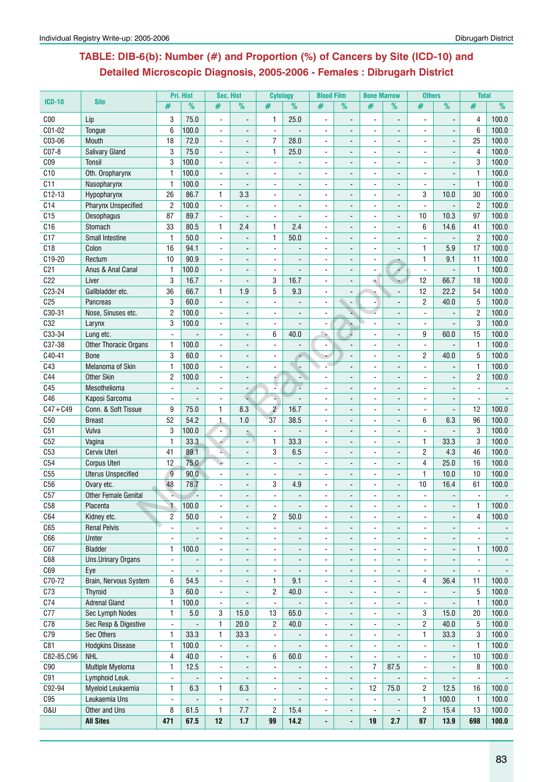## **Table: DIB-6(b): Number (#) and Proportion (%) of Cancers by Site (ICD-10) and Detailed Microscopic Diagnosis, 2005-2006 - Females : Dibrugarh District**

|                 |                                       |                              | Pri. Hist                    | Sec. Hist                        |                          | <b>Cytology</b>          |                          | <b>Blood Film</b>            |                              | <b>Bone Marrow</b>   |                                                      | <b>Others</b>       |                              | <b>Total</b>                   |                |
|-----------------|---------------------------------------|------------------------------|------------------------------|----------------------------------|--------------------------|--------------------------|--------------------------|------------------------------|------------------------------|----------------------|------------------------------------------------------|---------------------|------------------------------|--------------------------------|----------------|
| <b>ICD-10</b>   | <b>Site</b>                           | #                            | $\frac{9}{6}$                | #                                | $\frac{9}{6}$            | #                        | $\overline{\frac{9}{6}}$ | #                            | $\frac{9}{6}$                | #                    | $\frac{9}{6}$                                        | #                   | $\frac{9}{6}$                | #                              | %              |
| C <sub>00</sub> | Lip                                   | 3                            | 75.0                         |                                  |                          | 1                        | 25.0                     | ÷,                           |                              |                      |                                                      |                     |                              | 4                              | 100.0          |
| C01-02          | Tongue                                | 6                            | 100.0                        |                                  |                          |                          |                          |                              |                              |                      |                                                      |                     |                              | 6                              | 100.0          |
| C03-06          | Mouth                                 | 18                           | 72.0                         | $\blacksquare$                   |                          | $\overline{7}$           | 28.0                     |                              |                              |                      |                                                      |                     |                              | 25                             | 100.0          |
| C07-8           | Salivary Gland                        | 3                            | 75.0                         | $\blacksquare$                   |                          | $\mathbf{1}$             | 25.0                     | $\blacksquare$               |                              | ä,                   | ÷,                                                   | $\overline{a}$      |                              | 4                              | 100.0          |
| C <sub>09</sub> | Tonsil                                | 3                            | 100.0                        |                                  | $\overline{a}$           | $\blacksquare$           | $\blacksquare$           |                              | $\blacksquare$               |                      | $\overline{a}$                                       |                     |                              | 3                              | 100.0          |
| C10             | Oth. Oropharynx                       | 1                            | 100.0                        |                                  |                          |                          |                          |                              |                              |                      |                                                      |                     |                              | $\mathbf{1}$                   | 100.0          |
| C11             | Nasopharynx                           | $\mathbf{1}$                 | 100.0                        |                                  |                          |                          |                          |                              | $\overline{\phantom{a}}$     |                      | $\overline{\phantom{a}}$                             |                     |                              | $\mathbf{1}$                   | 100.0          |
| $C12-13$        | Hypopharynx                           | 26                           | 86.7                         | $\mathbf{1}$                     | 3.3                      | $\overline{\phantom{a}}$ | $\overline{a}$           | $\blacksquare$               | $\frac{1}{2}$                |                      | $\overline{\phantom{a}}$                             | 3                   | 10.0                         | 30                             | 100.0          |
| C14             | Pharynx Unspecified                   | $\overline{c}$               | 100.0                        |                                  |                          |                          |                          |                              |                              |                      | L.                                                   |                     |                              | $\overline{2}$                 | 100.0          |
| C <sub>15</sub> | Oesophagus                            | 87                           | 89.7                         | $\blacksquare$                   |                          |                          |                          |                              |                              |                      |                                                      | 10                  | 10.3                         | 97                             | 100.0          |
| C16             | Stomach                               | 33                           | 80.5                         | 1                                | 2.4                      | 1                        | 2.4                      | $\blacksquare$               |                              | ä,                   | $\overline{a}$                                       | 6                   | 14.6                         | 41                             | 100.0          |
| C17             | <b>Small Intestine</b>                | $\mathbf{1}$                 | 50.0                         | $\blacksquare$                   | $\blacksquare$           | 1                        | 50.0                     | $\blacksquare$               | $\blacksquare$               |                      | $\blacksquare$                                       |                     | $\overline{\phantom{a}}$     | $\overline{2}$                 | 100.0          |
| C18             | Colon                                 | 16                           | 94.1                         | L.                               |                          | $\blacksquare$           |                          | $\blacksquare$               |                              |                      |                                                      | $\mathbf{1}$        | 5.9                          | 17                             | 100.0          |
| C19-20          | Rectum                                | 10                           | 90.9                         | $\overline{a}$                   |                          |                          |                          | $\blacksquare$               |                              |                      |                                                      | $\mathbf{1}$        | 9.1                          | 11                             | 100.0          |
| C <sub>21</sub> | Anus & Anal Canal                     | 1                            | 100.0                        |                                  | $\blacksquare$           | $\blacksquare$           |                          | ۰                            | $\blacksquare$               |                      | ÷<br>4                                               |                     | $\blacksquare$               | $\mathbf{1}$                   | 100.0          |
| C <sub>22</sub> | Liver                                 | 3                            | 16.7                         |                                  |                          | 3                        | 16.7                     |                              |                              | $\triangleq$         |                                                      | 12                  | 66.7                         | 18                             | 100.0          |
| C23-24          | Gallbladder etc.                      | 36                           | 66.7                         | $\mathbf{1}$                     | 1.9                      | 5                        | 9.3                      |                              |                              |                      |                                                      | 12                  | 22.2                         | 54                             | 100.0          |
| C <sub>25</sub> |                                       | 3                            | 60.0                         | $\sim$                           | $\blacksquare$           | $\mathbf{r}$             | $\overline{a}$           | $\blacksquare$               |                              |                      | $\overline{a}$                                       | $\overline{2}$      | 40.0                         | 5                              | 100.0          |
| C30-31          | Pancreas<br>Nose, Sinuses etc.        |                              | 100.0                        |                                  |                          |                          |                          |                              | $\overline{\phantom{a}}$     |                      |                                                      | $\overline{a}$      |                              | $\overline{2}$                 |                |
| C <sub>32</sub> |                                       | $\overline{c}$<br>3          | 100.0                        | $\blacksquare$                   | $\blacksquare$           | $\blacksquare$           | $\overline{a}$           |                              |                              |                      |                                                      |                     |                              | 3                              | 100.0          |
| C33-34          | Larynx                                |                              |                              |                                  | $\blacksquare$           | $\blacksquare$           | 40.0                     | $\blacksquare$               |                              |                      |                                                      | $\blacksquare$<br>9 |                              | 15                             | 100.0<br>100.0 |
|                 | Lung etc.                             | $\blacksquare$               |                              |                                  |                          | 6                        |                          | $\Delta$                     |                              |                      | $\overline{\phantom{a}}$                             |                     | 60.0                         |                                |                |
| C37-38          | <b>Other Thoracic Organs</b>          | $\mathbf{1}$                 | 100.0                        |                                  | $\overline{\phantom{a}}$ |                          |                          | ۰                            |                              |                      | $\overline{\phantom{a}}$                             |                     |                              | $\mathbf{1}$                   | 100.0          |
| C40-41<br>C43   | <b>Bone</b>                           | 3<br>$\mathbf{1}$            | 60.0<br>100.0                |                                  |                          |                          |                          |                              |                              |                      |                                                      | $\overline{c}$      | 40.0                         | 5                              | 100.0          |
| C44             | Melanoma of Skin<br><b>Other Skin</b> | 2                            | 100.0                        | $\blacksquare$<br>$\blacksquare$ | $\sim$                   |                          | A.                       | $\blacksquare$               | $\blacksquare$               |                      | $\overline{a}$                                       | $\sim$              | $\overline{a}$               | $\mathbf{1}$<br>$\overline{2}$ | 100.0<br>100.0 |
| C45             | Mesothelioma                          | $\blacksquare$               |                              | $\blacksquare$                   |                          | à.                       | ÷,                       | $\blacksquare$               |                              | $\blacksquare$<br>ä, | $\blacksquare$                                       | $\blacksquare$      | $\blacksquare$               | $\blacksquare$                 |                |
| C46             | Kaposi Sarcoma                        | $\blacksquare$               |                              | $\blacksquare$                   | $\blacksquare$           | ¥.                       |                          | $\blacksquare$               | $\blacksquare$               |                      | $\overline{\phantom{a}}$                             | $\overline{a}$      |                              | $\blacksquare$                 |                |
| $C47 + C49$     | Conn. & Soft Tissue                   | 9                            | 75.0                         | 1                                | 8.3                      | $\overline{2}$           | 16.7                     | ۰                            |                              | $\blacksquare$       |                                                      |                     | Ē,<br>$\blacksquare$         | 12                             | 100.0          |
| C50             | <b>Breast</b>                         | 52                           | 54.2                         | $\mathbf{1}$                     | 1.0                      | 37                       | 38.5                     | ۰                            | $\qquad \qquad \blacksquare$ |                      | $\overline{\phantom{a}}$<br>$\overline{\phantom{a}}$ | 6                   | 6.3                          | 96                             | 100.0          |
| C51             | Vulva                                 | 3                            | 100.0                        | $\blacksquare$                   |                          | $\mathbf{r}$             |                          |                              |                              |                      |                                                      | $\overline{a}$      | $\overline{a}$               | 3                              | 100.0          |
| C52             | Vagina                                | $\mathbf{1}$                 | 33.3                         |                                  |                          | $\mathbf{1}$             | 33.3                     |                              |                              |                      | ÷,                                                   | $\mathbf{1}$        | 33.3                         | 3                              | 100.0          |
| C53             | Cervix Uteri                          | 41                           | 89.1                         |                                  | $\overline{a}$           | 3                        | 6.5                      | ÷.                           | $\blacksquare$               | $\blacksquare$       | $\overline{a}$                                       | $\overline{2}$      | 4.3                          | 46                             | 100.0          |
| C54             | Corpus Uteri                          | 12                           | 75.0                         |                                  | $\blacksquare$           | $\blacksquare$           | $\sim$                   | $\blacksquare$               | $\blacksquare$               |                      | $\blacksquare$                                       | 4                   | 25.0                         | 16                             | 100.0          |
| C55             | <b>Uterus Unspecified</b>             | $\overline{g}$               | 90.0                         |                                  | $\blacksquare$           |                          |                          |                              | $\blacksquare$               |                      | ÷,                                                   | $\mathbf{1}$        | 10.0                         | 10                             | 100.0          |
| C <sub>56</sub> | Ovary etc.                            | 48                           | 78.7                         |                                  |                          | 3                        | 4.9                      |                              |                              |                      |                                                      | 10                  | 16.4                         | 61                             | 100.0          |
| C57             | <b>Other Female Genital</b>           |                              |                              |                                  |                          |                          |                          | ä,                           |                              |                      | $\overline{a}$                                       |                     |                              |                                |                |
| C58             | Placenta                              | $\uparrow$                   | 100.0                        |                                  |                          |                          |                          |                              |                              |                      |                                                      |                     |                              | 1                              | 100.0          |
| C64             | Kidney etc.                           | 2                            | 50.0                         | $\blacksquare$                   |                          | $\overline{c}$           | 50.0                     | $\blacksquare$               |                              |                      |                                                      |                     | $\blacksquare$               | 4                              | 100.0          |
| C65             | <b>Renal Pelvis</b>                   | $\blacksquare$               | $\overline{\phantom{0}}$     | $\blacksquare$                   | $\blacksquare$           | $\blacksquare$           | $\overline{a}$           | Ξ.                           | $\blacksquare$               | ٠                    | $\blacksquare$                                       | $\blacksquare$      | $\blacksquare$               | $\blacksquare$                 |                |
| C66             | Ureter                                | $\blacksquare$               | $\blacksquare$               | $\blacksquare$                   | $\blacksquare$           | $\blacksquare$           | $\overline{a}$           | $\blacksquare$               | $\frac{1}{2}$                | ÷.                   | $\overline{\phantom{a}}$                             | $\blacksquare$      | $\blacksquare$               | $\blacksquare$                 |                |
| C67             | <b>Bladder</b>                        | 1                            | 100.0                        | $\overline{a}$                   | $\overline{\phantom{a}}$ | $\overline{\phantom{a}}$ |                          | $\blacksquare$               | $\overline{\phantom{a}}$     | ä,                   | $\blacksquare$                                       | $\blacksquare$      | $\blacksquare$               | 1                              | 100.0          |
| C68             | <b>Uns.Urinary Organs</b>             | $\qquad \qquad \blacksquare$ | $\qquad \qquad \blacksquare$ | $\blacksquare$                   | $\blacksquare$           | $\overline{\phantom{a}}$ | $\overline{\phantom{a}}$ | $\qquad \qquad \blacksquare$ | $\qquad \qquad \blacksquare$ | -                    | $\overline{\phantom{a}}$                             | $\blacksquare$      | $\qquad \qquad \blacksquare$ | $\blacksquare$                 |                |
| C69             | Eye                                   | ä,                           |                              | $\overline{a}$                   | $\overline{\phantom{a}}$ | L.                       |                          | $\blacksquare$               | $\overline{a}$               |                      | $\overline{\phantom{a}}$                             |                     |                              |                                |                |
| C70-72          | Brain, Nervous System                 | 6                            | 54.5                         | $\blacksquare$                   | $\blacksquare$           | 1                        | 9.1                      | $\blacksquare$               | L.                           |                      | $\blacksquare$                                       | 4                   | 36.4                         | 11                             | 100.0          |
| C73             | Thyroid                               | 3                            | 60.0                         | $\overline{a}$                   |                          | $\overline{c}$           | 40.0                     | $\blacksquare$               | $\blacksquare$               | $\blacksquare$       | $\overline{\phantom{0}}$                             |                     |                              | 5                              | 100.0          |
| C74             | <b>Adrenal Gland</b>                  | $\mathbf{1}$                 | 100.0                        | $\blacksquare$                   |                          | $\blacksquare$           | $\overline{\phantom{a}}$ | $\blacksquare$               | $\overline{\phantom{a}}$     | $\frac{1}{2}$        | $\overline{\phantom{a}}$                             | $\blacksquare$      | $\blacksquare$               | $\mathbf{1}$                   | 100.0          |
| C77             | Sec Lymph Nodes                       | $\mathbf{1}$                 | $5.0\,$                      | 3                                | 15.0                     | 13                       | 65.0                     | $\blacksquare$               | $\overline{\phantom{a}}$     |                      |                                                      | 3                   | 15.0                         | 20                             | 100.0          |
| C78             | Sec Resp & Digestive                  | $\blacksquare$               |                              | 1                                | 20.0                     | $\overline{c}$           | 40.0                     | $\blacksquare$               | $\overline{\phantom{a}}$     | ٠                    | $\blacksquare$                                       | $\overline{2}$      | 40.0                         | 5                              | 100.0          |
| C79             | Sec Others                            | 1                            | 33.3                         | $\mathbf{1}$                     | 33.3                     | $\blacksquare$           |                          | $\frac{1}{2}$                | $\blacksquare$               |                      | $\overline{\phantom{a}}$                             | $\mathbf{1}$        | 33.3                         | 3                              | 100.0          |
| C81             | <b>Hodgkins Disease</b>               | $\mathbf{1}$                 | 100.0                        | $\blacksquare$                   |                          | L.                       |                          | $\blacksquare$               | $\overline{\phantom{a}}$     | ÷,                   |                                                      |                     |                              | $\mathbf{1}$                   | 100.0          |
| C82-85, C96     | <b>NHL</b>                            | 4                            | 40.0                         | $\blacksquare$                   |                          | 6                        | 60.0                     | ÷                            | $\blacksquare$               | ä,                   |                                                      | $\blacksquare$      | $\overline{a}$               | 10                             | 100.0          |
| C90             | Multiple Myeloma                      | 1                            | 12.5                         | $\blacksquare$                   |                          | $\overline{\phantom{a}}$ | $\overline{a}$           | $\blacksquare$               | $\blacksquare$               | 7                    | 87.5                                                 | $\blacksquare$      | $\blacksquare$               | 8                              | 100.0          |
| C91             | Lymphoid Leuk.                        | ä,                           | $\frac{1}{2}$                | $\blacksquare$                   | $\overline{\phantom{a}}$ | $\blacksquare$           | $\blacksquare$           | Ξ.                           | $\overline{\phantom{a}}$     | ä,                   | $\overline{a}$                                       | $\blacksquare$      | $\blacksquare$               | $\blacksquare$                 |                |
| C92-94          | Myeloid Leukaemia                     | 1                            | 6.3                          | 1                                | 6.3                      | $\blacksquare$           | $\overline{a}$           | ÷.                           | $\blacksquare$               | 12                   | 75.0                                                 | 2                   | 12.5                         | 16                             | 100.0          |
| C95             | Leukaemia Uns                         | $\blacksquare$               |                              | $\blacksquare$                   |                          | $\blacksquare$           | $\blacksquare$           | $\blacksquare$               | $\overline{\phantom{a}}$     | $\blacksquare$       | $\blacksquare$                                       | $\mathbf{1}$        | 100.0                        | $\mathbf{1}$                   | 100.0          |
| <b>0&amp;U</b>  | Other and Uns                         | 8                            | 61.5                         | $\mathbf{1}$                     | 7.7                      | $\overline{c}$           | 15.4                     | $\blacksquare$               | $\overline{\phantom{a}}$     | ÷,                   | $\overline{\phantom{a}}$                             | $\overline{c}$      | 15.4                         | 13                             | 100.0          |
|                 | <b>All Sites</b>                      | 471                          | 67.5                         | 12                               | $1.7$                    | 99                       | 14.2                     | $\blacksquare$               | $\overline{a}$               | 19                   | 2.7                                                  | 97                  | 13.9                         | 698                            | 100.0          |
|                 |                                       |                              |                              |                                  |                          |                          |                          |                              |                              |                      |                                                      |                     |                              |                                |                |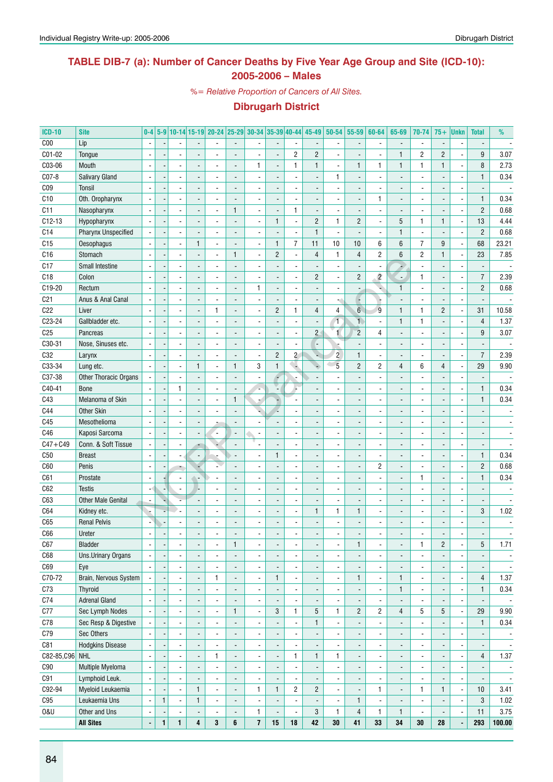### **TABLE DIB-7 (a): Number of Cancer Deaths by Five Year Age Group and Site (ICD-10): 2005-2006 – Males**

*%= Relative Proportion of Cancers of All Sites.*

| <b>ICD-10</b>   | <b>Site</b>                | $0-4$                    |                |                          |              | 5-9 10-14 15-19 20-24 25-29 30-34 35-39 40-44 |                          |                          |                              |                          | 45-49                    | $50 - 54$                | 55-59                    | 60-64                    | 65-69                    | 70-74                    | $75+$          | <b>Unkn</b>              | <b>Total</b>             | %                        |
|-----------------|----------------------------|--------------------------|----------------|--------------------------|--------------|-----------------------------------------------|--------------------------|--------------------------|------------------------------|--------------------------|--------------------------|--------------------------|--------------------------|--------------------------|--------------------------|--------------------------|----------------|--------------------------|--------------------------|--------------------------|
| C <sub>00</sub> | Lip                        | $\overline{\phantom{a}}$ |                |                          |              |                                               |                          |                          |                              |                          |                          |                          | $\overline{\phantom{a}}$ |                          |                          | $\overline{\phantom{a}}$ |                | $\overline{\phantom{a}}$ |                          |                          |
| C01-02          | Tongue                     |                          |                |                          |              |                                               |                          |                          | $\overline{a}$               | $\overline{c}$           | $\overline{2}$           |                          | $\overline{\phantom{a}}$ |                          | $\mathbf{1}$             | $\overline{2}$           | $\overline{c}$ | $\overline{\phantom{a}}$ | 9                        | 3.07                     |
| C03-06          | Mouth                      | $\overline{\phantom{a}}$ |                |                          |              |                                               |                          | $\mathbf{1}$             |                              | $\mathbf{1}$             | 1                        |                          | $\mathbf{1}$             | 1                        | 1                        | $\mathbf{1}$             | 1              | $\blacksquare$           | 8                        | 2.73                     |
| C07-8           | <b>Salivary Gland</b>      | $\blacksquare$           |                |                          |              |                                               |                          |                          |                              | ÷,                       |                          | 1                        | $\overline{a}$           |                          |                          | $\overline{a}$           |                | $\overline{\phantom{a}}$ | $\mathbf{1}$             | 0.34                     |
| CO <sub>9</sub> | Tonsil                     | $\overline{\phantom{a}}$ |                |                          |              |                                               |                          |                          |                              | ÷,                       |                          |                          | $\blacksquare$           |                          |                          | $\blacksquare$           |                |                          |                          |                          |
| C10             | Oth. Oropharynx            | $\overline{\phantom{a}}$ |                |                          |              |                                               |                          |                          |                              | ÷,                       |                          |                          | $\overline{a}$           | $\mathbf{1}$             |                          | $\overline{a}$           |                | $\overline{a}$           | $\mathbf{1}$             | 0.34                     |
| C11             | Nasopharynx                | $\blacksquare$           |                |                          |              |                                               | 1                        | $\blacksquare$           |                              | $\mathbf{1}$             |                          |                          | $\blacksquare$           |                          |                          | $\overline{a}$           |                | $\overline{a}$           | $\overline{2}$           | 0.68                     |
| C12-13          | Hypopharynx                | $\overline{\phantom{a}}$ |                |                          |              |                                               |                          | $\overline{\phantom{a}}$ | $\mathbf{1}$                 | $\overline{\phantom{a}}$ | $\overline{2}$           | 1                        | $\overline{c}$           | $\blacksquare$           | 5                        | $\mathbf{1}$             | 1              | $\blacksquare$           | 13                       | 4.44                     |
| C14             | <b>Pharynx Unspecified</b> | $\blacksquare$           |                |                          |              |                                               |                          | $\overline{\phantom{a}}$ |                              | $\overline{\phantom{a}}$ | $\mathbf{1}$             |                          | $\overline{\phantom{a}}$ |                          | $\mathbf{1}$             | $\overline{a}$           |                | $\overline{a}$           | $\overline{c}$           | 0.68                     |
| C15             | Oesophagus                 | $\blacksquare$           |                | $\overline{a}$           | $\mathbf{1}$ |                                               |                          | $\overline{\phantom{a}}$ | $\mathbf{1}$                 | 7                        | 11                       | $10$                     | 10                       | 6                        | $6\phantom{1}$           | $\overline{7}$           | 9              | ÷,                       | 68                       | 23.21                    |
| C16             | Stomach                    | $\overline{\phantom{a}}$ |                |                          |              |                                               | 1                        | $\overline{\phantom{a}}$ | $\overline{c}$               | $\blacksquare$           | $\overline{4}$           | $\mathbf{1}$             | $\overline{4}$           | $\overline{2}$           | 6                        | $\overline{2}$           | 1              | $\blacksquare$           | 23                       | 7.85                     |
| C17             | Small Intestine            | $\overline{\phantom{a}}$ |                |                          |              |                                               |                          |                          |                              | ÷,                       |                          |                          | $\overline{a}$           |                          |                          | $\overline{a}$           |                |                          |                          |                          |
| C18             | Colon                      | $\overline{\phantom{a}}$ |                |                          |              |                                               |                          |                          |                              | $\blacksquare$           | $\overline{c}$           |                          | $\overline{c}$           | $\overline{2}$           | $\blacksquare$           | $\mathbf{1}$             |                | $\overline{\phantom{a}}$ | $\overline{7}$           | 2.39                     |
| C19-20          | Rectum                     | $\overline{\phantom{a}}$ |                |                          |              |                                               |                          | $\mathbf{1}$             |                              | ÷,                       |                          |                          | $\overline{a}$           |                          | $\mathbf{1}$             | ÷,                       |                | $\overline{a}$           | $\overline{2}$           | 0.68                     |
| C <sub>21</sub> | Anus & Anal Canal          | $\overline{\phantom{a}}$ |                |                          |              |                                               |                          | $\overline{\phantom{a}}$ |                              | ÷,                       |                          |                          | ¥                        |                          |                          | $\overline{a}$           |                | $\overline{\phantom{a}}$ |                          |                          |
| C22             |                            | $\overline{\phantom{a}}$ |                |                          |              | 1                                             |                          | $\overline{\phantom{a}}$ | $\overline{2}$               | $\mathbf{1}$             | $\overline{4}$           | 4                        | 6                        | 9                        | $\mathbf{1}$             | $\mathbf{1}$             | $\overline{c}$ | ÷,                       | 31                       | 10.58                    |
|                 | Liver                      |                          |                |                          |              |                                               |                          |                          |                              |                          |                          |                          | $\mathbf{1}$             |                          |                          |                          |                |                          |                          |                          |
| C23-24          | Gallbladder etc.           | $\overline{\phantom{a}}$ |                |                          |              |                                               |                          | $\overline{\phantom{a}}$ |                              | $\blacksquare$           |                          | 1                        |                          | $\blacksquare$           | $\mathbf{1}$             | $\mathbf{1}$             |                | $\overline{a}$           | $\overline{4}$           | 1.37                     |
| C <sub>25</sub> | Pancreas                   | $\overline{\phantom{a}}$ |                |                          |              |                                               |                          |                          |                              | $\blacksquare$           | $\overline{2}$           | $\mathbf{1}$             | $\overline{c}$           | 4                        |                          | $\overline{a}$           |                |                          | 9                        | 3.07                     |
| C30-31          | Nose, Sinuses etc.         | $\blacksquare$           |                |                          |              |                                               |                          | $\overline{\phantom{a}}$ |                              | $\overline{\phantom{a}}$ |                          |                          |                          |                          |                          | $\overline{a}$           |                |                          |                          |                          |
| C32             | Larynx                     | $\blacksquare$           |                | $\overline{a}$           |              |                                               |                          | $\overline{\phantom{a}}$ | $\overline{c}$               | $\overline{c}$           |                          | $\overline{c}$           | $\mathbf{1}$             |                          |                          | $\overline{a}$           |                | $\overline{a}$           | $\overline{7}$           | 2.39                     |
| C33-34          | Lung etc.                  | $\overline{\phantom{a}}$ |                | $\overline{a}$           | $\mathbf{1}$ | ÷.                                            | $\mathbf{1}$             | 3                        | $\mathbf{1}$                 | Ù.                       |                          | $\overline{5}$           | $\overline{c}$           | $\overline{c}$           | 4                        | 6                        | $\overline{4}$ | $\overline{a}$           | 29                       | 9.90                     |
| C37-38          | Other Thoracic Organs      | $\overline{\phantom{a}}$ |                |                          |              |                                               |                          | $\overline{a}$           |                              |                          |                          |                          | $\overline{a}$           |                          |                          | $\overline{a}$           |                |                          |                          |                          |
| C40-41          | <b>Bone</b>                | $\overline{\phantom{a}}$ |                | 1                        |              |                                               |                          |                          |                              |                          |                          |                          |                          |                          |                          | $\blacksquare$           |                | $\overline{\phantom{a}}$ | $\mathbf{1}$             | 0.34                     |
| C43             | Melanoma of Skin           | $\overline{\phantom{a}}$ |                |                          |              |                                               | 1                        |                          |                              | $\overline{\phantom{a}}$ |                          |                          |                          |                          |                          | $\blacksquare$           |                | $\overline{\phantom{a}}$ | $\mathbf{1}$             | 0.34                     |
| C44             | <b>Other Skin</b>          | $\overline{\phantom{a}}$ |                |                          |              |                                               |                          |                          |                              | ÷,                       |                          |                          |                          |                          |                          | $\blacksquare$           |                |                          |                          |                          |
| C45             | Mesothelioma               | $\overline{\phantom{a}}$ |                | $\overline{a}$           |              |                                               |                          |                          |                              | $\overline{a}$           |                          |                          | ٠                        |                          |                          | $\blacksquare$           |                |                          |                          |                          |
| C46             | Kaposi Sarcoma             | $\overline{\phantom{a}}$ |                | $\overline{a}$           |              | $\overline{\phantom{a}}$                      |                          | $\overline{\phantom{a}}$ |                              | ÷,                       |                          |                          | $\overline{a}$           |                          |                          | $\blacksquare$           |                |                          |                          |                          |
| $C47 + C49$     | Conn. & Soft Tissue        | $\overline{\phantom{a}}$ |                | $\overline{a}$           |              |                                               |                          |                          |                              | $\overline{a}$           |                          |                          | $\overline{a}$           |                          |                          | $\blacksquare$           |                |                          |                          |                          |
| C50             | <b>Breast</b>              |                          |                |                          |              |                                               |                          | $\blacksquare$           | $\mathbf{1}$                 | $\overline{a}$           |                          |                          | $\overline{a}$           |                          |                          | $\overline{a}$           |                | $\overline{\phantom{a}}$ | $\mathbf{1}$             | 0.34                     |
| C60             | Penis                      | $\overline{\phantom{a}}$ |                |                          |              |                                               |                          |                          |                              | $\overline{a}$           |                          |                          | $\overline{a}$           | $\overline{c}$           |                          | $\overline{a}$           |                | $\overline{\phantom{a}}$ | $\sqrt{2}$               | 0.68                     |
| C61             | Prostate                   | $\overline{\phantom{a}}$ |                | $\blacksquare$           |              |                                               |                          |                          |                              | $\overline{a}$           |                          |                          | ÷.                       |                          |                          | $\mathbf{1}$             |                |                          | $\mathbf{1}$             | 0.34                     |
| C62             | <b>Testis</b>              | $\blacksquare$           |                |                          |              |                                               |                          |                          |                              | $\overline{a}$           |                          |                          | $\overline{a}$           |                          |                          | $\overline{a}$           |                |                          |                          |                          |
| C63             | <b>Other Male Genital</b>  | $\overline{\phantom{a}}$ |                |                          |              |                                               |                          |                          |                              | $\overline{\phantom{a}}$ |                          |                          | ٠                        |                          |                          | $\blacksquare$           |                |                          | $\overline{\phantom{a}}$ |                          |
| C64             | Kidney etc.                | ۰.                       |                |                          |              |                                               |                          | $\overline{\phantom{a}}$ |                              | $\overline{\phantom{a}}$ | $\mathbf{1}$             | 1                        | $\mathbf{1}$             | $\overline{a}$           |                          | $\overline{a}$           |                | $\overline{\phantom{a}}$ | 3                        | 1.02                     |
| C65             | <b>Renal Pelvis</b>        | $\overline{\phantom{a}}$ |                |                          |              |                                               |                          |                          |                              | $\overline{\phantom{a}}$ |                          |                          | $\overline{\phantom{a}}$ |                          |                          |                          |                |                          |                          |                          |
| C66             | Ureter                     | $\overline{\phantom{a}}$ |                |                          |              |                                               |                          |                          |                              | L                        |                          |                          |                          |                          |                          |                          |                |                          |                          |                          |
| C67             | Bladder                    | $\overline{\phantom{a}}$ | $\overline{a}$ | $\overline{\phantom{a}}$ |              |                                               | 1                        | $\overline{\phantom{a}}$ | $\qquad \qquad \blacksquare$ | $\overline{\phantom{a}}$ | $\overline{\phantom{a}}$ |                          | L                        |                          |                          | 1                        | $\overline{c}$ |                          | 5                        | 1.71                     |
| C68             | <b>Uns.Urinary Organs</b>  | $\overline{\phantom{a}}$ |                | $\blacksquare$           |              | ÷,                                            | $\overline{a}$           | $\overline{\phantom{a}}$ | ÷,                           | $\blacksquare$           |                          | $\overline{\phantom{a}}$ | ÷,                       | $\overline{\phantom{a}}$ |                          | $\frac{1}{2}$            |                | $\blacksquare$           |                          | $\overline{\phantom{a}}$ |
| C69             | Eye                        | $\blacksquare$           |                | $\blacksquare$           |              |                                               |                          | $\overline{\phantom{a}}$ |                              | $\blacksquare$           |                          |                          |                          |                          |                          | $\overline{\phantom{a}}$ |                | $\blacksquare$           |                          | $\overline{\phantom{a}}$ |
| C70-72          | Brain, Nervous System      | $\blacksquare$           |                | $\blacksquare$           |              | 1                                             | $\overline{a}$           | $\overline{\phantom{a}}$ | $\mathbf{1}$                 | $\blacksquare$           |                          |                          | $\mathbf{1}$             | $\overline{\phantom{a}}$ | $\mathbf{1}$             | $\frac{1}{2}$            |                | $\blacksquare$           | 4                        | 1.37                     |
| C73             | Thyroid                    | $\blacksquare$           |                | $\overline{\phantom{a}}$ |              |                                               |                          | $\blacksquare$           |                              | $\overline{\phantom{a}}$ |                          |                          | ÷,                       | $\blacksquare$           | 1                        | $\frac{1}{2}$            |                | ÷,                       | $\mathbf{1}$             | 0.34                     |
| C74             | <b>Adrenal Gland</b>       | $\overline{\phantom{a}}$ |                | $\blacksquare$           |              | $\overline{\phantom{a}}$                      |                          | $\overline{\phantom{a}}$ |                              | $\blacksquare$           |                          |                          | $\blacksquare$           | $\overline{\phantom{a}}$ |                          | $\overline{\phantom{a}}$ |                | ÷,                       | $\overline{\phantom{a}}$ | $\overline{\phantom{a}}$ |
| C77             | Sec Lymph Nodes            | $\blacksquare$           |                | $\blacksquare$           |              | $\overline{\phantom{a}}$                      | $\mathbf{1}$             | $\overline{\phantom{a}}$ | 3                            | $\mathbf{1}$             | 5                        | $\mathbf{1}$             | $\overline{c}$           | $\overline{c}$           | $\overline{4}$           | 5                        | 5              | ä,                       | 29                       | 9.90                     |
| C78             | Sec Resp & Digestive       | $\blacksquare$           |                | $\blacksquare$           |              | $\overline{\phantom{a}}$                      |                          | $\overline{\phantom{a}}$ |                              | $\blacksquare$           | $\mathbf{1}$             | $\blacksquare$           | ÷,                       | $\overline{\phantom{a}}$ |                          | $\frac{1}{2}$            |                | ä,                       | $\mathbf{1}$             | 0.34                     |
| C79             | Sec Others                 | $\blacksquare$           |                | $\overline{\phantom{a}}$ |              | $\overline{\phantom{a}}$                      |                          | $\overline{\phantom{a}}$ |                              | $\blacksquare$           | $\overline{\phantom{a}}$ | $\overline{\phantom{a}}$ | ÷,                       |                          |                          | $\overline{\phantom{a}}$ |                | $\blacksquare$           | $\overline{\phantom{a}}$ | $\overline{\phantom{a}}$ |
| C81             | <b>Hodgkins Disease</b>    | $\blacksquare$           |                | $\overline{\phantom{a}}$ |              |                                               |                          | $\overline{\phantom{a}}$ |                              | $\blacksquare$           |                          |                          | $\overline{\phantom{a}}$ |                          |                          | $\overline{\phantom{a}}$ |                | $\blacksquare$           |                          | $\blacksquare$           |
|                 |                            |                          |                |                          |              |                                               |                          |                          |                              |                          |                          |                          |                          |                          |                          |                          |                |                          | $\overline{\phantom{a}}$ |                          |
| C82-85, C96 NHL |                            | $\blacksquare$           |                | $\overline{\phantom{a}}$ |              | 1                                             | $\overline{a}$           | $\overline{\phantom{a}}$ |                              | $\mathbf{1}$             | $\mathbf{1}$             | $\mathbf{1}$             | $\overline{\phantom{a}}$ | $\overline{\phantom{a}}$ |                          | $\overline{\phantom{a}}$ |                | $\blacksquare$           | $\overline{4}$           | 1.37                     |
| C90             | Multiple Myeloma           | $\blacksquare$           |                | $\blacksquare$           |              | ٠                                             |                          | $\blacksquare$           |                              | $\blacksquare$           | $\overline{\phantom{a}}$ | $\overline{\phantom{a}}$ | ÷,                       | $\overline{\phantom{a}}$ |                          | $\overline{\phantom{a}}$ |                | $\blacksquare$           | $\overline{\phantom{a}}$ | $\blacksquare$           |
| C91             | Lymphoid Leuk.             | $\blacksquare$           |                | $\blacksquare$           |              | $\overline{\phantom{a}}$                      | $\overline{\phantom{a}}$ |                          |                              | $\overline{\phantom{a}}$ |                          | $\overline{\phantom{a}}$ | $\overline{\phantom{a}}$ | $\overline{\phantom{a}}$ |                          | $\overline{\phantom{a}}$ |                | ÷,                       | $\overline{\phantom{a}}$ | $\overline{\phantom{a}}$ |
| C92-94          | Myeloid Leukaemia          | $\blacksquare$           |                | $\blacksquare$           | $\mathbf{1}$ | ٠                                             | $\overline{\phantom{a}}$ | 1                        | $\mathbf{1}$                 | 2                        | $\overline{2}$           | $\overline{\phantom{a}}$ | ÷,                       | $\mathbf{1}$             | $\overline{\phantom{a}}$ | $\mathbf{1}$             | 1              | $\blacksquare$           | 10                       | 3.41                     |
| C95             | Leukaemia Uns              | $\blacksquare$           | $\mathbf{1}$   | $\overline{\phantom{a}}$ | $\mathbf{1}$ | ٠                                             | $\overline{\phantom{a}}$ | $\blacksquare$           |                              | $\blacksquare$           |                          |                          | $\mathbf{1}$             | $\overline{\phantom{a}}$ |                          | $\blacksquare$           |                | ÷,                       | $\mathbf{3}$             | 1.02                     |
| <b>0&amp;U</b>  | Other and Uns              | $\overline{\phantom{a}}$ |                | $\overline{\phantom{a}}$ |              |                                               |                          | $\mathbf{1}$             |                              | $\overline{\phantom{a}}$ | 3                        | $\mathbf{1}$             | $\overline{4}$           | 1                        | $\mathbf{1}$             | $\overline{\phantom{a}}$ |                | $\blacksquare$           | 11                       | 3.75                     |
|                 | <b>All Sites</b>           | ÷,                       | $\mathbf{1}$   | 1                        | 4            | $\mathbf{3}$                                  | $6\phantom{1}$           | $\overline{\mathbf{r}}$  | 15                           | $18$                     | 42                       | ${\bf 30}$               | 41                       | 33                       | 34                       | ${\bf 30}$               | 28             |                          | 293                      | 100.00                   |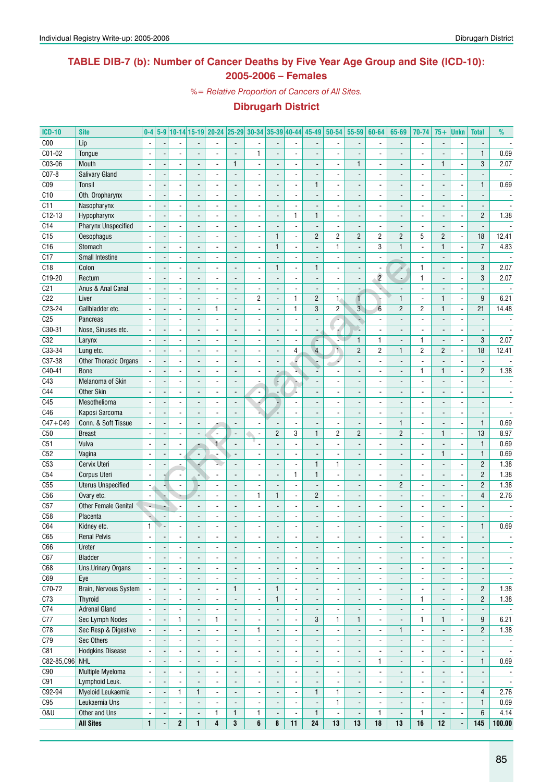### **TABLE DIB-7 (b): Number of Cancer Deaths by Five Year Age Group and Site (ICD-10): 2005-2006 – Females**

*%= Relative Proportion of Cancers of All Sites.*

| <b>ICD-10</b>   | <b>Site</b>                 | $0-4$                    |                          |                          |                          |                          |                          |                          |                          | 5-9 10-14 15-19 20-24 25-29 30-34 35-39 40-44 45-49 | 50-54                    | 55-59                        | 60-64                    | 65-69                    | 70-74                    | $75+$                    | Unkn                     | <b>Total</b>             | %                        |
|-----------------|-----------------------------|--------------------------|--------------------------|--------------------------|--------------------------|--------------------------|--------------------------|--------------------------|--------------------------|-----------------------------------------------------|--------------------------|------------------------------|--------------------------|--------------------------|--------------------------|--------------------------|--------------------------|--------------------------|--------------------------|
| C <sub>00</sub> | Lip                         |                          |                          |                          |                          |                          |                          |                          |                          |                                                     |                          |                              |                          |                          | $\overline{\phantom{a}}$ |                          |                          |                          |                          |
| $CO1-02$        | Tongue                      | $\blacksquare$           |                          |                          |                          |                          | $\mathbf{1}$             | $\overline{\phantom{a}}$ | $\overline{a}$           |                                                     |                          |                              |                          |                          | $\overline{\phantom{a}}$ |                          | $\overline{a}$           | $\mathbf{1}$             | 0.69                     |
| C03-06          | Mouth                       |                          |                          |                          |                          | $\mathbf{1}$             |                          |                          | $\overline{a}$           |                                                     |                          | 1                            |                          |                          | $\blacksquare$           | $\mathbf{1}$             | $\overline{\phantom{a}}$ | 3                        | 2.07                     |
| C07-8           | <b>Salivary Gland</b>       | $\overline{\phantom{a}}$ | $\blacksquare$           |                          |                          |                          |                          |                          | $\overline{\phantom{a}}$ |                                                     |                          | $\overline{a}$               |                          |                          |                          |                          |                          |                          |                          |
| CO <sub>9</sub> | Tonsil                      | ÷,                       | $\overline{a}$           |                          | $\blacksquare$           | ÷.                       | $\overline{a}$           | $\overline{\phantom{a}}$ | $\blacksquare$           | $\mathbf{1}$                                        |                          | $\overline{\phantom{a}}$     | $\blacksquare$           |                          | $\overline{\phantom{a}}$ | $\overline{\phantom{a}}$ | $\overline{a}$           | $\mathbf{1}$             | 0.69                     |
| C10             | Oth. Oropharynx             | $\overline{\phantom{a}}$ | $\overline{\phantom{a}}$ |                          | $\overline{a}$           |                          | $\overline{a}$           | $\overline{a}$           | $\overline{\phantom{a}}$ |                                                     |                          | $\overline{a}$               | ä,                       |                          | $\overline{a}$           | $\overline{\phantom{a}}$ | $\overline{a}$           | $\overline{a}$           |                          |
| C11             | Nasopharynx                 |                          |                          |                          |                          |                          | $\blacksquare$           |                          | -                        |                                                     |                          | $\qquad \qquad \blacksquare$ | ۰                        |                          | $\overline{\phantom{a}}$ |                          | $\overline{a}$           |                          |                          |
| $C12-13$        | Hypopharynx                 | $\blacksquare$           | $\overline{a}$           |                          |                          |                          | $\overline{\phantom{a}}$ |                          | $\mathbf{1}$             | $\mathbf{1}$                                        | $\overline{\phantom{a}}$ |                              | $\overline{a}$           |                          | $\blacksquare$           |                          | $\overline{a}$           | $\overline{c}$           | 1.38                     |
| C14             | Pharynx Unspecified         | $\overline{\phantom{a}}$ | $\sim$                   |                          | ٠                        | ÷.                       | $\overline{\phantom{a}}$ | $\overline{a}$           | $\frac{1}{2}$            | $\blacksquare$                                      | $\blacksquare$           | $\overline{a}$               | $\blacksquare$           |                          | $\overline{\phantom{a}}$ |                          | $\overline{\phantom{a}}$ | $\blacksquare$           |                          |
| C15             | Oesophagus                  |                          |                          |                          |                          |                          |                          | $\mathbf{1}$             | ä,                       | $\overline{2}$                                      | $\overline{c}$           | $\overline{c}$               | $\overline{c}$           | $\overline{2}$           | 5                        | $\overline{2}$           | ÷,                       | 18                       | 12.41                    |
| C16             | Stomach                     |                          |                          |                          |                          |                          |                          | $\mathbf{1}$             | $\overline{a}$           |                                                     | 1                        | Ĭ.                           | 3                        | $\mathbf{1}$             | ä,                       | $\mathbf{1}$             | $\overline{a}$           | $\overline{7}$           | 4.83                     |
| C17             | Small Intestine             | $\overline{\phantom{a}}$ | $\overline{\phantom{a}}$ |                          | $\blacksquare$           | ÷.                       | $\overline{\phantom{a}}$ | $\overline{a}$           | $\blacksquare$           | $\overline{\phantom{a}}$                            |                          | ÷,                           | $\overline{\phantom{a}}$ |                          | $\overline{\phantom{a}}$ | $\overline{a}$           | $\overline{a}$           | $\blacksquare$           | $\sim$                   |
| C18             | Colon                       | $\overline{\phantom{a}}$ | $\overline{\phantom{a}}$ |                          | $\overline{a}$           | L.                       | $\overline{\phantom{a}}$ | $\mathbf{1}$             | $\frac{1}{2}$            | $\mathbf{1}$                                        | $\overline{\phantom{a}}$ | $\overline{\phantom{a}}$     | ä,                       | ٠                        | $\mathbf{1}$             | $\blacksquare$           | ä,                       | 3                        | 2.07                     |
| C19-20          | Rectum                      |                          | $\blacksquare$           |                          | $\overline{\phantom{a}}$ | $\overline{a}$           | $\overline{\phantom{a}}$ | $\overline{\phantom{a}}$ | -                        | $\overline{\phantom{a}}$                            |                          | $\overline{\phantom{a}}$     | $\overline{2}$           | $\overline{\phantom{a}}$ | $\mathbf{1}$             | $\overline{\phantom{a}}$ | $\overline{\phantom{a}}$ | 3                        | 2.07                     |
| C <sub>21</sub> | Anus & Anal Canal           | $\overline{\phantom{a}}$ |                          |                          |                          |                          | $\overline{a}$           |                          | ÷.                       |                                                     |                          | $\overline{a}$               | ۷                        |                          | $\overline{a}$           |                          |                          |                          |                          |
| C22             | Liver                       | $\overline{\phantom{a}}$ | $\sim$                   |                          |                          | ٠                        | 2                        | $\overline{\phantom{a}}$ | $\mathbf{1}$             | $\overline{c}$                                      | $\mathbf{1}$             | $\mathbf{r}$                 |                          | $\mathbf{1}$             | $\blacksquare$           | $\mathbf{1}$             | ÷,                       | $\boldsymbol{9}$         | 6.21                     |
| $C23-24$        | Gallbladder etc.            |                          |                          |                          | $\mathbf{1}$             |                          |                          |                          | $\mathbf{1}$             | 3                                                   | $\overline{c}$           | $\overline{3}$               | $6\phantom{1}$           | $\overline{2}$           | $\overline{2}$           | $\mathbf{1}$             | ÷,                       | 21                       | 14.48                    |
| C <sub>25</sub> | Pancreas                    |                          |                          |                          |                          |                          |                          |                          | $\blacksquare$           |                                                     |                          | ٩                            |                          |                          |                          |                          |                          |                          |                          |
| C30-31          | Nose, Sinuses etc.          |                          | $\overline{\phantom{a}}$ |                          | $\blacksquare$           |                          | $\overline{a}$           |                          | $\overline{\phantom{a}}$ |                                                     |                          | Ò.                           | $\overline{\phantom{a}}$ |                          | ä,                       |                          | $\overline{a}$           |                          |                          |
| C32             | Larynx                      | $\overline{\phantom{a}}$ | $\blacksquare$           |                          | $\blacksquare$           | $\overline{a}$           | $\blacksquare$           | $\overline{\phantom{a}}$ | $\blacksquare$           | P                                                   | N.                       | $\mathbf{1}$                 | 1                        |                          | $\mathbf{1}$             | $\blacksquare$           | $\blacksquare$           | 3                        | 2.07                     |
| C33-34          | Lung etc.                   |                          | $\blacksquare$           |                          | $\overline{\phantom{a}}$ |                          | $\blacksquare$           |                          | 4                        | $\overline{4}$                                      | $\mathbf{1}$             | $\mathbf{2}$                 | $\overline{c}$           | $\mathbf{1}$             | $\overline{c}$           | $\overline{2}$           | $\overline{\phantom{a}}$ | 18                       | 12.41                    |
| C37-38          | Other Thoracic Organs       | $\mathbf{r}$             | $\overline{a}$           |                          |                          |                          | $\overline{a}$           |                          | F                        |                                                     |                          |                              |                          |                          | $\overline{a}$           |                          | $\overline{a}$           |                          |                          |
| C40-41          | <b>Bone</b>                 |                          | $\overline{\phantom{a}}$ |                          | $\overline{a}$           | $\overline{a}$           | $\blacksquare$           |                          | ¥.                       |                                                     |                          | $\overline{a}$               | $\blacksquare$           | $\overline{\phantom{a}}$ | $\mathbf{1}$             | $\mathbf{1}$             | $\overline{\phantom{a}}$ | $\overline{c}$           | 1.38                     |
| C43             | Melanoma of Skin            |                          |                          |                          |                          |                          |                          | ÷                        | ٠                        |                                                     |                          | $\overline{a}$               |                          |                          | ä,                       |                          |                          |                          | $\blacksquare$           |
| C44             | <b>Other Skin</b>           |                          |                          |                          |                          |                          |                          |                          | r.                       |                                                     |                          | $\overline{a}$               |                          |                          |                          |                          |                          |                          | $\overline{\phantom{a}}$ |
| C45             | Mesothelioma                | $\overline{\phantom{a}}$ | $\overline{\phantom{a}}$ |                          | $\blacksquare$           |                          | 4                        |                          | $\frac{1}{2}$            |                                                     |                          | $\overline{a}$               | $\overline{a}$           |                          | ä,                       |                          |                          |                          |                          |
| C46             | Kaposi Sarcoma              | $\overline{\phantom{a}}$ | $\blacksquare$           |                          | $\overline{a}$           | L.                       | L.                       |                          | $\frac{1}{2}$            | $\overline{\phantom{a}}$                            | $\overline{\phantom{a}}$ | $\blacksquare$               | $\overline{\phantom{a}}$ |                          | ä,                       | $\overline{a}$           | $\overline{\phantom{a}}$ | $\overline{\phantom{a}}$ | $\overline{\phantom{a}}$ |
| $C47 + C49$     | Conn. & Soft Tissue         |                          | $\overline{\phantom{a}}$ |                          |                          |                          | $\blacksquare$           | $\overline{\phantom{a}}$ | $\overline{\phantom{a}}$ | $\overline{\phantom{a}}$                            |                          | $\overline{\phantom{a}}$     | $\overline{\phantom{a}}$ | $\mathbf{1}$             | $\overline{\phantom{a}}$ | $\overline{\phantom{a}}$ | $\overline{\phantom{a}}$ | $\mathbf{1}$             | 0.69                     |
| C50             | <b>Breast</b>               | $\overline{\phantom{a}}$ | $\blacksquare$           |                          | $\overline{a}$           | $\overline{a}$           | $\overline{\phantom{a}}$ | $\overline{2}$           | 3                        | $\mathbf{1}$                                        | $\overline{c}$           | $\overline{2}$               | ÷,                       | $\overline{2}$           | ÷,                       | $\mathbf{1}$             | ÷,                       | 13                       | 8.97                     |
| C51             | Vulva                       | $\blacksquare$           | $\blacksquare$           |                          | $\ddot{\phantom{1}}$     | $\overline{a}$           |                          | $\overline{a}$           | $\overline{\phantom{a}}$ | $\overline{\phantom{a}}$                            | $\overline{\phantom{a}}$ | $\blacksquare$               | $\blacksquare$           | $\overline{a}$           | $\overline{\phantom{a}}$ | $\overline{\phantom{a}}$ | $\overline{\phantom{a}}$ | $\mathbf{1}$             | 0.69                     |
| C52             | Vagina                      |                          |                          |                          |                          |                          |                          |                          | ä,                       |                                                     |                          |                              |                          |                          | ä,                       | $\mathbf{1}$             | $\overline{\phantom{a}}$ | $\mathbf{1}$             | 0.69                     |
| C <sub>53</sub> | Cervix Uteri                |                          |                          |                          |                          |                          |                          |                          | $\overline{\phantom{a}}$ | $\mathbf{1}$                                        | $\mathbf{1}$             | $\overline{\phantom{a}}$     |                          |                          | $\overline{a}$           |                          | $\overline{\phantom{a}}$ | $\overline{2}$           | 1.38                     |
| C54             | Corpus Uteri                | $\mathbf{r}$             | $\blacksquare$           |                          |                          |                          | $\overline{a}$           |                          | $\mathbf{1}$             | $\mathbf{1}$                                        |                          | ÷,                           | $\overline{\phantom{a}}$ |                          | $\overline{\phantom{a}}$ |                          | $\overline{a}$           | $\overline{2}$           | 1.38                     |
| C55             | <b>Uterus Unspecified</b>   | $\blacksquare$           | $\overline{\phantom{a}}$ |                          | $\overline{a}$           | ÷.                       | $\blacksquare$           | $\overline{a}$           | $\blacksquare$           | $\overline{\phantom{a}}$                            | $\overline{\phantom{a}}$ | $\blacksquare$               | $\overline{a}$           | $\overline{2}$           | $\blacksquare$           | $\blacksquare$           | $\overline{a}$           | $\overline{2}$           | 1.38                     |
| C56             | Ovary etc.                  | $\overline{\phantom{a}}$ | ÷                        |                          | $\overline{\phantom{a}}$ | $\overline{a}$           | 1                        | 1                        | $\overline{\phantom{a}}$ | $\overline{2}$                                      |                          | $\overline{\phantom{a}}$     | $\overline{\phantom{a}}$ |                          | $\blacksquare$           | $\overline{\phantom{a}}$ | $\overline{a}$           | $\overline{4}$           | 2.76                     |
| C57             | <b>Other Female Genital</b> | ÷,                       |                          |                          |                          |                          | ÷,                       |                          | $\overline{a}$           |                                                     |                          |                              |                          |                          | $\overline{a}$           |                          |                          |                          |                          |
| C <sub>58</sub> | Placenta                    | ٠                        | $\blacksquare$           |                          | $\blacksquare$           | $\overline{a}$           | $\overline{\phantom{a}}$ | $\overline{a}$           | $\overline{\phantom{a}}$ | $\overline{\phantom{a}}$                            |                          | $\overline{a}$               | $\blacksquare$           |                          | $\overline{\phantom{a}}$ | $\blacksquare$           | $\overline{\phantom{a}}$ | $\overline{\phantom{a}}$ |                          |
| C64             | Kidney etc.                 | $\mathbf{1}$             |                          |                          |                          |                          |                          |                          | $\overline{a}$           |                                                     |                          | $\overline{a}$               |                          |                          | $\overline{\phantom{a}}$ |                          | $\overline{\phantom{a}}$ | 1                        | 0.69                     |
| C65             | <b>Renal Pelvis</b>         |                          |                          |                          |                          |                          |                          |                          |                          |                                                     |                          |                              |                          |                          |                          |                          |                          |                          |                          |
| C66             | Ureter                      | $\overline{\phantom{a}}$ | $\overline{\phantom{a}}$ |                          | $\overline{\phantom{a}}$ |                          | $\blacksquare$           |                          | $\overline{\phantom{a}}$ |                                                     | $\overline{\phantom{a}}$ | $\qquad \qquad \blacksquare$ | $\overline{\phantom{a}}$ |                          | $\overline{\phantom{a}}$ | $\overline{a}$           | $\overline{\phantom{a}}$ | $\overline{\phantom{m}}$ | $\overline{\phantom{a}}$ |
| C67             | Bladder                     | $\blacksquare$           | $\overline{\phantom{a}}$ | $\overline{\phantom{a}}$ | $\blacksquare$           | $\blacksquare$           | $\overline{\phantom{a}}$ | $\blacksquare$           | $\overline{\phantom{a}}$ | $\blacksquare$                                      | $\blacksquare$           | $\overline{\phantom{a}}$     | $\overline{\phantom{a}}$ | $\overline{\phantom{a}}$ | $\overline{\phantom{a}}$ | $\blacksquare$           | $\blacksquare$           | $\overline{\phantom{a}}$ | $\overline{\phantom{a}}$ |
| C68             | <b>Uns.Urinary Organs</b>   | $\blacksquare$           | $\overline{\phantom{a}}$ | $\overline{\phantom{a}}$ | $\overline{\phantom{a}}$ | $\overline{\phantom{0}}$ | $\overline{\phantom{a}}$ | $\overline{\phantom{a}}$ | $\overline{\phantom{a}}$ | $\overline{\phantom{a}}$                            | $\overline{\phantom{a}}$ | $\overline{\phantom{a}}$     | $\overline{\phantom{a}}$ | $\overline{\phantom{0}}$ | $\overline{\phantom{a}}$ | $\overline{\phantom{a}}$ | $\overline{\phantom{a}}$ | $\overline{\phantom{a}}$ | $\overline{\phantom{a}}$ |
| C69             | Eye                         | $\overline{\phantom{a}}$ | $\overline{a}$           |                          | $\blacksquare$           |                          | $\overline{a}$           | $\overline{a}$           | $\overline{\phantom{a}}$ | $\overline{\phantom{a}}$                            | $\overline{\phantom{a}}$ | $\overline{\phantom{a}}$     | $\overline{\phantom{a}}$ |                          | $\overline{\phantom{a}}$ | $\overline{\phantom{a}}$ | $\overline{\phantom{a}}$ | $\overline{a}$           | $\overline{\phantom{a}}$ |
| C70-72          | Brain, Nervous System       | $\blacksquare$           | $\overline{\phantom{a}}$ | $\overline{\phantom{a}}$ | $\overline{\phantom{a}}$ | $\mathbf{1}$             | $\overline{\phantom{a}}$ | $\mathbf{1}$             | $\blacksquare$           | $\blacksquare$                                      | $\blacksquare$           | $\overline{\phantom{a}}$     | $\overline{\phantom{a}}$ | $\overline{\phantom{a}}$ | $\blacksquare$           | $\overline{\phantom{a}}$ | $\blacksquare$           | $\overline{c}$           | 1.38                     |
| C73             | Thyroid                     |                          | $\blacksquare$           | $\overline{\phantom{a}}$ | $\overline{a}$           | $\overline{a}$           | ÷,                       | $\mathbf{1}$             | $\overline{\phantom{a}}$ | $\overline{\phantom{a}}$                            | $\blacksquare$           | $\overline{a}$               | $\overline{\phantom{a}}$ | $\overline{\phantom{a}}$ | $\mathbf{1}$             | $\blacksquare$           | $\blacksquare$           | $\overline{2}$           | 1.38                     |
| C74             | <b>Adrenal Gland</b>        |                          |                          |                          |                          | $\overline{\phantom{a}}$ |                          |                          | $\overline{\phantom{a}}$ |                                                     | $\frac{1}{2}$            | $\overline{\phantom{a}}$     | $\overline{\phantom{a}}$ | $\overline{\phantom{a}}$ | $\overline{\phantom{a}}$ |                          | $\overline{\phantom{a}}$ |                          | $\overline{\phantom{a}}$ |
| C <sub>77</sub> | Sec Lymph Nodes             | $\blacksquare$           | 1                        | $\blacksquare$           | 1                        | ÷,                       | $\overline{\phantom{a}}$ |                          | $\blacksquare$           | 3                                                   | $\mathbf{1}$             | $\mathbf{1}$                 | $\overline{\phantom{a}}$ | $\overline{\phantom{a}}$ | $\mathbf{1}$             | $\mathbf{1}$             | $\overline{\phantom{a}}$ | 9                        | 6.21                     |
| C78             | Sec Resp & Digestive        | $\overline{\phantom{a}}$ | $\overline{\phantom{a}}$ | $\overline{\phantom{a}}$ | $\overline{\phantom{a}}$ | ÷,                       | $\mathbf{1}$             | $\overline{\phantom{a}}$ | $\overline{\phantom{a}}$ |                                                     | $\overline{\phantom{a}}$ | $\blacksquare$               | $\overline{\phantom{a}}$ | $\mathbf{1}$             | $\overline{\phantom{a}}$ | $\blacksquare$           | $\blacksquare$           | $\overline{c}$           | 1.38                     |
| C79             | Sec Others                  |                          | $\overline{\phantom{a}}$ | $\overline{\phantom{a}}$ | $\overline{\phantom{a}}$ | $\overline{\phantom{0}}$ | $\overline{\phantom{a}}$ | $\overline{\phantom{a}}$ | $\overline{\phantom{a}}$ |                                                     | $\overline{\phantom{a}}$ | $\overline{\phantom{a}}$     | $\overline{\phantom{a}}$ | $\overline{\phantom{a}}$ | $\overline{\phantom{a}}$ | $\overline{\phantom{a}}$ | $\overline{\phantom{a}}$ | $\overline{\phantom{a}}$ | $\overline{\phantom{a}}$ |
| C81             | <b>Hodgkins Disease</b>     | $\overline{\phantom{a}}$ | $\overline{\phantom{a}}$ | $\overline{\phantom{a}}$ | $\blacksquare$           | $\overline{\phantom{a}}$ | $\overline{\phantom{a}}$ | $\overline{\phantom{a}}$ | $\overline{\phantom{a}}$ | $\overline{\phantom{a}}$                            | $\blacksquare$           | ۰                            | $\overline{\phantom{a}}$ | $\overline{\phantom{a}}$ | $\overline{\phantom{a}}$ | $\overline{\phantom{a}}$ | $\overline{\phantom{a}}$ | $\overline{\phantom{a}}$ | $\overline{\phantom{a}}$ |
| C82-85, C96 NHL |                             | $\blacksquare$           | $\overline{\phantom{a}}$ | $\overline{\phantom{a}}$ | $\overline{\phantom{a}}$ | $\overline{\phantom{a}}$ | $\overline{\phantom{a}}$ | $\overline{\phantom{a}}$ | $\overline{\phantom{a}}$ | $\overline{\phantom{a}}$                            | $\overline{\phantom{a}}$ | $\overline{\phantom{a}}$     | 1                        | $\overline{\phantom{a}}$ | $\overline{\phantom{a}}$ | $\overline{\phantom{a}}$ | $\blacksquare$           | $\mathbf{1}$             | 0.69                     |
| C90             | Multiple Myeloma            | $\blacksquare$           | $\blacksquare$           | $\overline{\phantom{a}}$ | $\overline{a}$           | $\overline{\phantom{a}}$ | $\overline{\phantom{a}}$ | $\overline{\phantom{a}}$ | $\overline{\phantom{a}}$ | $\blacksquare$                                      | $\blacksquare$           | $\overline{\phantom{a}}$     | $\blacksquare$           | $\overline{\phantom{a}}$ | $\overline{\phantom{a}}$ | $\blacksquare$           | $\blacksquare$           | $\overline{\phantom{a}}$ | $\overline{\phantom{a}}$ |
| C91             | Lymphoid Leuk.              | $\blacksquare$           | $\overline{\phantom{a}}$ |                          | $\blacksquare$           | $\overline{\phantom{a}}$ | $\blacksquare$           |                          | $\overline{\phantom{a}}$ |                                                     | $\frac{1}{2}$            | $\overline{\phantom{a}}$     | $\overline{\phantom{a}}$ | $\overline{\phantom{a}}$ | $\overline{\phantom{a}}$ |                          | $\overline{\phantom{a}}$ | $\overline{\phantom{a}}$ | $\overline{\phantom{a}}$ |
| C92-94          | Myeloid Leukaemia           | $\blacksquare$           | 1                        | $\mathbf{1}$             | $\overline{\phantom{a}}$ | $\blacksquare$           | $\overline{\phantom{a}}$ | $\overline{a}$           | $\blacksquare$           | $\mathbf{1}$                                        | $\mathbf{1}$             | $\overline{\phantom{a}}$     | $\overline{\phantom{a}}$ |                          | $\overline{\phantom{a}}$ |                          | $\overline{\phantom{a}}$ | $\overline{4}$           | 2.76                     |
| C95             | Leukaemia Uns               | $\blacksquare$           | $\overline{\phantom{a}}$ | $\overline{\phantom{a}}$ | $\blacksquare$           | $\overline{\phantom{a}}$ | $\overline{\phantom{a}}$ | $\overline{\phantom{a}}$ | $\overline{\phantom{a}}$ | $\overline{\phantom{a}}$                            | $\mathbf{1}$             | $\overline{\phantom{a}}$     | $\overline{\phantom{a}}$ | $\overline{\phantom{a}}$ | $\blacksquare$           | $\blacksquare$           | $\overline{\phantom{a}}$ | 1                        | 0.69                     |
| <b>0&amp;U</b>  | Other and Uns               | $\overline{\phantom{a}}$ | $\overline{\phantom{a}}$ | $\overline{\phantom{a}}$ | 1                        | 1                        | 1                        | $\overline{\phantom{a}}$ | $\overline{\phantom{a}}$ | $\mathbf{1}$                                        | $\overline{\phantom{a}}$ | $\overline{\phantom{a}}$     | $\mathbf{1}$             | $\overline{\phantom{a}}$ | 1                        | $\overline{\phantom{a}}$ | $\overline{\phantom{a}}$ | 6                        | 4.14                     |
|                 | <b>All Sites</b>            | $\mathbf{1}$             | $\mathbf{2}$             | $\mathbf{1}$             | 4                        | 3                        | 6                        | 8                        | 11                       | 24                                                  | 13                       | 13                           | $18$                     | 13                       | 16                       | 12                       | $\blacksquare$           | 145                      | 100.00                   |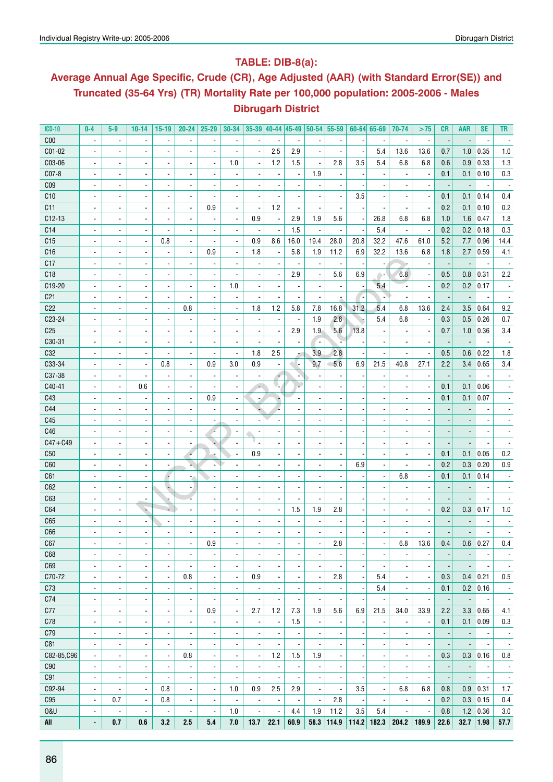### **Table: DIB-8(a):**

## **Average Annual Age Specific, Crude (CR), Age Adjusted (AAR) (with Standard Error(SE)) and Truncated (35-64 Yrs) (TR) Mortality Rate per 100,000 population: 2005-2006 - Males Dibrugarh District**

| <b>ICD-10</b>   | $0-4$                    | $5-9$                    | $10 - 14$                | $15-19$                         | $20 - 24$                | 25-29                           | $30 - 34$                       |                          |                          |                          |                          | $35-39$ 40-44 45-49 50-54 55-59 |      | $60 - 64$ 65-69          | 70-74                    | >75                      | <b>CR</b>                | <b>AAR</b>               | <b>SE</b>                | TR.                      |
|-----------------|--------------------------|--------------------------|--------------------------|---------------------------------|--------------------------|---------------------------------|---------------------------------|--------------------------|--------------------------|--------------------------|--------------------------|---------------------------------|------|--------------------------|--------------------------|--------------------------|--------------------------|--------------------------|--------------------------|--------------------------|
| C <sub>00</sub> | $\blacksquare$           | $\overline{\phantom{a}}$ | $\overline{a}$           | $\blacksquare$                  |                          | $\overline{a}$                  |                                 | $\overline{a}$           |                          |                          |                          |                                 |      |                          |                          | $\overline{\phantom{a}}$ |                          |                          |                          |                          |
| C01-02          | ÷,                       | $\overline{\phantom{a}}$ | $\overline{a}$           | $\overline{\phantom{a}}$        |                          | $\blacksquare$                  |                                 | $\blacksquare$           | 2.5                      | 2.9                      | ÷,                       |                                 |      | 5.4                      | 13.6                     | 13.6                     | 0.7                      | 1.0                      | 0.35                     | 1.0                      |
| C03-06          | $\blacksquare$           | $\overline{\phantom{a}}$ | $\overline{a}$           | $\overline{\phantom{a}}$        | $\overline{a}$           | $\blacksquare$                  | 1.0                             | $\blacksquare$           | 1.2                      | 1.5                      |                          | 2.8                             | 3.5  | 5.4                      | 6.8                      | 6.8                      | 0.6                      | 0.9                      | 0.33                     | 1.3                      |
| C07-8           | $\blacksquare$           | $\blacksquare$           | $\overline{a}$           | $\blacksquare$                  |                          |                                 |                                 | $\overline{\phantom{a}}$ |                          |                          | 1.9                      | ÷,                              |      |                          |                          | $\overline{a}$           | 0.1                      | 0.1                      | 0.10                     | 0.3                      |
| C <sub>09</sub> |                          | $\blacksquare$           | $\overline{a}$           | $\blacksquare$                  |                          |                                 |                                 | $\overline{a}$           |                          |                          |                          |                                 |      |                          |                          |                          |                          |                          |                          |                          |
| C10             | $\overline{a}$           | $\blacksquare$           | $\overline{a}$           | $\blacksquare$                  |                          |                                 |                                 | $\overline{\phantom{a}}$ |                          |                          |                          | $\overline{a}$                  | 3.5  | $\overline{a}$           |                          |                          | 0.1                      | 0.1                      | 0.14                     | 0.4                      |
| C11             | $\overline{\phantom{a}}$ | $\overline{\phantom{a}}$ | $\overline{a}$           | $\blacksquare$                  | $\blacksquare$           | 0.9                             |                                 | $\overline{\phantom{a}}$ | 1.2                      |                          |                          |                                 |      |                          |                          | ä,                       | 0.2                      | 0.1                      | 0.10                     | 0.2                      |
| $C12-13$        | $\overline{\phantom{a}}$ | $\overline{\phantom{a}}$ | $\overline{a}$           | $\blacksquare$                  | $\overline{\phantom{a}}$ |                                 | $\blacksquare$                  | 0.9                      | ×                        | 2.9                      | 1.9                      | 5.6                             |      | 26.8                     | 6.8                      | 6.8                      | 1.0                      | 1.6                      | 0.47                     | 1.8                      |
| C14             | $\overline{\phantom{a}}$ | $\blacksquare$           | $\frac{1}{2}$            | $\blacksquare$                  | $\overline{a}$           |                                 | $\overline{\phantom{a}}$        | $\overline{\phantom{a}}$ |                          | 1.5                      | $\overline{\phantom{a}}$ | $\overline{\phantom{a}}$        |      | 5.4                      | $\overline{\phantom{a}}$ | $\overline{\phantom{a}}$ | 0.2                      | 0.2                      | 0.18                     | 0.3                      |
| C15             | $\overline{\phantom{a}}$ | $\blacksquare$           | $\overline{\phantom{a}}$ | 0.8                             | $\blacksquare$           | ÷,                              | $\overline{\phantom{a}}$        | 0.9                      | 8.6                      | 16.0                     | 19.4                     | 28.0                            | 20.8 | 32.2                     | 47.6                     | 61.0                     | 5.2                      | 7.7                      | 0.96                     | 14.4                     |
| C16             |                          | $\blacksquare$           | $\overline{\phantom{a}}$ | $\overline{\phantom{a}}$        | $\overline{\phantom{a}}$ | 0.9                             | $\overline{\phantom{a}}$        | 1.8                      | $\overline{\phantom{a}}$ | 5.8                      | 1.9                      | 11.2                            | 6.9  | 32.2                     | 13.6                     | 6.8                      | 1.8                      | 2.7                      | 0.59                     | 4.1                      |
| C17             | $\blacksquare$           | $\blacksquare$           | $\overline{\phantom{a}}$ | $\overline{\phantom{a}}$        | $\blacksquare$           | ÷,                              | $\overline{\phantom{a}}$        | $\overline{\phantom{a}}$ |                          |                          | $\overline{\phantom{a}}$ | $\overline{\phantom{a}}$        |      | $\overline{\phantom{a}}$ |                          | $\overline{\phantom{a}}$ | ь,                       | $\overline{\phantom{a}}$ | $\overline{\phantom{a}}$ |                          |
| C18             | $\overline{\phantom{a}}$ | $\overline{\phantom{a}}$ | $\overline{\phantom{a}}$ | $\overline{\phantom{a}}$        | $\blacksquare$           | ä,                              |                                 | $\overline{\phantom{a}}$ |                          | 2.9                      | $\blacksquare$           | 5.6                             | 6.9  | 64                       | 6.8                      | ÷,                       | 0.5                      | 0.8                      | 0.31                     | 2.2                      |
| C19-20          | ÷,                       | $\overline{\phantom{a}}$ | $\overline{\phantom{a}}$ | $\overline{\phantom{a}}$        | $\overline{\phantom{a}}$ | $\blacksquare$                  | 1.0                             | $\blacksquare$           |                          |                          |                          | $\overline{\phantom{a}}$        |      | 5.4                      |                          | $\blacksquare$           | 0.2                      | 0.2                      | 0.17                     |                          |
| C <sub>21</sub> | $\overline{\phantom{a}}$ | $\overline{\phantom{a}}$ | $\overline{\phantom{a}}$ | $\blacksquare$                  | $\overline{\phantom{a}}$ | ä,                              |                                 | $\blacksquare$           |                          | $\overline{a}$           |                          |                                 |      | ÷,                       |                          | ÷,                       |                          |                          |                          |                          |
| C22             | $\blacksquare$           | $\overline{\phantom{a}}$ | $\frac{1}{2}$            | $\blacksquare$                  | 0.8                      | ä,                              | $\blacksquare$                  | 1.8                      | 1.2                      | 5.8                      | 7.8                      | 16.8                            | 31.2 | 5.4                      | 6.8                      | 13.6                     | 2.4                      | 3.5                      | 0.64                     | 9.2                      |
| C23-24          | $\blacksquare$           | $\blacksquare$           | $\frac{1}{2}$            | $\overline{\phantom{a}}$        | $\overline{\phantom{a}}$ | $\overline{\phantom{a}}$        |                                 | $\overline{\phantom{a}}$ |                          |                          | 1.9                      | 2.8                             | ÷    | 5.4                      | 6.8                      | $\overline{\phantom{a}}$ | 0.3                      | 0.5                      | 0.26                     | 0.7                      |
| C <sub>25</sub> | $\blacksquare$           | $\blacksquare$           | $\frac{1}{2}$            | $\overline{\phantom{a}}$        | $\blacksquare$           |                                 |                                 | $\overline{\phantom{a}}$ |                          | 2.9                      | 1.9                      | 5.6                             | 13.8 | $\overline{\phantom{a}}$ |                          | $\overline{a}$           | 0.7                      | 1.0                      | 0.36                     | 3.4                      |
| C30-31          |                          | $\blacksquare$           | $\frac{1}{2}$            | $\overline{\phantom{a}}$        | $\blacksquare$           | $\overline{a}$                  |                                 | $\overline{a}$           |                          |                          | $\overline{\phantom{a}}$ | ÷,                              |      | $\blacksquare$           |                          | $\overline{a}$           |                          |                          |                          |                          |
| C32             |                          |                          |                          |                                 | $\blacksquare$           |                                 |                                 | 1.8                      | 2.5                      |                          | 3.9                      | 2.8                             |      |                          |                          | $\overline{a}$           | 0.5                      | 0.6                      | 0.22                     | 1.8                      |
| C33-34          |                          | $\overline{\phantom{a}}$ | $\overline{\phantom{a}}$ | $\overline{\phantom{a}}$<br>0.8 |                          | $\overline{\phantom{a}}$<br>0.9 | $\overline{\phantom{a}}$<br>3.0 | 0.9                      |                          | ×                        | 9.7                      | 5.6                             | 6.9  | $\blacksquare$<br>21.5   | 40.8                     | 27.1                     | 2.2                      |                          | 0.65                     |                          |
| C37-38          |                          | $\overline{\phantom{a}}$ | $\overline{\phantom{a}}$ |                                 | $\overline{\phantom{a}}$ |                                 |                                 |                          |                          |                          |                          |                                 |      |                          |                          |                          |                          | 3.4                      |                          | 3.4                      |
|                 |                          | $\overline{\phantom{a}}$ |                          | $\overline{\phantom{a}}$        | $\overline{\phantom{a}}$ | $\overline{\phantom{a}}$        | $\overline{\phantom{a}}$        | ÷.                       | ÷                        | ÷                        |                          |                                 |      | $\overline{\phantom{a}}$ |                          | $\overline{\phantom{a}}$ |                          |                          |                          |                          |
| C40-41          |                          | $\overline{\phantom{a}}$ | 0.6                      | $\overline{\phantom{a}}$        | $\overline{\phantom{a}}$ |                                 |                                 |                          |                          |                          |                          |                                 |      | $\overline{\phantom{a}}$ |                          |                          | 0.1                      | 0.1                      | 0.06                     |                          |
| C43             |                          | $\blacksquare$           |                          | $\overline{\phantom{a}}$        | $\overline{\phantom{a}}$ | 0.9                             |                                 | ÷                        |                          |                          |                          |                                 |      |                          |                          |                          | 0.1                      | 0.1                      | 0.07                     |                          |
| C44             |                          | $\overline{\phantom{a}}$ | $\overline{\phantom{a}}$ | $\overline{\phantom{a}}$        |                          |                                 |                                 | ٠                        |                          |                          |                          |                                 |      |                          |                          |                          |                          |                          |                          |                          |
| C45             |                          | $\blacksquare$           | $\overline{\phantom{a}}$ | $\overline{\phantom{a}}$        |                          | $\overline{\phantom{a}}$        |                                 | $\overline{\phantom{a}}$ |                          |                          |                          |                                 |      |                          |                          |                          |                          |                          |                          |                          |
| C46             | $\overline{\phantom{a}}$ | $\blacksquare$           | $\blacksquare$           | $\overline{\phantom{a}}$        | $\blacksquare$           | $\sim$                          | $\blacksquare$                  | $\overline{\phantom{a}}$ |                          |                          |                          |                                 |      | $\blacksquare$           |                          |                          |                          |                          |                          |                          |
| $C47 + C49$     |                          | $\blacksquare$           | $\blacksquare$           | $\overline{\phantom{a}}$        | $\blacksquare$           |                                 |                                 | ٠.                       |                          | $\overline{\phantom{a}}$ |                          | ÷,                              |      | $\blacksquare$           |                          | ä,                       |                          |                          |                          |                          |
| C50             |                          | $\blacksquare$           | $\blacksquare$           | $\overline{\phantom{a}}$        | ÷                        | ٠                               | $\blacksquare$                  | 0.9                      |                          | ÷,                       |                          | $\overline{\phantom{a}}$        |      | $\blacksquare$           |                          | $\overline{\phantom{a}}$ | 0.1                      | 0.1                      | 0.05                     | 0.2                      |
| C60             |                          | $\blacksquare$           | $\blacksquare$           | $\blacksquare$                  |                          |                                 |                                 | $\blacksquare$           |                          | $\overline{a}$           |                          | $\overline{a}$                  | 6.9  | $\overline{a}$           |                          | $\overline{\phantom{a}}$ | 0.2                      | 0.3                      | 0.20                     | 0.9                      |
| C61             | $\overline{\phantom{a}}$ | $\blacksquare$           | $\overline{a}$           | ÷                               |                          |                                 |                                 | $\overline{\phantom{a}}$ |                          |                          |                          |                                 |      | $\overline{\phantom{a}}$ | 6.8                      | $\overline{\phantom{a}}$ | 0.1                      | 0.1                      | 0.14                     |                          |
| C62             |                          | $\overline{\phantom{a}}$ | $\blacksquare$           | ۵                               | $\blacksquare$           |                                 |                                 | $\overline{\phantom{a}}$ |                          |                          |                          |                                 |      |                          |                          | $\overline{\phantom{a}}$ |                          |                          |                          |                          |
| C63             |                          | $\overline{\phantom{a}}$ | ٠                        |                                 |                          |                                 |                                 | $\overline{\phantom{a}}$ |                          |                          |                          |                                 |      |                          |                          |                          |                          |                          |                          |                          |
| C64             |                          | $\overline{\phantom{a}}$ | ٠                        | ÷.                              |                          |                                 |                                 | $\overline{\phantom{a}}$ | $\overline{\phantom{a}}$ | 1.5                      | 1.9                      | 2.8                             |      |                          |                          | $\overline{\phantom{a}}$ | 0.2                      | 0.3                      | 0.17                     | 1.0                      |
| C65             |                          | $\blacksquare$           | $\overline{\phantom{a}}$ | $\blacksquare$                  |                          |                                 |                                 | $\blacksquare$           |                          |                          |                          |                                 |      |                          |                          |                          |                          |                          |                          |                          |
| C66             |                          |                          | $\overline{\phantom{a}}$ |                                 |                          |                                 |                                 |                          |                          |                          |                          |                                 |      |                          |                          |                          |                          |                          |                          |                          |
| C67             | $\overline{\phantom{a}}$ | $\overline{\phantom{a}}$ | ۰                        | $\overline{\phantom{a}}$        | $\overline{\phantom{a}}$ | 0.9                             | $\overline{\phantom{a}}$        | ٠                        | $\overline{\phantom{a}}$ | $\overline{\phantom{a}}$ | $\overline{\phantom{a}}$ | 2.8                             | ۰    | $\overline{\phantom{a}}$ | 6.8                      | 13.6                     | 0.4                      | $0.6\,$                  | 0.27                     | 0.4                      |
| C68             | $\blacksquare$           | $\overline{\phantom{a}}$ | $\overline{\phantom{a}}$ | $\overline{a}$                  | $\blacksquare$           | $\blacksquare$                  | $\blacksquare$                  | ä,                       |                          | $\blacksquare$           | $\blacksquare$           |                                 |      |                          |                          | $\overline{\phantom{a}}$ |                          |                          | $\overline{\phantom{a}}$ | $\overline{\phantom{a}}$ |
| C69             | $\overline{\phantom{a}}$ | $\overline{\phantom{a}}$ | $\overline{\phantom{a}}$ | $\blacksquare$                  | $\overline{\phantom{a}}$ | $\blacksquare$                  | $\blacksquare$                  |                          |                          | $\blacksquare$           | $\overline{\phantom{a}}$ |                                 |      |                          |                          | $\frac{1}{2}$            |                          |                          |                          | $\overline{\phantom{a}}$ |
| C70-72          | $\blacksquare$           | $\overline{\phantom{a}}$ | ٠                        | $\blacksquare$                  | 0.8                      | $\blacksquare$                  | $\overline{\phantom{a}}$        | 0.9                      | $\overline{\phantom{a}}$ | $\blacksquare$           | $\overline{\phantom{a}}$ | 2.8                             |      | 5.4                      | $\overline{\phantom{a}}$ | $\blacksquare$           | 0.3                      | 0.4                      | 0.21                     | 0.5                      |
| C73             | $\overline{\phantom{a}}$ | $\overline{\phantom{a}}$ | ٠                        | $\blacksquare$                  | $\overline{\phantom{a}}$ | $\overline{\phantom{a}}$        | $\overline{\phantom{a}}$        | $\overline{a}$           | $\overline{\phantom{a}}$ | $\blacksquare$           | $\overline{\phantom{a}}$ | $\blacksquare$                  |      | 5.4                      | $\overline{\phantom{a}}$ | $\blacksquare$           | 0.1                      | 0.2                      | 0.16                     | $\overline{\phantom{a}}$ |
| C74             | $\overline{\phantom{a}}$ | $\overline{\phantom{a}}$ | ٠                        | $\blacksquare$                  | $\blacksquare$           | $\blacksquare$                  | $\overline{\phantom{a}}$        | ÷,                       |                          | $\blacksquare$           | $\overline{\phantom{a}}$ | ä,                              |      | $\blacksquare$           |                          | $\blacksquare$           |                          | $\overline{\phantom{a}}$ | $\blacksquare$           | $\overline{\phantom{a}}$ |
| C77             | $\blacksquare$           | $\overline{\phantom{a}}$ | ٠                        | $\blacksquare$                  | $\overline{\phantom{a}}$ | 0.9                             | $\overline{\phantom{a}}$        | 2.7                      | 1.2                      | 7.3                      | 1.9                      | 5.6                             | 6.9  | 21.5                     | 34.0                     | 33.9                     | 2.2                      | 3.3                      | 0.65                     | 4.1                      |
| C78             | $\blacksquare$           | $\overline{\phantom{a}}$ | ٠                        | $\blacksquare$                  | $\overline{\phantom{a}}$ | $\overline{\phantom{a}}$        | $\overline{\phantom{a}}$        | $\overline{\phantom{a}}$ | $\overline{\phantom{a}}$ | 1.5                      | $\overline{\phantom{a}}$ | $\blacksquare$                  |      | $\overline{\phantom{a}}$ | $\blacksquare$           | $\overline{\phantom{a}}$ | 0.1                      | 0.1                      | 0.09                     | 0.3                      |
| C79             | $\blacksquare$           | $\overline{\phantom{a}}$ | ٠                        | $\blacksquare$                  | $\overline{a}$           | ä,                              | $\blacksquare$                  | ÷,                       | $\overline{\phantom{a}}$ | $\blacksquare$           | $\overline{\phantom{a}}$ | ÷,                              |      | ÷,                       |                          | $\blacksquare$           | $\overline{\phantom{a}}$ |                          | $\overline{\phantom{a}}$ | $\overline{\phantom{a}}$ |
| C81             | $\overline{\phantom{a}}$ | $\overline{\phantom{a}}$ | ٠                        | $\blacksquare$                  |                          | ÷,                              | $\overline{\phantom{a}}$        | $\overline{a}$           |                          |                          |                          |                                 |      |                          |                          | $\blacksquare$           |                          |                          |                          | $\blacksquare$           |
| C82-85,C96      | $\overline{\phantom{a}}$ | $\overline{\phantom{a}}$ | ٠                        | $\blacksquare$                  | 0.8                      | ä,                              | $\blacksquare$                  | $\blacksquare$           | 1.2                      | 1.5                      | 1.9                      | $\overline{a}$                  |      |                          |                          | $\blacksquare$           | 0.3                      | 0.3                      | 0.16                     | 0.8                      |
| C90             | $\overline{\phantom{a}}$ | $\overline{\phantom{a}}$ | ٠                        | $\overline{\phantom{a}}$        | $\overline{\phantom{a}}$ | ÷,                              | $\blacksquare$                  | $\overline{\phantom{a}}$ |                          | ä,                       |                          | $\blacksquare$                  |      |                          |                          | $\blacksquare$           |                          |                          | $\overline{\phantom{a}}$ | $\overline{\phantom{a}}$ |
| C91             | $\overline{\phantom{a}}$ | $\blacksquare$           | ٠                        | $\overline{\phantom{a}}$        | $\blacksquare$           | ÷,                              |                                 | $\overline{a}$           |                          |                          |                          | ÷,                              |      |                          |                          | $\blacksquare$           |                          |                          |                          | $\overline{\phantom{a}}$ |
| C92-94          | ÷,                       | $\blacksquare$           | $\overline{\phantom{a}}$ | 0.8                             | $\blacksquare$           | ÷,                              | 1.0                             | 0.9                      | 2.5                      | 2.9                      |                          | ÷,                              | 3.5  | $\overline{\phantom{a}}$ | 6.8                      | 6.8                      | 0.8                      | 0.9                      | 0.31                     | 1.7                      |
| C95             | $\overline{\phantom{a}}$ | 0.7                      | $\overline{\phantom{a}}$ | 0.8                             | $\overline{\phantom{a}}$ | $\overline{\phantom{a}}$        | $\overline{\phantom{a}}$        | $\overline{\phantom{a}}$ |                          |                          |                          | 2.8                             |      | $\blacksquare$           |                          | $\blacksquare$           | 0.2                      | 0.3                      | 0.15                     | 0.4                      |
| <b>0&amp;U</b>  | $\overline{\phantom{a}}$ | $\overline{\phantom{a}}$ | $\overline{\phantom{a}}$ | $\overline{\phantom{a}}$        | $\overline{\phantom{a}}$ | ÷,                              | 1.0                             | $\overline{\phantom{a}}$ |                          | 4.4                      | 1.9                      | 11.2                            | 3.5  | 5.4                      |                          | $\blacksquare$           | 0.8                      | 1.2                      | 0.36                     | 3.0                      |
| All             | $\blacksquare$           | 0.7                      | 0.6                      | 3.2                             | 2.5                      | 5.4                             | 7.0                             | 13.7                     | 22.1                     | 60.9                     | 58.3                     | 114.9                           |      | $114.2$ 182.3            | 204.2                    | 189.9                    | 22.6                     | 32.7                     | 1.98                     | 57.7                     |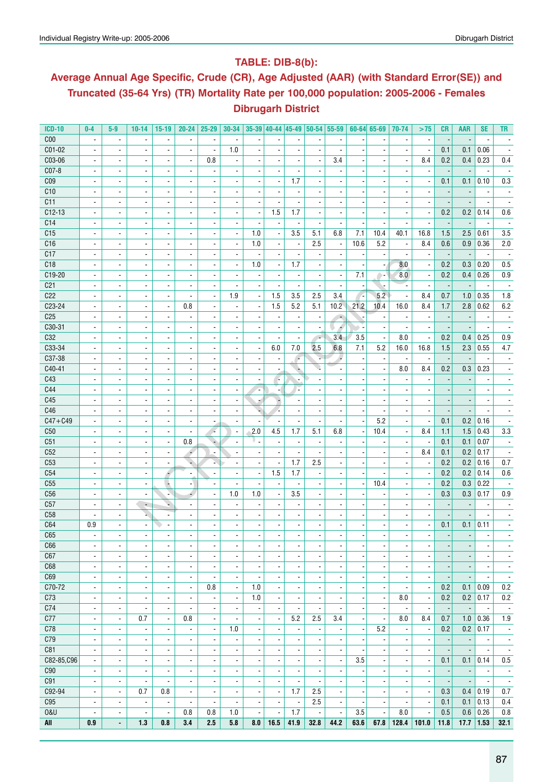### **Table: DIB-8(b):**

## **Average Annual Age Specific, Crude (CR), Age Adjusted (AAR) (with Standard Error(SE)) and Truncated (35-64 Yrs) (TR) Mortality Rate per 100,000 population: 2005-2006 - Females Dibrugarh District**

| <b>ICD-10</b>   | $0-4$                    | $5-9$                           | $10 - 14$                | $15-19$                  | $20 - 24$                       | $25 - 29$                |                          |                          |                          |                          |                          | 30-34 35-39 40-44 45-49 50-54 55-59 |                          | $60 - 64$ 65-69          | 70-74                    | >75                      | <b>CR</b>                       | <b>AAR</b>               | <b>SE</b>                | <b>TR</b>                |
|-----------------|--------------------------|---------------------------------|--------------------------|--------------------------|---------------------------------|--------------------------|--------------------------|--------------------------|--------------------------|--------------------------|--------------------------|-------------------------------------|--------------------------|--------------------------|--------------------------|--------------------------|---------------------------------|--------------------------|--------------------------|--------------------------|
| C <sub>00</sub> | $\overline{\phantom{a}}$ | $\overline{\phantom{a}}$        |                          | $\overline{\phantom{a}}$ |                                 |                          |                          |                          |                          |                          |                          |                                     |                          |                          |                          |                          |                                 |                          |                          |                          |
| C01-02          | $\blacksquare$           | $\overline{\phantom{a}}$        |                          | $\overline{\phantom{a}}$ | $\blacksquare$                  | ÷,                       | 1.0                      | $\overline{\phantom{a}}$ | ÷,                       |                          | $\overline{a}$           | $\overline{\phantom{a}}$            |                          | $\blacksquare$           |                          | $\overline{\phantom{a}}$ | 0.1                             | 0.1                      | 0.06                     |                          |
| C03-06          | $\overline{\phantom{a}}$ | $\overline{\phantom{a}}$        | $\overline{\phantom{a}}$ | $\overline{\phantom{a}}$ | $\overline{\phantom{a}}$        | 0.8                      | ä,                       | $\overline{\phantom{a}}$ |                          |                          | $\overline{\phantom{a}}$ | 3.4                                 |                          | $\blacksquare$           | $\blacksquare$           | 8.4                      | 0.2                             | 0.4                      | 0.23                     | 0.4                      |
| C07-8           | $\overline{\phantom{a}}$ | $\blacksquare$                  | $\overline{\phantom{a}}$ | $\overline{\phantom{a}}$ | $\blacksquare$                  | $\blacksquare$           | $\blacksquare$           | $\overline{\phantom{a}}$ | $\blacksquare$           |                          | $\blacksquare$           | ä,                                  |                          | $\blacksquare$           | $\blacksquare$           | $\overline{\phantom{a}}$ | $\overline{\phantom{a}}$        |                          | $\overline{\phantom{a}}$ | $\overline{\phantom{a}}$ |
| C <sub>09</sub> | $\blacksquare$           | $\overline{\phantom{a}}$        | $\overline{\phantom{a}}$ | $\overline{\phantom{a}}$ | $\overline{\phantom{a}}$        | $\overline{\phantom{a}}$ |                          | $\overline{\phantom{a}}$ | $\overline{\phantom{a}}$ | 1.7                      | $\overline{\phantom{a}}$ | ÷,                                  |                          | $\overline{\phantom{a}}$ |                          | $\overline{\phantom{a}}$ | 0.1                             | 0.1                      | 0.10                     | $0.3\,$                  |
| C10             | $\overline{\phantom{a}}$ | $\overline{\phantom{a}}$        | $\overline{\phantom{a}}$ | $\overline{\phantom{a}}$ | $\overline{\phantom{a}}$        | $\overline{\phantom{a}}$ |                          | $\overline{a}$           | $\overline{a}$           |                          | $\overline{a}$           | ٠                                   |                          | $\overline{\phantom{a}}$ | $\overline{\phantom{a}}$ | $\overline{\phantom{a}}$ |                                 |                          |                          |                          |
| C11             | $\blacksquare$           | $\blacksquare$                  | $\overline{\phantom{a}}$ | $\overline{\phantom{a}}$ | $\blacksquare$                  |                          | $\overline{\phantom{a}}$ | $\overline{\phantom{a}}$ |                          |                          |                          |                                     |                          |                          |                          |                          |                                 |                          |                          |                          |
| $C12-13$        | $\blacksquare$           | $\blacksquare$                  | $\overline{\phantom{a}}$ | $\blacksquare$           | $\blacksquare$                  | $\blacksquare$           | $\overline{\phantom{a}}$ | $\blacksquare$           | 1.5                      | 1.7                      | $\overline{\phantom{a}}$ | ä,                                  |                          | $\blacksquare$           | $\blacksquare$           | $\overline{\phantom{a}}$ | 0.2                             | 0.2                      | 0.14                     | $0.6\,$                  |
| C14             |                          | $\blacksquare$                  | $\overline{\phantom{a}}$ |                          |                                 | $\overline{\phantom{a}}$ |                          |                          |                          |                          |                          | $\overline{\phantom{a}}$            |                          |                          |                          |                          |                                 |                          |                          |                          |
| C15             | $\overline{\phantom{a}}$ |                                 |                          | $\overline{\phantom{a}}$ | $\overline{\phantom{a}}$        |                          | $\blacksquare$           | 1.0                      |                          |                          |                          | 6.8                                 | 7.1                      | 10.4                     |                          | 16.8                     | $\overline{\phantom{a}}$<br>1.5 | 2.5                      | 0.61                     |                          |
|                 | $\blacksquare$           | $\blacksquare$                  | $\overline{\phantom{a}}$ | $\blacksquare$           | $\blacksquare$                  | $\overline{\phantom{a}}$ |                          |                          | $\overline{\phantom{a}}$ | 3.5                      | 5.1                      |                                     |                          |                          | 40.1                     |                          |                                 |                          |                          | 3.5                      |
| C16             | $\blacksquare$           | $\blacksquare$                  | $\overline{\phantom{a}}$ | $\overline{\phantom{a}}$ | $\blacksquare$                  | $\overline{\phantom{a}}$ | $\overline{\phantom{a}}$ | 1.0                      | $\blacksquare$           | $\overline{a}$           | 2.5                      | $\overline{\phantom{a}}$            | 10.6                     | 5.2                      | $\overline{\phantom{a}}$ | 8.4                      | 0.6                             | 0.9                      | 0.36                     | 2.0                      |
| C17             | $\overline{\phantom{a}}$ | $\overline{\phantom{a}}$        | $\overline{\phantom{a}}$ | $\overline{\phantom{a}}$ | $\blacksquare$                  | $\overline{\phantom{a}}$ | $\overline{\phantom{a}}$ | $\overline{\phantom{a}}$ | $\blacksquare$           | $\overline{\phantom{a}}$ | $\overline{\phantom{a}}$ | $\blacksquare$                      |                          | $\overline{\phantom{a}}$ | ä,                       | $\overline{\phantom{a}}$ | $\overline{\phantom{a}}$        | $\overline{\phantom{a}}$ | $\overline{\phantom{a}}$ | $\sim$                   |
| C18             | $\overline{\phantom{a}}$ | $\overline{\phantom{a}}$        | $\overline{\phantom{a}}$ | $\overline{\phantom{a}}$ | $\overline{\phantom{a}}$        | $\overline{a}$           | $\blacksquare$           | 1.0                      | $\overline{\phantom{a}}$ | 1.7                      | $\overline{\phantom{a}}$ | $\qquad \qquad \blacksquare$        |                          | $\overline{\phantom{a}}$ | 8.0                      | $\overline{\phantom{a}}$ | 0.2                             | 0.3                      | 0.20                     | 0.5                      |
| C19-20          | $\overline{a}$           | ÷,                              |                          | $\overline{\phantom{a}}$ | $\overline{a}$                  |                          | $\overline{\phantom{a}}$ | $\overline{a}$           | $\overline{a}$           | $\overline{\phantom{a}}$ | $\overline{\phantom{a}}$ | $\blacksquare$                      | 7.1                      | ۰.                       | 8.0                      | ä,                       | 0.2                             | 0.4                      | 0.26                     | 0.9                      |
| C <sub>21</sub> | $\overline{\phantom{a}}$ | $\blacksquare$                  | $\overline{\phantom{a}}$ | $\blacksquare$           | $\blacksquare$                  | $\overline{\phantom{a}}$ | $\blacksquare$           | $\overline{\phantom{a}}$ | $\blacksquare$           |                          | $\blacksquare$           | $\overline{\phantom{a}}$            |                          | ٠                        |                          | $\blacksquare$           | $\overline{\phantom{a}}$        |                          |                          |                          |
| C <sub>22</sub> | $\overline{\phantom{a}}$ | $\overline{\phantom{a}}$        | $\overline{\phantom{a}}$ | $\blacksquare$           | $\overline{\phantom{a}}$        | $\overline{a}$           | 1.9                      | $\blacksquare$           | 1.5                      | 3.5                      | 2.5                      | 3.4                                 |                          | 5.2                      |                          | 8.4                      | 0.7                             | 1.0                      | 0.35                     | 1.8                      |
| C23-24          | $\overline{\phantom{a}}$ | $\blacksquare$                  | $\overline{\phantom{a}}$ | $\overline{\phantom{a}}$ | 0.8                             |                          |                          | $\overline{\phantom{a}}$ | 1.5                      | 5.2                      | 5.1                      | 10.2                                | 21.2                     | 10.4                     | 16.0                     | 8.4                      | 1.7                             | 2.8                      | 0.62                     | $6.2\,$                  |
| C <sub>25</sub> | $\overline{\phantom{a}}$ | $\overline{a}$                  |                          | $\overline{\phantom{a}}$ |                                 |                          |                          | $\overline{a}$           |                          |                          | $\overline{a}$           | $\overline{\phantom{a}}$            |                          | $\overline{\phantom{a}}$ |                          | $\overline{\phantom{a}}$ |                                 |                          |                          |                          |
| C30-31          | $\overline{\phantom{a}}$ | $\blacksquare$                  | $\overline{\phantom{a}}$ | $\overline{\phantom{a}}$ | $\blacksquare$                  | $\blacksquare$           | $\overline{\phantom{a}}$ | $\overline{\phantom{a}}$ | $\blacksquare$           | $\blacksquare$           | $\blacksquare$           | Á                                   |                          | $\overline{\phantom{a}}$ |                          | $\overline{\phantom{a}}$ | $\overline{\phantom{a}}$        |                          | $\blacksquare$           | $\overline{\phantom{a}}$ |
| C32             | $\overline{\phantom{a}}$ | $\overline{\phantom{a}}$        | $\overline{\phantom{a}}$ | $\overline{\phantom{a}}$ | $\blacksquare$                  | $\blacksquare$           | ä,                       | $\blacksquare$           | $\overline{\phantom{a}}$ | $\overline{a}$           | $\sim$                   | 3.4                                 | 3.5                      | $\blacksquare$           | 8.0                      | ä,                       | 0.2                             | 0.4                      | 0.25                     | $0.9\,$                  |
| C33-34          | $\overline{\phantom{a}}$ | $\overline{\phantom{a}}$        | $\overline{\phantom{a}}$ | $\overline{\phantom{a}}$ | $\overline{\phantom{a}}$        |                          | $\overline{\phantom{a}}$ | $\overline{\phantom{a}}$ | 6.0                      | 7.0                      | 2.5                      | 6.8                                 | 7.1                      | 5.2                      | 16.0                     | 16.8                     | 1.5                             | 2.3                      | 0.55                     | 4.7                      |
| C37-38          | $\overline{\phantom{a}}$ | $\overline{\phantom{a}}$        | ä,                       | $\overline{\phantom{a}}$ | $\overline{\phantom{a}}$        |                          | $\overline{a}$           | $\overline{a}$           | $\overline{\phantom{a}}$ | r.                       | ı.                       | ٠                                   |                          | $\blacksquare$           |                          | $\overline{\phantom{a}}$ |                                 |                          |                          |                          |
| C40-41          | $\overline{\phantom{a}}$ | $\blacksquare$                  | $\overline{\phantom{a}}$ | $\overline{\phantom{a}}$ | $\blacksquare$                  | $\overline{\phantom{a}}$ | $\blacksquare$           | $\blacksquare$           | $\blacksquare$           |                          |                          |                                     |                          | ä,                       | 8.0                      | 8.4                      | 0.2                             | 0.3                      | 0.23                     |                          |
| C43             | $\overline{\phantom{a}}$ | $\blacksquare$                  |                          | $\overline{\phantom{a}}$ | $\overline{\phantom{a}}$        |                          |                          | $\overline{\phantom{a}}$ | $\sim$                   |                          |                          |                                     |                          | $\blacksquare$           |                          |                          | $\overline{\phantom{a}}$        |                          |                          |                          |
| C44             | $\overline{\phantom{a}}$ | $\overline{\phantom{a}}$        | $\overline{\phantom{a}}$ | $\overline{\phantom{a}}$ | $\overline{\phantom{a}}$        | $\overline{\phantom{a}}$ | $\overline{\phantom{a}}$ | ÷                        | $\blacksquare$           | u,                       | $\overline{\phantom{a}}$ | $\overline{\phantom{a}}$            |                          | $\overline{\phantom{a}}$ |                          |                          |                                 |                          |                          |                          |
| C45             | $\overline{\phantom{a}}$ | $\blacksquare$                  | $\overline{\phantom{a}}$ | $\overline{\phantom{a}}$ | $\overline{\phantom{a}}$        | $\overline{\phantom{a}}$ | $\overline{\phantom{a}}$ | ×                        | ÷                        |                          | $\overline{\phantom{a}}$ | ä,                                  |                          | $\blacksquare$           |                          | $\overline{\phantom{a}}$ |                                 |                          |                          |                          |
| C46             | $\overline{\phantom{a}}$ | $\overline{\phantom{a}}$        | $\overline{\phantom{a}}$ | $\overline{\phantom{a}}$ | $\blacksquare$                  | $\blacksquare$           | $\blacksquare$           | ų                        | z                        | $\blacksquare$           | $\overline{\phantom{a}}$ | $\blacksquare$                      |                          | $\blacksquare$           | $\blacksquare$           | $\blacksquare$           | $\overline{a}$                  | $\overline{a}$           |                          | $\overline{\phantom{a}}$ |
| $C47 + C49$     | $\blacksquare$           | $\blacksquare$                  | $\overline{\phantom{a}}$ | $\overline{\phantom{a}}$ | $\overline{\phantom{a}}$        | $\overline{\phantom{a}}$ |                          | $\overline{\phantom{a}}$ |                          |                          | $\overline{\phantom{a}}$ | $\overline{\phantom{a}}$            |                          | 5.2                      | $\overline{\phantom{a}}$ | $\overline{\phantom{a}}$ | 0.1                             | 0.2                      | 0.16                     | $\overline{\phantom{a}}$ |
| C50             |                          |                                 |                          |                          |                                 |                          |                          | 2.0                      | 4.5                      | 1.7                      | 5.1                      | 6.8                                 |                          | 10.4                     |                          |                          |                                 | 1.5                      | 0.43                     |                          |
|                 | $\overline{\phantom{a}}$ | $\overline{\phantom{a}}$        | $\overline{\phantom{a}}$ | $\overline{\phantom{a}}$ | $\overline{\phantom{a}}$<br>0.8 | ×                        | $\overline{\phantom{a}}$ |                          |                          |                          |                          |                                     |                          |                          | $\blacksquare$           | 8.4                      | 1.1                             |                          |                          | 3.3                      |
| C51             | $\blacksquare$           | $\blacksquare$                  | $\overline{\phantom{a}}$ | $\blacksquare$           |                                 | ÷                        |                          | ν.                       |                          | $\blacksquare$           | $\overline{\phantom{a}}$ | $\blacksquare$                      |                          |                          |                          | $\overline{\phantom{a}}$ | 0.1                             | 0.1                      | 0.07                     | $\overline{\phantom{a}}$ |
| C52             | $\overline{\phantom{a}}$ | $\overline{\phantom{a}}$        | $\blacksquare$           | $\blacksquare$           | ÷                               | $\overline{\phantom{a}}$ | $\blacksquare$           | $\overline{\phantom{a}}$ |                          |                          | $\blacksquare$           |                                     |                          | $\blacksquare$           |                          | 8.4                      | 0.1                             | 0.2                      | 0.17                     |                          |
| C <sub>53</sub> | $\blacksquare$           | $\blacksquare$                  |                          | $\blacksquare$           | ÷                               |                          |                          |                          | $\overline{\phantom{a}}$ | 1.7                      | 2.5                      |                                     |                          | $\blacksquare$           |                          | $\overline{\phantom{a}}$ | 0.2                             | 0.2                      | 0.16                     | $0.7\,$                  |
| C54             | $\blacksquare$           | $\overline{\phantom{a}}$        | $\overline{\phantom{a}}$ | F                        | $\overline{\phantom{a}}$        | $\overline{a}$           | $\overline{\phantom{a}}$ | Ĭ.                       | 1.5                      | 1.7                      | $\overline{\phantom{a}}$ | $\overline{a}$                      |                          | $\overline{\phantom{a}}$ |                          | $\overline{\phantom{a}}$ | 0.2                             | 0.2                      | 0.14                     | 0.6                      |
| C55             | $\overline{\phantom{a}}$ | $\blacksquare$                  | $\overline{\phantom{a}}$ | $\overline{\phantom{a}}$ | ٠                               |                          | $\overline{\phantom{a}}$ | $\overline{a}$           | $\overline{\phantom{a}}$ |                          | $\overline{\phantom{a}}$ | $\overline{\phantom{a}}$            |                          | 10.4                     | $\blacksquare$           | $\overline{\phantom{a}}$ | 0.2                             | 0.3                      | 0.22                     |                          |
| C <sub>56</sub> | $\blacksquare$           | $\blacksquare$                  | $\blacksquare$           | N                        | 4                               | $\blacksquare$           | 1.0                      | 1.0                      | $\blacksquare$           | 3.5                      | $\overline{\phantom{a}}$ | $\overline{\phantom{a}}$            |                          | $\blacksquare$           | $\blacksquare$           | $\overline{\phantom{a}}$ | 0.3                             | 0.3                      | 0.17                     | $0.9\,$                  |
| C57             | $\overline{\phantom{a}}$ | $\overline{\phantom{a}}$        | $\overline{\phantom{a}}$ | ۰                        | $\overline{\phantom{a}}$        |                          | $\overline{\phantom{a}}$ | $\overline{a}$           | $\blacksquare$           | $\overline{a}$           | $\overline{\phantom{a}}$ | ۰                                   |                          | $\overline{\phantom{a}}$ | $\overline{\phantom{a}}$ | $\overline{\phantom{a}}$ |                                 |                          |                          |                          |
| C <sub>58</sub> | ä,                       | $\overline{\phantom{a}}$        | u,                       | $\overline{\phantom{a}}$ |                                 |                          |                          |                          |                          |                          |                          | ä,                                  |                          | $\overline{a}$           | $\overline{\phantom{a}}$ |                          |                                 |                          |                          |                          |
| C64             | 0.9                      | $\blacksquare$                  | $\overline{\phantom{a}}$ | $\overline{\phantom{a}}$ | $\blacksquare$                  |                          | $\blacksquare$           | $\overline{\phantom{a}}$ | $\overline{\phantom{a}}$ |                          | $\blacksquare$           |                                     |                          | $\blacksquare$           | $\blacksquare$           | $\overline{\phantom{a}}$ | 0.1                             | 0.1                      | 0.11                     |                          |
| C65             | $\blacksquare$           | $\overline{a}$                  | $\blacksquare$           | $\blacksquare$           | $\blacksquare$                  |                          | $\overline{a}$           | $\overline{\phantom{a}}$ | $\overline{\phantom{a}}$ |                          | $\overline{\phantom{a}}$ | $\blacksquare$                      |                          | $\overline{\phantom{a}}$ | $\blacksquare$           | ä,                       | $\overline{\phantom{a}}$        | $\overline{\phantom{a}}$ |                          |                          |
| C66             | $\overline{\phantom{a}}$ | $\overline{\phantom{a}}$        | $\overline{\phantom{a}}$ | $\overline{\phantom{a}}$ | $\overline{\phantom{a}}$        | $\overline{a}$           | $\overline{\phantom{a}}$ | $\overline{\phantom{a}}$ | $\blacksquare$           | $\overline{\phantom{a}}$ | $\overline{a}$           | $\qquad \qquad \blacksquare$        |                          | $\overline{\phantom{a}}$ | $\overline{\phantom{a}}$ | $\overline{\phantom{a}}$ | ٠                               |                          | $\overline{\phantom{a}}$ | ٠                        |
| C67             | $\blacksquare$           | $\blacksquare$                  | $\blacksquare$           | $\blacksquare$           | $\blacksquare$                  | $\overline{a}$           | $\overline{\phantom{a}}$ | ä,                       | ä,                       | $\blacksquare$           | $\overline{\phantom{a}}$ | $\blacksquare$                      |                          | $\blacksquare$           | $\overline{\phantom{a}}$ | $\overline{\phantom{a}}$ | $\overline{a}$                  |                          | $\overline{\phantom{a}}$ | $\blacksquare$           |
| C68             | $\overline{\phantom{a}}$ | $\overline{\phantom{a}}$        | $\overline{\phantom{a}}$ | $\overline{\phantom{a}}$ | $\overline{\phantom{a}}$        | $\overline{\phantom{a}}$ | $\overline{\phantom{a}}$ | $\overline{\phantom{a}}$ | $\overline{\phantom{a}}$ | $\overline{\phantom{a}}$ | $\overline{\phantom{a}}$ | $\overline{\phantom{a}}$            |                          | $\overline{\phantom{a}}$ | $\blacksquare$           | $\overline{\phantom{a}}$ | $\blacksquare$                  | $\blacksquare$           | $\overline{\phantom{a}}$ | $\overline{\phantom{a}}$ |
| C69             | $\overline{\phantom{a}}$ | $\blacksquare$                  | $\overline{\phantom{a}}$ | $\overline{\phantom{a}}$ | $\blacksquare$                  | $\blacksquare$           | $\overline{\phantom{a}}$ | $\overline{\phantom{a}}$ | $\blacksquare$           | $\blacksquare$           | $\blacksquare$           | $\overline{\phantom{a}}$            | $\overline{\phantom{a}}$ | $\blacksquare$           | $\blacksquare$           | $\overline{\phantom{a}}$ | $\overline{\phantom{a}}$        | $\overline{\phantom{a}}$ | $\blacksquare$           | $\overline{\phantom{a}}$ |
| C70-72          | $\overline{\phantom{a}}$ | $\overline{\phantom{a}}$        | $\overline{\phantom{a}}$ | $\overline{\phantom{a}}$ | $\overline{\phantom{a}}$        | 0.8                      | $\overline{\phantom{a}}$ | 1.0                      | $\overline{\phantom{a}}$ | $\overline{\phantom{a}}$ | $\overline{\phantom{a}}$ | $\qquad \qquad \blacksquare$        |                          | $\overline{\phantom{a}}$ | $\overline{\phantom{a}}$ | $\overline{\phantom{a}}$ | 0.2                             | 0.1                      | 0.09                     | 0.2                      |
| C73             | $\overline{\phantom{a}}$ | $\blacksquare$                  | $\overline{\phantom{a}}$ | $\overline{\phantom{a}}$ | $\overline{\phantom{a}}$        | $\overline{\phantom{a}}$ | $\overline{\phantom{a}}$ | 1.0                      | $\overline{\phantom{a}}$ | $\overline{\phantom{a}}$ | $\overline{\phantom{a}}$ | $\blacksquare$                      |                          | $\blacksquare$           | 8.0                      | $\overline{\phantom{a}}$ | 0.2                             | 0.2                      | 0.17                     | 0.2                      |
| C74             | $\overline{\phantom{a}}$ | $\blacksquare$                  | $\overline{\phantom{a}}$ | $\overline{\phantom{a}}$ | $\blacksquare$                  | $\blacksquare$           | $\overline{\phantom{a}}$ | $\overline{\phantom{a}}$ | $\blacksquare$           | $\blacksquare$           | $\blacksquare$           | $\blacksquare$                      |                          | $\overline{\phantom{a}}$ |                          | $\overline{\phantom{a}}$ | $\overline{\phantom{a}}$        | $\overline{\phantom{a}}$ | $\overline{\phantom{a}}$ | $\overline{\phantom{a}}$ |
| C77             | $\overline{\phantom{a}}$ | $\overline{\phantom{a}}$        | 0.7                      | $\blacksquare$           | 0.8                             | $\blacksquare$           | $\overline{\phantom{a}}$ | $\overline{\phantom{a}}$ | $\blacksquare$           | 5.2                      | 2.5                      | 3.4                                 |                          | $\blacksquare$           | 8.0                      | 8.4                      | 0.7                             | 1.0                      | 0.36                     | 1.9                      |
| C78             | ۰                        | $\overline{\phantom{a}}$        |                          | $\overline{\phantom{a}}$ | $\overline{\phantom{a}}$        | ٠                        | 1.0                      | $\overline{\phantom{a}}$ | ٠                        |                          | $\overline{a}$           | $\overline{\phantom{a}}$            |                          | 5.2                      |                          | $\overline{\phantom{a}}$ | 0.2                             | 0.2                      | 0.17                     | $\overline{\phantom{a}}$ |
| C79             | $\overline{\phantom{a}}$ | $\overline{\phantom{a}}$        | $\overline{\phantom{a}}$ | $\overline{\phantom{a}}$ | $\overline{\phantom{a}}$        | $\overline{\phantom{a}}$ | $\blacksquare$           | $\overline{\phantom{a}}$ | $\blacksquare$           | $\blacksquare$           | $\overline{\phantom{a}}$ | $\overline{\phantom{a}}$            |                          | $\blacksquare$           | $\blacksquare$           | $\overline{\phantom{a}}$ |                                 | $\overline{\phantom{a}}$ | $\overline{\phantom{a}}$ | $\overline{\phantom{a}}$ |
| C81             |                          |                                 |                          |                          | $\blacksquare$                  |                          |                          |                          |                          |                          |                          |                                     |                          |                          |                          | $\blacksquare$           |                                 | $\overline{\phantom{a}}$ |                          |                          |
| C82-85.C96      | $\overline{\phantom{a}}$ | $\overline{\phantom{a}}$        | $\overline{\phantom{a}}$ | $\overline{\phantom{a}}$ |                                 | $\overline{\phantom{a}}$ | $\overline{\phantom{a}}$ | $\overline{\phantom{a}}$ | $\overline{\phantom{a}}$ | $\blacksquare$           | $\overline{\phantom{a}}$ | $\overline{\phantom{a}}$            |                          | $\overline{\phantom{a}}$ | $\overline{\phantom{a}}$ |                          | $\overline{\phantom{a}}$        |                          | $\overline{\phantom{a}}$ | $\overline{\phantom{a}}$ |
|                 | $\overline{\phantom{a}}$ | $\overline{\phantom{a}}$        | $\overline{\phantom{a}}$ | $\overline{\phantom{a}}$ | $\overline{\phantom{a}}$        | $\overline{\phantom{a}}$ | $\overline{\phantom{a}}$ | $\overline{\phantom{a}}$ | $\overline{\phantom{a}}$ | $\overline{\phantom{a}}$ | $\overline{\phantom{a}}$ | $\overline{\phantom{a}}$            | 3.5                      | $\overline{\phantom{a}}$ | $\overline{\phantom{a}}$ | $\overline{\phantom{a}}$ | 0.1                             | 0.1                      | 0.14                     | 0.5                      |
| C90             | $\overline{\phantom{a}}$ | $\overline{\phantom{a}}$        | $\overline{\phantom{a}}$ | $\overline{\phantom{a}}$ | $\overline{\phantom{a}}$        | ٠                        | $\overline{\phantom{a}}$ | $\overline{\phantom{a}}$ | $\overline{\phantom{a}}$ | $\overline{\phantom{a}}$ | $\overline{a}$           | $\overline{\phantom{a}}$            |                          | $\overline{\phantom{a}}$ | $\overline{\phantom{a}}$ | $\overline{\phantom{a}}$ | $\overline{\phantom{a}}$        | $\overline{\phantom{a}}$ | $\overline{\phantom{a}}$ | $\overline{\phantom{a}}$ |
| C91             | $\overline{\phantom{a}}$ | $\overline{\phantom{a}}$        | $\overline{\phantom{a}}$ | $\overline{\phantom{a}}$ | $\overline{\phantom{a}}$        | $\overline{\phantom{a}}$ | $\blacksquare$           | $\overline{\phantom{a}}$ |                          | $\blacksquare$           | $\overline{\phantom{a}}$ | $\overline{\phantom{a}}$            |                          | $\overline{\phantom{a}}$ |                          | $\overline{\phantom{a}}$ |                                 |                          |                          | $\overline{\phantom{a}}$ |
| C92-94          | $\blacksquare$           | $\overline{\phantom{a}}$        | 0.7                      | 0.8                      | $\blacksquare$                  | $\overline{\phantom{a}}$ | $\blacksquare$           | $\overline{\phantom{a}}$ | $\overline{\phantom{a}}$ | 1.7                      | 2.5                      | $\blacksquare$                      |                          | $\blacksquare$           | $\overline{\phantom{a}}$ | $\overline{\phantom{a}}$ | 0.3                             | 0.4                      | 0.19                     | 0.7                      |
| C95             | $\overline{\phantom{a}}$ | $\overline{\phantom{a}}$        | $\overline{\phantom{a}}$ | $\overline{\phantom{a}}$ | $\overline{\phantom{a}}$        | $\overline{\phantom{a}}$ | $\overline{\phantom{a}}$ | $\overline{\phantom{a}}$ | $\overline{\phantom{a}}$ |                          | 2.5                      | $\overline{\phantom{a}}$            |                          | $\blacksquare$           |                          | $\overline{\phantom{a}}$ | 0.1                             | 0.1                      | 0.13                     | 0.4                      |
| <b>0&amp;U</b>  | $\overline{\phantom{a}}$ | $\blacksquare$                  | $\overline{\phantom{a}}$ | $\blacksquare$           | 0.8                             | 0.8                      | 1.0                      | $\overline{\phantom{a}}$ | $\overline{\phantom{a}}$ | 1.7                      | $\overline{\phantom{a}}$ | $\overline{\phantom{a}}$            | 3.5                      | $\overline{\phantom{a}}$ | 8.0                      | $\overline{\phantom{a}}$ | 0.5                             | 0.6                      | 0.26                     | 0.8                      |
| All             | 0.9                      | $\centering \label{eq:reduced}$ | 1.3                      | 0.8                      | 3.4                             | 2.5                      | 5.8                      | 8.0                      | 16.5                     | 41.9                     | 32.8                     | 44.2                                | 63.6                     | 67.8                     | 128.4                    | 101.0                    | 11.8                            | 17.7                     | 1.53                     | 32.1                     |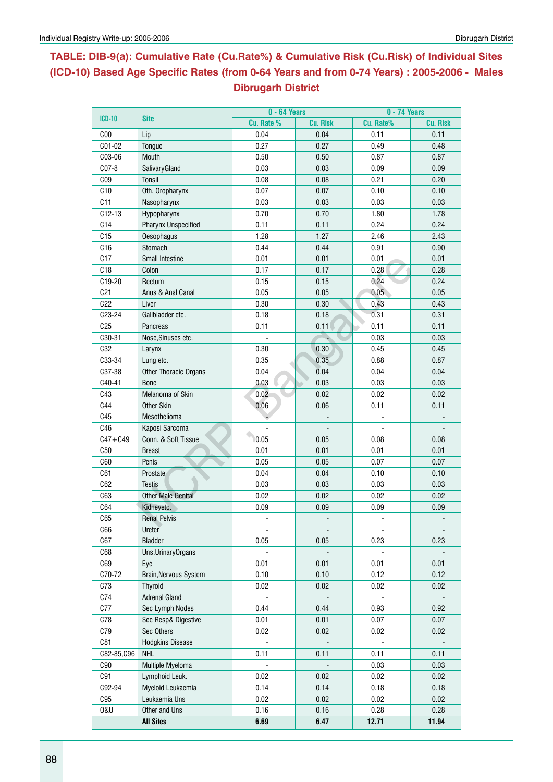## **Table: DIB-9(a): Cumulative Rate (Cu.Rate%) & Cumulative Risk (Cu.Risk) of Individual Sites (ICD-10) Based Age Specific Rates (from 0-64 Years and from 0-74 Years) : 2005-2006 - Males Dibrugarh District**

| $ICD-10$        |                            | $0 - 64$ Years |                 | 0 - 74 Years |                 |  |  |  |
|-----------------|----------------------------|----------------|-----------------|--------------|-----------------|--|--|--|
|                 | <b>Site</b>                | Cu. Rate %     | <b>Cu. Risk</b> | Cu. Rate%    | <b>Cu. Risk</b> |  |  |  |
| C <sub>00</sub> | Lip                        | 0.04           | 0.04            | 0.11         | 0.11            |  |  |  |
| C01-02          | Tongue                     | 0.27           | 0.27            | 0.49         | 0.48            |  |  |  |
| C03-06          | Mouth                      | 0.50           | 0.50            | 0.87         | 0.87            |  |  |  |
| $C07-8$         | SalivaryGland              | 0.03           | 0.03            | 0.09         | 0.09            |  |  |  |
| CO <sub>9</sub> | Tonsil                     | 0.08           | 0.08            | 0.21         | 0.20            |  |  |  |
| C10             | Oth. Oropharynx            | 0.07           | 0.07            | 0.10         | 0.10            |  |  |  |
| C11             | Nasopharynx                | 0.03           | 0.03            | 0.03         | 0.03            |  |  |  |
| $C12-13$        | Hypopharynx                | 0.70           | 0.70            | 1.80         | 1.78            |  |  |  |
| C14             | <b>Pharynx Unspecified</b> | 0.11           | 0.11            | 0.24         | 0.24            |  |  |  |
| C15             | Oesophagus                 | 1.28           | 1.27            | 2.46         | 2.43            |  |  |  |
| C16             | Stomach                    | 0.44           | 0.44            | 0.91         | 0.90            |  |  |  |
| C17             | Small Intestine            | 0.01           | 0.01            | 0.01         | 0.01            |  |  |  |
| C18             | Colon                      | 0.17           | 0.17            | 0.28         | 0.28            |  |  |  |
| C19-20          | Rectum                     | 0.15           | 0.15            | 0.24         | 0.24            |  |  |  |
| C <sub>21</sub> | Anus & Anal Canal          | 0.05           | 0.05            | 0.05         | 0.05            |  |  |  |
| C22             | Liver                      | 0.30           | 0.30            | 0.43         | 0.43            |  |  |  |
| C23-24          | Gallbladder etc.           | 0.18           | 0.18            | 0.31         | 0.31            |  |  |  |
| C <sub>25</sub> | Pancreas                   | 0.11           | 0.11            | 0.11         | 0.11            |  |  |  |
| C30-31          | Nose, Sinuses etc.         |                |                 | 0.03         | 0.03            |  |  |  |
| C32             | Larynx                     | 0.30           | 0.30            | 0.45         | 0.45            |  |  |  |
| C33-34          | Lung etc.                  | 0.35           | 0.35            | 0.88         | 0.87            |  |  |  |
| C37-38          | Other Thoracic Organs      | 0.04           | 0.04            | 0.04         | 0.04            |  |  |  |
| C40-41          | <b>Bone</b>                | 0.03           | 0.03            | 0.03         | 0.03            |  |  |  |
| C43             | Melanoma of Skin           | 0.02           | 0.02            | 0.02         | 0.02            |  |  |  |
| C44             | <b>Other Skin</b>          | 0.06           | 0.06            | 0.11         | 0.11            |  |  |  |
| C45             | Mesothelioma               |                |                 |              |                 |  |  |  |
| C46             | Kaposi Sarcoma             |                |                 |              |                 |  |  |  |
| $C47 + C49$     | Conn. & Soft Tissue        | 0.05           | 0.05            | 0.08         | 0.08            |  |  |  |
| C50             | <b>Breast</b>              | 0.01           | 0.01            | 0.01         | 0.01            |  |  |  |
| C60             | Penis                      | 0.05           | 0.05            | 0.07         | 0.07            |  |  |  |
| C61             | Prostate                   | 0.04           | 0.04            | 0.10         | 0.10            |  |  |  |
| C62             | <b>Testis</b>              | 0.03           | 0.03            | 0.03         | 0.03            |  |  |  |
| C63             | <b>Other Male Genital</b>  | 0.02           | 0.02            | 0.02         | 0.02            |  |  |  |
| C64             | Kidneyetc.                 | 0.09           | 0.09            | 0.09         | 0.09            |  |  |  |
| C65             | <b>Renal Pelvis</b>        | $\overline{a}$ |                 | ä,           |                 |  |  |  |
| C66             | Ureter                     |                |                 |              |                 |  |  |  |
| C67             | <b>Bladder</b>             | 0.05           | 0.05            | 0.23         | 0.23            |  |  |  |
| C68             | Uns.UrinaryOrgans          |                |                 |              |                 |  |  |  |
| C69             | Eye                        | 0.01           | 0.01            | 0.01         | 0.01            |  |  |  |
| C70-72          | Brain, Nervous System      | 0.10           | 0.10            | 0.12         | 0.12            |  |  |  |
| C73             | <b>Thyroid</b>             | 0.02           | 0.02            | 0.02         | 0.02            |  |  |  |
| C74             | <b>Adrenal Gland</b>       |                |                 |              |                 |  |  |  |
| C77             |                            | 0.44           | 0.44            | 0.93         | 0.92            |  |  |  |
|                 | Sec Lymph Nodes            |                |                 |              |                 |  |  |  |
| C78             | Sec Resp& Digestive        | 0.01           | 0.01            | 0.07         | 0.07            |  |  |  |
| C79             | Sec Others                 | 0.02           | 0.02            | 0.02         | 0.02            |  |  |  |
| C81             | <b>Hodgkins Disease</b>    |                |                 |              |                 |  |  |  |
| C82-85, C96     | <b>NHL</b>                 | 0.11           | 0.11            | 0.11         | 0.11            |  |  |  |
| C90             | Multiple Myeloma           |                |                 | 0.03         | 0.03            |  |  |  |
| C91             | Lymphoid Leuk.             | 0.02           | 0.02            | 0.02         | 0.02            |  |  |  |
| C92-94          | Myeloid Leukaemia          | 0.14           | 0.14            | 0.18         | 0.18            |  |  |  |
| C95             | Leukaemia Uns              | 0.02           | 0.02            | 0.02         | 0.02            |  |  |  |
| <b>U&amp;0</b>  | Other and Uns              | 0.16           | 0.16            | 0.28         | 0.28            |  |  |  |
|                 | <b>All Sites</b>           | 6.69           | 6.47            | 12.71        | 11.94           |  |  |  |